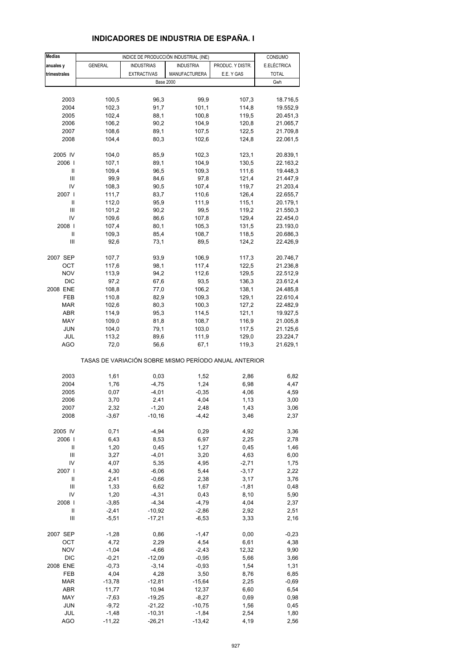## **INDICADORES DE INDUSTRIA DE ESPAÑA. I**

| <b>Medias</b>  |                | INDICE DE PRODUCCIÓN INDUSTRIAL (INE)                 |                  |                  | CONSUMO      |
|----------------|----------------|-------------------------------------------------------|------------------|------------------|--------------|
| anuales y      | <b>GENERAL</b> | <b>INDUSTRIAS</b>                                     | <b>INDUSTRIA</b> | PRODUC. Y DISTR. | E.ELÉCTRICA  |
| trimestrales   |                | <b>EXTRACTIVAS</b>                                    | MANUFACTURERA    | E.E. Y GAS       | <b>TOTAL</b> |
|                |                | <b>Base 2000</b>                                      |                  |                  | Gwh          |
|                |                |                                                       |                  |                  |              |
| 2003           | 100,5          | 96,3                                                  | 99,9             | 107,3            | 18.716,5     |
| 2004           | 102,3          | 91,7                                                  | 101,1            | 114,8            | 19.552,9     |
| 2005           | 102,4          | 88,1                                                  | 100,8            | 119,5            | 20.451,3     |
| 2006           | 106,2          | 90,2                                                  | 104,9            | 120,8            | 21.065,7     |
| 2007           | 108,6          | 89,1                                                  | 107,5            | 122,5            | 21.709,8     |
| 2008           | 104,4          | 80,3                                                  | 102,6            | 124,8            |              |
|                |                |                                                       |                  |                  | 22.061,5     |
| 2005 IV        | 104,0          | 85,9                                                  | 102,3            | 123,1            | 20.839,1     |
| 2006           | 107,1          | 89,1                                                  | 104,9            | 130,5            | 22.163,2     |
| $\sf II$       | 109,4          | 96,5                                                  | 109,3            | 111,6            | 19.448,3     |
| Ш              | 99,9           | 84,6                                                  | 97,8             | 121,4            | 21.447,9     |
| IV             | 108,3          | 90,5                                                  | 107,4            | 119,7            | 21.203,4     |
| 2007           | 111,7          | 83,7                                                  | 110,6            | 126,4            | 22.655,7     |
| Ш              | 112,0          | 95,9                                                  | 111,9            | 115,1            | 20.179,1     |
| Ш              | 101,2          | 90,2                                                  | 99,5             | 119,2            | 21.550,3     |
| IV             | 109,6          | 86,6                                                  | 107,8            | 129,4            | 22.454,0     |
| 2008           | 107,4          | 80,1                                                  | 105,3            | 131,5            | 23.193,0     |
| Ш              | 109,3          | 85,4                                                  | 108,7            | 118,5            |              |
| Ш              | 92,6           |                                                       | 89,5             |                  | 20.686,3     |
|                |                | 73,1                                                  |                  | 124,2            | 22.426,9     |
| 2007 SEP       | 107,7          | 93,9                                                  | 106,9            | 117,3            | 20.746,7     |
| ОСТ            | 117,6          | 98,1                                                  | 117,4            | 122,5            | 21.236,8     |
| <b>NOV</b>     | 113,9          | 94,2                                                  | 112,6            | 129,5            | 22.512,9     |
| <b>DIC</b>     | 97,2           | 67,6                                                  | 93,5             | 136,3            | 23.612,4     |
| 2008 ENE       | 108,8          | 77,0                                                  | 106,2            | 138,1            | 24.485,8     |
| FEB            | 110,8          | 82,9                                                  | 109,3            | 129,1            | 22.610,4     |
| <b>MAR</b>     | 102,6          | 80,3                                                  | 100,3            | 127,2            | 22.482,9     |
| <b>ABR</b>     | 114,9          | 95,3                                                  | 114,5            | 121,1            | 19.927,5     |
| MAY            | 109,0          | 81,8                                                  | 108,7            | 116,9            | 21.005,8     |
| <b>JUN</b>     | 104,0          | 79,1                                                  | 103,0            | 117,5            | 21.125,6     |
| JUL            | 113,2          | 89,6                                                  | 111,9            | 129,0            | 23.224,7     |
| <b>AGO</b>     | 72,0           | 56,6                                                  | 67,1             | 119,3            | 21.629,1     |
|                |                |                                                       |                  |                  |              |
|                |                | TASAS DE VARIACIÓN SOBRE MISMO PERÍODO ANUAL ANTERIOR |                  |                  |              |
| 2003           | 1,61           | 0,03                                                  | 1,52             | 2,86             | 6,82         |
| 2004           | 1,76           | $-4,75$                                               | 1,24             | 6,98             | 4,47         |
| 2005           | 0,07           | $-4,01$                                               | $-0,35$          | 4,06             | 4,59         |
| 2006           | 3,70           | 2,41                                                  | 4,04             | 1,13             | 3,00         |
| 2007           | 2,32           | $-1,20$                                               | 2,48             | 1,43             | 3,06         |
| 2008           | $-3,67$        | $-10,16$                                              | -4,42            | 3,46             | 2,37         |
|                |                |                                                       |                  |                  |              |
| 2005 IV        | 0,71           | $-4,94$                                               | 0,29             | 4,92             | 3,36         |
| 2006           | 6,43           | 8,53                                                  | 6,97             | 2,25             | 2,78         |
| Ш              | 1,20           | 0,45                                                  | 1,27             | 0,45             | 1,46         |
| $\mathsf{III}$ | 3,27           | $-4,01$                                               | 3,20             | 4,63             | 6,00         |
| IV             | 4,07           | 5,35                                                  | 4,95             | $-2,71$          | 1,75         |
| 2007           | 4,30           | $-6,06$                                               | 5,44             | $-3,17$          | 2,22         |
| $\sf II$       | 2,41           | $-0,66$                                               | 2,38             | 3,17             | 3,76         |
| $\mathsf{III}$ | 1,33           | 6,62                                                  | 1,67             | $-1,81$          | 0,48         |
| IV             | 1,20           | $-4,31$                                               | 0,43             | 8,10             | 5,90         |
| 2008           | $-3,85$        | $-4,34$                                               | $-4,79$          | 4,04             | 2,37         |
| $\sf II$       | $-2,41$        | $-10,92$                                              | $-2,86$          | 2,92             | 2,51         |
| $\mathsf{III}$ | $-5,51$        | $-17,21$                                              | $-6,53$          | 3,33             | 2,16         |
| 2007 SEP       | $-1,28$        | 0,86                                                  | $-1,47$          | 0,00             | $-0,23$      |
| OCT            | 4,72           | 2,29                                                  | 4,54             | 6,61             | 4,38         |
| <b>NOV</b>     | $-1,04$        | $-4,66$                                               | $-2,43$          | 12,32            | 9,90         |
| <b>DIC</b>     | $-0,21$        | $-12,09$                                              | $-0,95$          | 5,66             | 3,66         |
| 2008 ENE       | $-0,73$        | $-3,14$                                               | $-0,93$          | 1,54             | 1,31         |
| FEB            | 4,04           | 4,28                                                  | 3,50             | 8,76             | 6,85         |
| <b>MAR</b>     | $-13,78$       | $-12,81$                                              | $-15,64$         | 2,25             | -0,69        |
| ABR            | 11,77          | 10,94                                                 | 12,37            | 6,60             | 6,54         |
| MAY            | $-7,63$        | $-19,25$                                              | $-8,27$          | 0,69             | 0,98         |
| <b>JUN</b>     | $-9,72$        | $-21,22$                                              | $-10,75$         | 1,56             | 0,45         |
| JUL            | $-1,48$        | $-10,31$                                              | $-1,84$          | 2,54             | 1,80         |
| <b>AGO</b>     | $-11,22$       | $-26,21$                                              | $-13,42$         | 4,19             | 2,56         |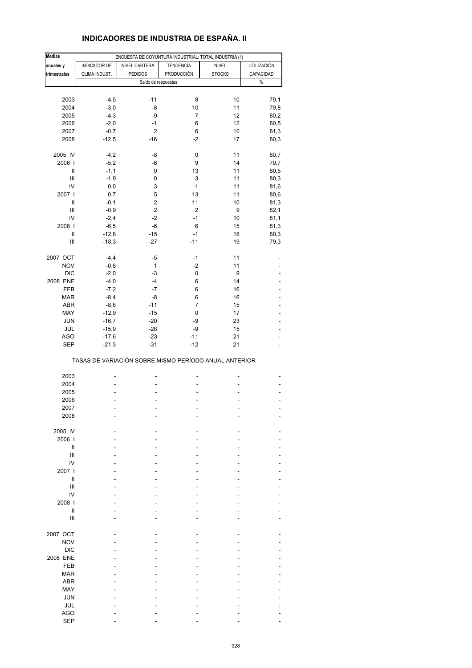## **INDICADORES DE INDUSTRIA DE ESPAÑA. II**

| <b>Medias</b>  | ENCUESTA DE COYUNTURA INDUSTRIAL: TOTAL INDUSTRIA (1) |                                                       |                  |               |                    |  |  |  |  |  |
|----------------|-------------------------------------------------------|-------------------------------------------------------|------------------|---------------|--------------------|--|--|--|--|--|
| anuales y      | INDICADOR DE                                          | NIVEL CARTERA                                         | <b>TENDENCIA</b> | <b>NIVEL</b>  | <b>UTILIZACIÓN</b> |  |  |  |  |  |
| trimestrales   | CLIMA INDUST.                                         | <b>PEDIDOS</b>                                        | PRODUCCIÓN       | <b>STOCKS</b> | CAPACIDAD          |  |  |  |  |  |
|                |                                                       |                                                       |                  |               |                    |  |  |  |  |  |
|                |                                                       | Saldo de respuestas                                   |                  |               | $\%$               |  |  |  |  |  |
|                |                                                       |                                                       |                  |               |                    |  |  |  |  |  |
| 2003           | $-4,5$                                                | $-11$                                                 | 8                | 10            | 79,1               |  |  |  |  |  |
| 2004           | $-3,0$                                                | -8                                                    | 10               | 11            | 79,8               |  |  |  |  |  |
| 2005           | $-4,3$                                                | -9                                                    | $\overline{7}$   | 12            | 80,2               |  |  |  |  |  |
| 2006           | $-2,0$                                                | $-1$                                                  | 6                | 12            | 80,5               |  |  |  |  |  |
| 2007           | $-0,7$                                                | $\overline{2}$                                        | 6                | 10            | 81,3               |  |  |  |  |  |
| 2008           | $-12,5$                                               | $-16$                                                 | $-2$             | 17            | 80,3               |  |  |  |  |  |
|                |                                                       |                                                       |                  |               |                    |  |  |  |  |  |
| 2005 IV        | $-4,2$                                                | -8                                                    | 0                | 11            | 80,7               |  |  |  |  |  |
| 2006           | $-5,2$                                                | -6                                                    | 9                | 14            | 79,7               |  |  |  |  |  |
|                |                                                       |                                                       | 13               | 11            |                    |  |  |  |  |  |
| Ш              | $-1,1$                                                | 0                                                     |                  |               | 80,5               |  |  |  |  |  |
| Ш              | $-1,9$                                                | 0                                                     | 3                | 11            | 80,3               |  |  |  |  |  |
| IV             | 0,0                                                   | 3                                                     | 1                | 11            | 81,6               |  |  |  |  |  |
| 2007           | 0,7                                                   | 5                                                     | 13               | 11            | 80,6               |  |  |  |  |  |
| Ш              | $-0,1$                                                | $\overline{2}$                                        | 11               | 10            | 81,3               |  |  |  |  |  |
| Ш              | $-0,9$                                                | $\overline{2}$                                        | $\overline{2}$   | 9             | 82,1               |  |  |  |  |  |
| IV             | $-2,4$                                                | $-2$                                                  | $-1$             | 10            | 81,1               |  |  |  |  |  |
| 2008           | $-6,5$                                                | -6                                                    | 6                | 15            | 81,3               |  |  |  |  |  |
| $\sf II$       | $-12,8$                                               | $-15$                                                 | $-1$             |               |                    |  |  |  |  |  |
|                |                                                       |                                                       |                  | 18            | 80,3               |  |  |  |  |  |
| $\mathsf{III}$ | $-18,3$                                               | $-27$                                                 | $-11$            | 19            | 79,3               |  |  |  |  |  |
|                |                                                       |                                                       |                  |               |                    |  |  |  |  |  |
| 2007 OCT       | $-4,4$                                                | -5                                                    | $-1$             | 11            |                    |  |  |  |  |  |
| <b>NOV</b>     | $-0,8$                                                | 1                                                     | $-2$             | 11            |                    |  |  |  |  |  |
| <b>DIC</b>     | $-2,0$                                                | $-3$                                                  | $\pmb{0}$        | 9             |                    |  |  |  |  |  |
| 2008 ENE       | $-4,0$                                                | $-4$                                                  | 6                | 14            |                    |  |  |  |  |  |
| FEB            | $-7,2$                                                | $-7$                                                  | 6                | 16            |                    |  |  |  |  |  |
| <b>MAR</b>     | $-8,4$                                                | -8                                                    | 6                | 16            | ÷                  |  |  |  |  |  |
| ABR            | $-8,8$                                                | $-11$                                                 | 7                | 15            |                    |  |  |  |  |  |
| MAY            | $-12,9$                                               | $-15$                                                 | 0                | 17            |                    |  |  |  |  |  |
|                |                                                       | $-20$                                                 | -9               |               |                    |  |  |  |  |  |
| JUN            | $-16,7$                                               |                                                       |                  | 23            | ä,                 |  |  |  |  |  |
| JUL            | $-15,9$                                               | $-28$                                                 | -9               | 15            |                    |  |  |  |  |  |
| AGO            | $-17,6$                                               | $-23$                                                 | $-11$            | 21            |                    |  |  |  |  |  |
| <b>SEP</b>     | $-21,3$                                               | $-31$                                                 | $-12$            | 21            | L,                 |  |  |  |  |  |
|                |                                                       | TASAS DE VARIACIÓN SOBRE MISMO PERÍODO ANUAL ANTERIOR |                  |               |                    |  |  |  |  |  |
|                |                                                       |                                                       |                  |               |                    |  |  |  |  |  |
| 2003           |                                                       |                                                       |                  |               |                    |  |  |  |  |  |
| 2004           |                                                       |                                                       |                  |               |                    |  |  |  |  |  |
| 2005           |                                                       |                                                       |                  |               | -                  |  |  |  |  |  |
| 2006           |                                                       |                                                       |                  |               |                    |  |  |  |  |  |
| 2007           |                                                       |                                                       |                  |               |                    |  |  |  |  |  |
| 2008           |                                                       |                                                       |                  |               |                    |  |  |  |  |  |
|                |                                                       |                                                       |                  |               |                    |  |  |  |  |  |
| 2005 IV        |                                                       |                                                       |                  |               |                    |  |  |  |  |  |
| 2006           |                                                       |                                                       |                  |               |                    |  |  |  |  |  |
|                |                                                       |                                                       |                  |               |                    |  |  |  |  |  |
| Ш              |                                                       |                                                       |                  |               |                    |  |  |  |  |  |
| $\mathsf{III}$ |                                                       |                                                       |                  |               |                    |  |  |  |  |  |
| IV             |                                                       |                                                       |                  |               |                    |  |  |  |  |  |
| 2007 l         |                                                       |                                                       |                  |               |                    |  |  |  |  |  |
| Ш              |                                                       |                                                       |                  |               |                    |  |  |  |  |  |
| Ш              |                                                       |                                                       |                  |               |                    |  |  |  |  |  |
| IV             |                                                       |                                                       |                  |               |                    |  |  |  |  |  |
| 2008           |                                                       |                                                       |                  |               |                    |  |  |  |  |  |
| Ш              |                                                       |                                                       |                  |               |                    |  |  |  |  |  |
| $\mathsf{III}$ |                                                       |                                                       |                  |               |                    |  |  |  |  |  |
|                |                                                       |                                                       |                  |               |                    |  |  |  |  |  |
| 2007 OCT       |                                                       |                                                       |                  |               |                    |  |  |  |  |  |
| <b>NOV</b>     |                                                       |                                                       |                  |               |                    |  |  |  |  |  |
|                |                                                       |                                                       |                  |               |                    |  |  |  |  |  |
| <b>DIC</b>     |                                                       |                                                       |                  |               |                    |  |  |  |  |  |
| 2008 ENE       |                                                       |                                                       |                  |               |                    |  |  |  |  |  |
| FEB            |                                                       |                                                       |                  |               |                    |  |  |  |  |  |
| <b>MAR</b>     |                                                       |                                                       |                  |               |                    |  |  |  |  |  |
| ABR            |                                                       |                                                       |                  |               |                    |  |  |  |  |  |
| MAY            |                                                       |                                                       |                  |               |                    |  |  |  |  |  |
| <b>JUN</b>     |                                                       |                                                       |                  |               |                    |  |  |  |  |  |
| JUL            |                                                       |                                                       |                  |               |                    |  |  |  |  |  |
|                |                                                       |                                                       |                  |               |                    |  |  |  |  |  |
| <b>AGO</b>     |                                                       |                                                       |                  |               |                    |  |  |  |  |  |
| <b>SEP</b>     |                                                       |                                                       |                  |               |                    |  |  |  |  |  |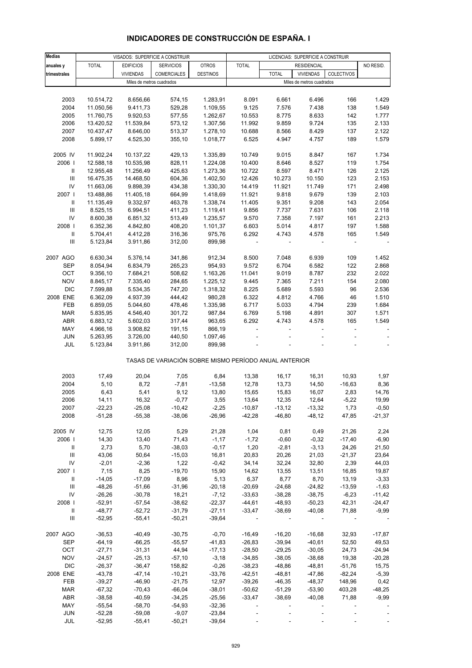| <b>Medias</b>                      |              |                           | VISADOS: SUPERFICIE A CONSTRUIR                       |                 | LICENCIAS: SUPERFICIE A CONSTRUIR |                          |                           |                          |                |
|------------------------------------|--------------|---------------------------|-------------------------------------------------------|-----------------|-----------------------------------|--------------------------|---------------------------|--------------------------|----------------|
| anuales y                          | <b>TOTAL</b> | <b>EDIFICIOS</b>          | <b>SERVICIOS</b>                                      | <b>OTROS</b>    | <b>TOTAL</b>                      |                          | <b>RESIDENCIAL</b>        |                          | NO RESID.      |
| trimestrales                       |              | <b>VIVIENDAS</b>          | <b>COMERCIALES</b>                                    | <b>DESTINOS</b> |                                   | <b>TOTAL</b>             | <b>VIVIENDAS</b>          | COLECTIVOS               |                |
|                                    |              | Miles de metros cuadrados |                                                       |                 |                                   |                          | Miles de metros cuadrados |                          |                |
|                                    |              |                           |                                                       |                 |                                   |                          |                           |                          |                |
| 2003                               | 10.514,72    | 8.656,66                  | 574,15                                                | 1.283,91        | 8.091                             | 6.661                    | 6.496                     | 166                      | 1.429          |
| 2004                               | 11.050,56    | 9.411,73                  | 529,28                                                | 1.109,55        | 9.125                             | 7.576                    | 7.438                     | 138                      | 1.549          |
| 2005                               | 11.760,75    | 9.920,53                  | 577,55                                                | 1.262,67        | 10.553                            | 8.775                    | 8.633                     | 142                      | 1.777          |
| 2006                               | 13.420,52    | 11.539,84                 | 573,12                                                | 1.307,56        | 11.992                            | 9.859                    | 9.724                     | 135                      | 2.133          |
| 2007                               | 10.437,47    | 8.646,00                  | 513,37                                                | 1.278,10        | 10.688                            | 8.566                    | 8.429                     | 137                      | 2.122          |
| 2008                               | 5.899,17     | 4.525,30                  | 355,10                                                | 1.018,77        | 6.525                             | 4.947                    | 4.757                     | 189                      | 1.579          |
| 2005 IV                            | 11.902,24    | 10.137,22                 | 429,13                                                | 1.335,89        | 10.749                            | 9.015                    | 8.847                     | 167                      | 1.734          |
| 2006                               | 12.588,18    | 10.535,98                 | 828,11                                                | 1.224,08        | 10.400                            | 8.646                    | 8.527                     | 119                      | 1.754          |
| Ш                                  | 12.955,48    | 11.256,49                 | 425,63                                                | 1.273,36        | 10.722                            | 8.597                    | 8.471                     | 126                      | 2.125          |
| $\ensuremath{\mathsf{III}}\xspace$ | 16.475,35    | 14.468,50                 | 604,36                                                | 1.402,50        | 12.426                            | 10.273                   | 10.150                    | 123                      | 2.153          |
| IV                                 | 11.663,06    | 9.898,39                  | 434,38                                                | 1.330,30        | 14.419                            | 11.921                   | 11.749                    | 171                      | 2.498          |
| 2007                               | 13.488,86    | 11.405,18                 | 664,99                                                | 1.418,69        | 11.921                            | 9.818                    | 9.679                     | 139                      | 2.103          |
| $\mathbf{II}$                      | 11.135,49    | 9.332,97                  | 463,78                                                | 1.338,74        | 11.405                            | 9.351                    | 9.208                     | 143                      | 2.054          |
| $\ensuremath{\mathsf{III}}\xspace$ | 8.525,15     | 6.994,51                  | 411,23                                                | 1.119,41        | 9.856                             | 7.737                    | 7.631                     | 106                      | 2.118          |
| IV                                 | 8.600,38     | 6.851,32                  | 513,49                                                | 1.235,57        | 9.570                             | 7.358                    | 7.197                     | 161                      | 2.213          |
| 2008                               | 6.352,36     | 4.842,80                  | 408,20                                                | 1.101,37        | 6.603                             | 5.014                    | 4.817                     | 197                      | 1.588          |
| $\, \parallel$                     | 5.704,41     | 4.412,28                  | 316,36                                                | 975,76          | 6.292                             | 4.743                    | 4.578                     | 165                      | 1.549          |
| Ш                                  | 5.123,84     | 3.911,86                  | 312,00                                                | 899,98          |                                   | $\overline{\phantom{a}}$ |                           | $\overline{\phantom{a}}$ |                |
| 2007 AGO                           | 6.630,34     | 5.376,14                  | 341,86                                                | 912,34          | 8.500                             | 7.048                    | 6.939                     | 109                      | 1.452          |
| SEP                                | 8.054,94     | 6.834,79                  | 265,23                                                | 954,93          | 9.572                             | 6.704                    | 6.582                     | 122                      | 2.868          |
| OCT                                | 9.356,10     | 7.684,21                  | 508,62                                                | 1.163,26        | 11.041                            | 9.019                    | 8.787                     | 232                      | 2.022          |
| <b>NOV</b>                         | 8.845,17     | 7.335,40                  | 284,65                                                | 1.225,12        | 9.445                             | 7.365                    | 7.211                     | 154                      | 2.080          |
| <b>DIC</b>                         | 7.599,88     | 5.534,35                  | 747,20                                                | 1.318,32        | 8.225                             | 5.689                    | 5.593                     | 96                       | 2.536          |
| 2008 ENE                           | 6.362,09     | 4.937,39                  | 444,42                                                | 980,28          | 6.322                             | 4.812                    | 4.766                     | 46                       | 1.510          |
| FEB                                | 6.859,05     | 5.044,60                  | 478,46                                                | 1.335,98        | 6.717                             | 5.033                    | 4.794                     | 239                      | 1.684          |
| <b>MAR</b>                         | 5.835,95     | 4.546,40                  | 301,72                                                | 987,84          | 6.769                             | 5.198                    | 4.891                     | 307                      | 1.571          |
| ABR                                | 6.883,12     | 5.602,03                  | 317,44                                                | 963,65          | 6.292                             | 4.743                    | 4.578                     | 165                      | 1.549          |
| MAY                                | 4.966,16     | 3.908,82                  | 191,15                                                | 866,19          | $\overline{\phantom{a}}$          |                          |                           | $\blacksquare$           |                |
| <b>JUN</b>                         | 5.263,95     | 3.726,00                  | 440,50                                                | 1.097,46        |                                   |                          |                           | ÷,                       |                |
| JUL                                | 5.123,84     | 3.911,86                  | 312,00                                                | 899,98          |                                   |                          |                           |                          | $\blacksquare$ |
|                                    |              |                           | TASAS DE VARIACIÓN SOBRE MISMO PERÍODO ANUAL ANTERIOR |                 |                                   |                          |                           |                          |                |
|                                    |              |                           |                                                       |                 |                                   |                          |                           |                          |                |
| 2003                               | 17,49        | 20,04                     | 7,05                                                  | 6,84            | 13,38                             | 16,17                    | 16,31                     | 10,93                    | 1,97           |
| 2004                               | 5,10         | 8,72                      | $-7,81$                                               | $-13,58$        | 12,78                             | 13,73                    | 14,50                     | $-16,63$                 | 8,36           |
| 2005                               | 6,43         | 5,41                      | 9,12                                                  | 13,80           | 15,65                             | 15,83                    | 16,07                     | 2,83                     | 14,76          |
| 2006                               | 14,11        | 16,32                     | $-0,77$                                               | 3,55            | 13,64                             | 12,35                    | 12,64                     | $-5,22$                  | 19,99          |
| 2007                               | $-22,23$     | $-25,08$                  | $-10,42$                                              | $-2,25$         | $-10,87$                          | $-13,12$                 | $-13,32$                  | 1,73                     | $-0,50$        |
| 2008                               | $-51,28$     | $-55,38$                  | $-38,06$                                              | $-26,96$        | $-42,28$                          | $-46,80$                 | $-48,12$                  | 47,85                    | $-21,37$       |
| 2005 IV                            | 12,75        | 12,05                     | 5,29                                                  | 21,28           | 1,04                              | 0,81                     | 0,49                      | 21,26                    | 2,24           |
| 2006                               | 14,30        | 13,40                     | 71,43                                                 | $-1,17$         | $-1,72$                           | $-0,60$                  | $-0,32$                   | $-17,40$                 | $-6,90$        |
| Ш                                  | 2,73         | 5,70                      | $-38,03$                                              | $-0,17$         | 1,20                              | $-2,81$                  | $-3, 13$                  | 24,26                    | 21,50          |
| Ш                                  | 43,06        | 50,64                     | $-15,03$                                              | 16,81           | 20,83                             | 20,26                    | 21,03                     | $-21,37$                 | 23,64          |
| IV                                 | $-2,01$      | $-2,36$                   | 1,22                                                  | $-0,42$         | 34,14                             | 32,24                    | 32,80                     | 2,39                     | 44,03          |
| 2007 l                             | 7,15         | 8,25                      | $-19,70$                                              | 15,90           | 14,62                             | 13,55                    | 13,51                     | 16,85                    | 19,87          |
| Ш                                  | $-14,05$     | $-17,09$                  | 8,96                                                  | 5,13            | 6,37                              | 8,77                     | 8,70                      | 13,19                    | $-3,33$        |
| Ш                                  | $-48,26$     | $-51,66$                  | $-31,96$                                              | $-20,18$        | $-20,69$                          | $-24,68$                 | $-24,82$                  | $-13,59$                 | $-1,63$        |
| IV                                 | $-26,26$     | $-30,78$                  | 18,21                                                 | $-7,12$         | $-33,63$                          | $-38,28$                 | $-38,75$                  | $-6,23$                  | $-11,42$       |
| 2008                               | $-52,91$     | $-57,54$                  | $-38,62$                                              | $-22,37$        | $-44,61$                          | $-48,93$                 | $-50,23$                  | 42,31                    | $-24,47$       |
| Ш                                  | $-48,77$     | $-52,72$                  | $-31,79$                                              | $-27,11$        | $-33,47$                          | $-38,69$                 | $-40,08$                  | 71,88                    | $-9,99$        |
| $\ensuremath{\mathsf{III}}\xspace$ | $-52,95$     | $-55,41$                  | $-50,21$                                              | $-39,64$        |                                   |                          |                           |                          |                |
| 2007 AGO                           | $-36,53$     | $-40,49$                  | $-30,75$                                              | $-0,70$         | $-16,49$                          | $-16,20$                 | $-16,68$                  | 32,93                    | $-17,87$       |
| <b>SEP</b>                         | $-64,19$     | $-66,25$                  | $-55,57$                                              | $-41,83$        | $-26,83$                          | $-39,94$                 | $-40,61$                  | 52,50                    | 49,53          |
| OCT                                | $-27,71$     | $-31,31$                  | 44,94                                                 | $-17,13$        | $-28,50$                          | $-29,25$                 | $-30,05$                  | 24,73                    | $-24,94$       |
| <b>NOV</b>                         | $-24,57$     | $-25,13$                  | $-57,10$                                              | $-3,18$         | $-34,85$                          | $-38,05$                 | $-38,68$                  | 19,38                    | $-20,28$       |
| <b>DIC</b>                         | $-26,37$     | $-36,47$                  | 158,82                                                | $-0,26$         | $-38,23$                          | $-48,86$                 | $-48,81$                  | $-51,76$                 | 15,75          |
| 2008 ENE                           | $-43,78$     | $-47,14$                  | $-10,21$                                              | $-33,76$        | $-42,51$                          | $-48,81$                 | $-47,86$                  | $-82,24$                 | $-5,39$        |
| FEB                                | $-39,27$     | $-46,90$                  | $-21,75$                                              | 12,97           | $-39,26$                          | $-46,35$                 | $-48,37$                  | 148,96                   | 0,42           |
| <b>MAR</b>                         | $-67,32$     | $-70,43$                  | $-66,04$                                              | $-38,01$        | $-50,62$                          | $-51,29$                 | $-53,90$                  | 403,28                   | $-48,25$       |
| ABR                                | $-38,58$     | $-40,59$                  | $-34,25$                                              | $-25,56$        | $-33,47$                          | $-38,69$                 | $-40,08$                  | 71,88                    | $-9,99$        |
| MAY                                | $-55,54$     | $-58,70$                  | $-54,93$                                              | $-32,36$        |                                   |                          |                           |                          |                |

# **INDICADORES DE CONSTRUCCIÓN DE ESPAÑA. I**

 JUN -52,28 -59,08 -9,07 -23,84 ----- JUL -52,95 -55,41 -50,21 -39,64 -----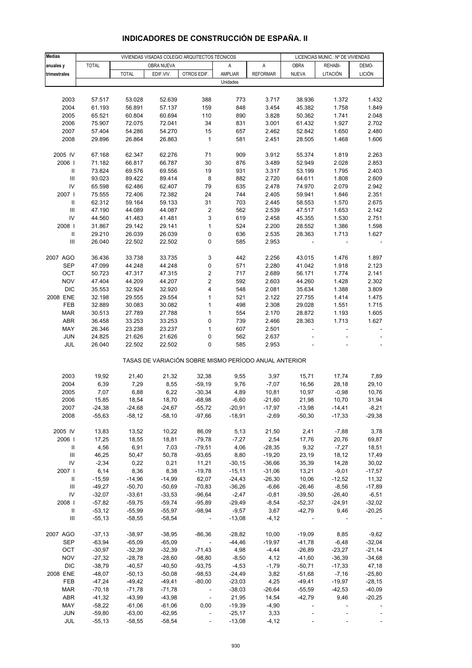| <b>Medias</b>                      |                  |                  | VIVIENDAS VISADAS COLEGIO ARQUITECTOS TÉCNICOS |                                                       | LICENCIAS MUNIC.: Nº DE VIVIENDAS |                   |                  |                  |                |
|------------------------------------|------------------|------------------|------------------------------------------------|-------------------------------------------------------|-----------------------------------|-------------------|------------------|------------------|----------------|
| anuales y                          | <b>TOTAL</b>     |                  | OBRA NUEVA                                     |                                                       | Α                                 | A                 | OBRA             | REHABI-          | DEMO-          |
| trimestrales                       |                  | <b>TOTAL</b>     | EDIF.VIV.                                      | OTROS EDIF.                                           | AMPLIAR                           | <b>REFORMAR</b>   | <b>NUEVA</b>     | LITACIÓN         | <b>LICIÓN</b>  |
|                                    |                  |                  |                                                |                                                       | Unidades                          |                   |                  |                  |                |
|                                    |                  |                  |                                                |                                                       |                                   |                   |                  |                  |                |
|                                    |                  |                  |                                                |                                                       |                                   |                   |                  |                  |                |
| 2003<br>2004                       | 57.517           | 53.028           | 52.639<br>57.137                               | 388                                                   | 773<br>848                        | 3.717             | 38.936           | 1.372            | 1.432          |
|                                    | 61.193           | 56.891           |                                                | 159                                                   | 890                               | 3.454             | 45.382           | 1.758            | 1.849          |
| 2005                               | 65.521           | 60.804           | 60.694                                         | 110<br>34                                             | 831                               | 3.828             | 50.362           | 1.741            | 2.048          |
| 2006<br>2007                       | 75.907<br>57.404 | 72.075<br>54.286 | 72.041<br>54.270                               | 15                                                    | 657                               | 3.001<br>2.462    | 61.432<br>52.842 | 1.927<br>1.650   | 2.702<br>2.480 |
|                                    | 29.896           | 26.864           | 26.863                                         |                                                       | 581                               |                   |                  |                  | 1.606          |
| 2008                               |                  |                  |                                                | 1                                                     |                                   | 2.451             | 28.505           | 1.468            |                |
| 2005 IV                            | 67.168           | 62.347           | 62.276                                         | 71                                                    | 909                               | 3.912             | 55.374           | 1.819            | 2.263          |
| 2006                               | 71.182           | 66.817           | 66.787                                         | 30                                                    | 876                               | 3.489             | 52.949           | 2.028            | 2.853          |
| $\ensuremath{\mathsf{II}}$         | 73.824           | 69.576           | 69.556                                         | 19                                                    | 931                               | 3.317             | 53.199           | 1.795            | 2.403          |
| $\ensuremath{\mathsf{III}}\xspace$ | 93.023           | 89.422           | 89.414                                         | 8                                                     | 882                               | 2.720             | 64.611           | 1.808            | 2.609          |
| IV                                 | 65.598           | 62.486           | 62.407                                         | 79                                                    | 635                               | 2.478             | 74.970           | 2.079            | 2.942          |
| 2007 l                             | 75.555           | 72.406           | 72.382                                         | 24                                                    | 744                               | 2.405             | 59.941           | 1.846            | 2.351          |
| Ш                                  | 62.312           | 59.164           | 59.133                                         | 31                                                    | 703                               | 2.445             | 58.553           | 1.570            | 2.675          |
| Ш                                  | 47.190           | 44.089           | 44.087                                         | 2                                                     | 562                               | 2.539             | 47.517           | 1.653            | 2.142          |
| IV                                 | 44.560           | 41.483           | 41.481                                         | 3                                                     | 619                               | 2.458             | 45.355           | 1.530            | 2.751          |
| 2008                               | 31.867           | 29.142           | 29.141                                         | $\mathbf{1}$                                          | 524                               | 2.200             | 28.552           | 1.386            | 1.598          |
| $\ensuremath{\mathsf{II}}$         | 29.210           | 26.039           | 26.039                                         | 0                                                     | 636                               | 2.535             | 28.363           | 1.713            | 1.627          |
| $\ensuremath{\mathsf{III}}\xspace$ | 26.040           | 22.502           | 22.502                                         | 0                                                     | 585                               | 2.953             |                  |                  |                |
|                                    |                  |                  |                                                |                                                       |                                   |                   |                  |                  |                |
| 2007 AGO                           | 36.436           | 33.738           | 33.735                                         | 3                                                     | 442                               | 2.256             | 43.015           | 1.476            | 1.897          |
| <b>SEP</b>                         | 47.099           | 44.248           | 44.248                                         | 0                                                     | 571                               | 2.280             | 41.042           | 1.918            | 2.123          |
| OCT                                | 50.723           | 47.317           | 47.315                                         | 2                                                     | 717                               | 2.689             | 56.171           | 1.774            | 2.141          |
| <b>NOV</b>                         | 47.404           | 44.209           | 44.207                                         | $\overline{\mathbf{c}}$                               | 592                               | 2.603             | 44.260           | 1.428            | 2.302          |
| <b>DIC</b>                         | 35.553           | 32.924           | 32.920                                         | 4                                                     | 548                               | 2.081             | 35.634           | 1.388            | 3.809          |
| 2008 ENE                           | 32.198           | 29.555           | 29.554                                         | 1                                                     | 521                               | 2.122             | 27.755           | 1.414            | 1.475          |
| FEB                                | 32.889           | 30.083           | 30.082                                         | $\mathbf{1}$                                          | 498                               | 2.308             | 29.028           | 1.551            | 1.715          |
| MAR                                | 30.513           | 27.789           | 27.788                                         | $\mathbf{1}$                                          | 554                               | 2.170             | 28.872           | 1.193            | 1.605          |
| ABR                                | 36.458           | 33.253           | 33.253                                         | 0                                                     | 739                               | 2.466             | 28.363           | 1.713            | 1.627          |
| MAY                                | 26.346           | 23.238           | 23.237                                         | $\mathbf{1}$                                          | 607                               | 2.501             | ÷,               |                  |                |
| <b>JUN</b>                         | 24.825           | 21.626           | 21.626                                         | 0                                                     | 562                               | 2.637             |                  |                  |                |
| JUL                                | 26.040           | 22.502           | 22.502                                         | 0                                                     | 585                               | 2.953             |                  |                  |                |
|                                    |                  |                  |                                                | TASAS DE VARIACIÓN SOBRE MISMO PERÍODO ANUAL ANTERIOR |                                   |                   |                  |                  |                |
| 2003                               | 19,92            | 21,40            | 21,32                                          | 32,38                                                 | 9,55                              | 3,97              | 15,71            |                  | 7,89           |
| 2004                               |                  |                  |                                                |                                                       |                                   |                   |                  | 17,74            | 29,10          |
| 2005                               | 6,39<br>7,07     | 7,29<br>6,88     | 8,55<br>6,22                                   | $-59,19$<br>$-30,34$                                  | 9,76<br>4,89                      | $-7,07$           | 16,56<br>10,97   | 28,18            | 10,76          |
| 2006                               | 15,85            | 18,54            | 18,70                                          | $-68,98$                                              | $-6,60$                           | 10,81<br>$-21,60$ | 21,98            | $-0,98$<br>10,70 | 31,94          |
| 2007                               | $-24,38$         | $-24,68$         | $-24,67$                                       | $-55,72$                                              | $-20,91$                          | $-17,97$          | $-13,98$         | $-14,41$         | $-8,21$        |
| 2008                               | $-55,63$         | $-58,12$         | $-58,10$                                       | -97,66                                                | $-18,91$                          | $-2,69$           | $-50,30$         | $-17,33$         | $-29,38$       |
|                                    |                  |                  |                                                |                                                       |                                   |                   |                  |                  |                |
| 2005 IV                            | 13,83            | 13,52            | 10,22                                          | 86,09                                                 | 5,13                              | 21,50             | 2,41             | $-7,88$          | 3,78           |
| 2006                               | 17,25            | 18,55            | 18,81                                          | $-79,78$                                              | $-7,27$                           | 2,54              | 17,76            | 20,76            | 69,87          |
| Ш                                  | 4,56             | 6,91             | 7,03                                           | $-79,51$                                              | 4,06                              | $-28,35$          | 9,32             | $-7,27$          | 18,51          |
| Ш                                  | 46,25            | 50,47            | 50,78                                          | $-93,65$                                              | 8,80                              | $-19,20$          | 23,19            | 18,12            | 17,49          |
| IV                                 | $-2,34$          | 0,22             | 0,21                                           | 11,21                                                 | $-30,15$                          | $-36,66$          | 35,39            | 14,28            | 30,02          |
| 2007                               | 6,14             | 8,36             | 8,38                                           | $-19,78$                                              | $-15,11$                          | $-31,06$          | 13,21            | $-9,01$          | $-17,57$       |
| Ш                                  | $-15,59$         | $-14,96$         | $-14,99$                                       | 62,07                                                 | $-24,43$                          | $-26,30$          | 10,06            | $-12,52$         | 11,32          |
| Ш                                  | $-49,27$         | $-50,70$         | $-50,69$                                       | $-70,83$                                              | $-36,26$                          | $-6,66$           | $-26,46$         | $-8,56$          | $-17,89$       |
| IV                                 | $-32,07$         | $-33,61$         | $-33,53$                                       | $-96,64$                                              | $-2,47$                           | $-0,81$           | $-39,50$         | $-26,40$         | $-6,51$        |
| 2008                               | $-57,82$         | $-59,75$         | $-59,74$                                       | $-95,89$                                              | $-29,49$                          | $-8,54$           | $-52,37$         | $-24,91$         | $-32,02$       |
| Ш.                                 | $-53,12$         | $-55,99$         | $-55,97$                                       | $-98,94$                                              | $-9,57$                           | 3,67              | $-42,79$         | 9,46             | $-20,25$       |
| Ш                                  | $-55,13$         | $-58,55$         | $-58,54$                                       | $\sim$ $-$                                            | $-13,08$                          | $-4, 12$          | $\sim$           |                  |                |
|                                    |                  |                  |                                                |                                                       |                                   |                   |                  |                  |                |
| 2007 AGO                           | $-37,13$         | $-38,97$         | $-38,95$                                       | $-86,36$                                              | $-28,82$                          | 10,00             | $-19,09$         | 8,85             | $-9,62$        |
| SEP                                | $-63,94$         | $-65,09$         | $-65,09$                                       | $\sim$                                                | $-44,46$                          | $-19,97$          | $-41,78$         | $-6,48$          | $-32,04$       |
| OCT                                | $-30,97$         | $-32,39$         | $-32,39$                                       | $-71,43$                                              | 4,98                              | $-4,44$           | $-26,89$         | $-23,27$         | $-21,14$       |
| <b>NOV</b>                         | $-27,32$         | $-28,78$         | $-28,60$                                       | $-98,80$                                              | $-8,50$                           | 4,12              | $-41,60$         | $-36,39$         | $-34,68$       |
| <b>DIC</b>                         | $-38,79$         | $-40,57$         | $-40,50$                                       | $-93,75$                                              | $-4,53$                           | $-1,79$           | $-50,71$         | $-17,33$         | 47,18          |
| 2008 ENE                           | $-48,07$         | $-50,13$         | $-50,08$                                       | $-98,53$                                              | -24,49                            | 3,82              | $-51,68$         | $-7,16$          | $-25,80$       |
| FEB                                | $-47,24$         | $-49,42$         | $-49,41$                                       | $-80,00$                                              | $-23,03$                          | 4,25              | $-49,41$         | $-19,97$         | $-28,15$       |
| <b>MAR</b>                         | $-70,18$         | $-71,78$         | $-71,78$                                       | $\sim$ $-$                                            | $-38,03$                          | $-26,64$          | $-55,59$         | $-42,53$         | $-40,09$       |
| ABR                                | $-41,32$         | $-43,99$         | $-43,98$                                       | $\overline{\phantom{a}}$                              | 21,95                             | 14,54             | $-42,79$         | 9,46             | $-20,25$       |
| MAY                                | $-58,22$         | $-61,06$         | $-61,06$                                       | 0,00                                                  | $-19,39$                          | $-4,90$           |                  |                  |                |
| <b>JUN</b>                         | $-59,80$         | $-63,00$         | $-62,95$                                       |                                                       | $-25,17$                          | 3,33              |                  |                  |                |
| JUL                                | $-55, 13$        | $-58,55$         | $-58,54$                                       |                                                       | $-13,08$                          | $-4, 12$          |                  |                  |                |

## **INDICADORES DE CONSTRUCCIÓN DE ESPAÑA. II**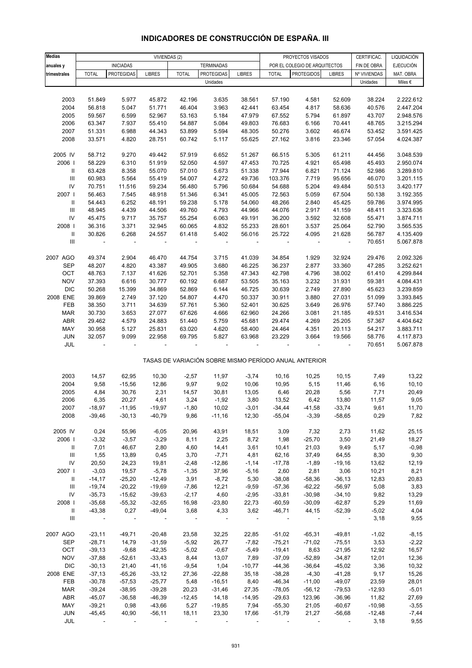| Medias                             |                          |                          | VIVIENDAS (2) |                          |                   |                |                | PROYECTOS VISADOS                                     |                | CERTIFICAC.  | LIQUIDACIÓN      |
|------------------------------------|--------------------------|--------------------------|---------------|--------------------------|-------------------|----------------|----------------|-------------------------------------------------------|----------------|--------------|------------------|
| anuales y                          |                          | <b>INICIADAS</b>         |               |                          | <b>TERMINADAS</b> |                |                | POR EL COLEGIO DE ARQUITECTOS                         |                | FIN DE OBRA  | <b>EJECUCIÓN</b> |
| trimestrales                       | <b>TOTAL</b>             | <b>PROTEGIDAS</b>        | <b>LIBRES</b> | <b>TOTAL</b>             | PROTEGIDAS        | <b>LIBRES</b>  | <b>TOTAL</b>   | <b>PROTEGIDOS</b>                                     | <b>LIBRES</b>  | Nº VIVIENDAS | MAT. OBRA        |
|                                    |                          |                          |               |                          | Unidades          |                |                |                                                       |                | Unidades     | Miles €          |
|                                    |                          |                          |               |                          |                   |                |                |                                                       |                |              |                  |
| 2003                               | 51.849                   | 5.977                    | 45.872        | 42.196                   | 3.635             | 38.561         | 57.190         | 4.581                                                 | 52.609         | 38.224       | 2.222.612        |
|                                    |                          |                          |               |                          |                   |                |                |                                                       |                |              | 2.447.204        |
| 2004                               | 56.818                   | 5.047                    | 51.771        | 46.404                   | 3.963             | 42.441         | 63.454         | 4.817                                                 | 58.636         | 40.576       |                  |
| 2005                               | 59.567                   | 6.599                    | 52.967        | 53.163                   | 5.184             | 47.979         | 67.552         | 5.794                                                 | 61.897         | 43.707       | 2.948.576        |
| 2006                               | 63.347                   | 7.937                    | 55.410        | 54.887                   | 5.084             | 49.803         | 76.683         | 6.166                                                 | 70.441         | 48.765       | 3.215.294        |
| 2007                               | 51.331                   | 6.988                    | 44.343        | 53.899                   | 5.594             | 48.305         | 50.276         | 3.602                                                 | 46.674         | 53.452       | 3.591.425        |
| 2008                               | 33.571                   | 4.820                    | 28.751        | 60.742                   | 5.117             | 55.625         | 27.162         | 3.816                                                 | 23.346         | 57.054       | 4.024.387        |
|                                    |                          |                          |               |                          |                   |                |                |                                                       |                |              |                  |
| 2005 IV                            | 58.712                   | 9.270                    | 49.442        | 57.919                   | 6.652             | 51.267         | 66.515         | 5.305                                                 | 61.211         | 44.456       | 3.048.539        |
| 2006                               | 58.229                   | 6.310                    | 51.919        | 52.050                   | 4.597             | 47.453         | 70.725         | 4.921                                                 | 65.498         | 45.493       | 2.950.074        |
| Ш                                  | 63.428                   | 8.358                    | 55.070        | 57.010                   | 5.673             | 51.338         | 77.944         | 6.821                                                 | 71.124         | 52.986       | 3.289.810        |
| $\mathbf{III}$                     | 60.983                   | 5.564                    | 55.419        | 54.007                   | 4.272             | 49.736         | 103.376        | 7.719                                                 | 95.656         | 46.070       | 3.201.115        |
| IV                                 | 70.751                   | 11.516                   | 59.234        | 56.480                   | 5.796             | 50.684         | 54.688         | 5.204                                                 | 49.484         | 50.513       | 3.420.177        |
| 2007 l                             | 56.463                   | 7.545                    | 48.918        | 51.346                   | 6.341             | 45.005         | 72.563         | 5.059                                                 | 67.504         | 50.138       | 3.192.355        |
| $\mathbf{H}$                       | 54.443                   | 6.252                    | 48.191        | 59.238                   | 5.178             | 54.060         | 48.266         | 2.840                                                 | 45.425         | 59.786       | 3.974.995        |
| $\mathbf{III}$                     | 48.945                   | 4.439                    | 44.506        | 49.760                   | 4.793             | 44.966         | 44.076         | 2.917                                                 | 41.159         | 48.411       | 3.323.636        |
| IV                                 | 45.475                   | 9.717                    | 35.757        | 55.254                   | 6.063             | 49.191         | 36.200         | 3.592                                                 | 32.608         | 55.471       | 3.874.711        |
|                                    |                          |                          |               |                          |                   |                |                |                                                       |                |              |                  |
| 2008                               | 36.316                   | 3.371                    | 32.945        | 60.065                   | 4.832             | 55.233         | 28.601         | 3.537                                                 | 25.064         | 52.790       | 3.565.535        |
| Ш                                  | 30.826                   | 6.268                    | 24.557        | 61.418                   | 5.402             | 56.016         | 25.722         | 4.095                                                 | 21.628         | 56.787       | 4.135.409        |
| $\mathbf{III}$                     | $\overline{\phantom{a}}$ | $\overline{\phantom{a}}$ | $\Box$        | $\overline{\phantom{a}}$ | ÷,                | $\blacksquare$ | $\blacksquare$ | $\overline{\phantom{a}}$                              | $\blacksquare$ | 70.651       | 5.067.878        |
|                                    |                          |                          |               |                          |                   |                |                |                                                       |                |              |                  |
| 2007 AGO                           | 49.374                   | 2.904                    | 46.470        | 44.754                   | 3.715             | 41.039         | 34.854         | 1.929                                                 | 32.924         | 29.476       | 2.092.326        |
| <b>SEP</b>                         | 48.207                   | 4.820                    | 43.387        | 49.905                   | 3.680             | 46.225         | 36.237         | 2.877                                                 | 33.360         | 47.285       | 3.252.621        |
| OCT                                | 48.763                   | 7.137                    | 41.626        | 52.701                   | 5.358             | 47.343         | 42.798         | 4.796                                                 | 38.002         | 61.410       | 4.299.844        |
| <b>NOV</b>                         | 37.393                   | 6.616                    | 30.777        | 60.192                   | 6.687             | 53.505         | 35.163         | 3.232                                                 | 31.931         | 59.381       | 4.084.431        |
| <b>DIC</b>                         | 50.268                   | 15.399                   | 34.869        | 52.869                   | 6.144             | 46.725         | 30.639         | 2.749                                                 | 27.890         | 45.623       | 3.239.859        |
| 2008 ENE                           | 39.869                   | 2.749                    | 37.120        | 54.807                   | 4.470             | 50.337         | 30.911         | 3.880                                                 | 27.031         | 51.099       | 3.393.845        |
| FEB                                | 38.350                   | 3.711                    | 34.639        | 57.761                   | 5.360             | 52.401         | 30.625         | 3.649                                                 | 26.976         | 57.740       | 3.886.225        |
| <b>MAR</b>                         | 30.730                   | 3.653                    | 27.077        | 67.626                   | 4.666             | 62.960         | 24.266         | 3.081                                                 | 21.185         | 49.531       | 3.416.534        |
| <b>ABR</b>                         | 29.462                   | 4.579                    | 24.883        | 51.440                   | 5.759             | 45.681         | 29.474         | 4.269                                                 | 25.205         | 57.367       | 4.404.642        |
| MAY                                | 30.958                   | 5.127                    | 25.831        | 63.020                   | 4.620             | 58.400         | 24.464         | 4.351                                                 | 20.113         | 54.217       | 3.883.711        |
|                                    | 32.057                   |                          |               |                          |                   |                |                |                                                       |                |              |                  |
| <b>JUN</b>                         |                          | 9.099                    | 22.958        | 69.795                   | 5.827             | 63.968         | 23.229         | 3.664                                                 | 19.566         | 58.776       | 4.117.873        |
| JUL                                |                          |                          |               |                          |                   |                |                |                                                       |                | 70.651       | 5.067.878        |
|                                    |                          |                          |               |                          |                   |                |                | TASAS DE VARIACIÓN SOBRE MISMO PERÍODO ANUAL ANTERIOR |                |              |                  |
|                                    |                          |                          |               |                          |                   |                |                |                                                       |                |              |                  |
| 2003                               | 14,57                    | 62,95                    | 10,30         | $-2,57$                  | 11,97             | $-3,74$        | 10,16          | 10,25                                                 | 10,15          | 7,49         | 13,22            |
| 2004                               | 9,58                     | $-15,56$                 | 12,86         | 9,97                     | 9,02              | 10,06          | 10,95          | 5,15                                                  | 11,46          | 6, 16        | 10, 10           |
| 2005                               | 4,84                     | 30,76                    | 2,31          | 14,57                    | 30,81             | 13,05          | 6,46           | 20,28                                                 | 5,56           | 7,71         | 20,49            |
| 2006                               | 6,35                     | 20,27                    | 4,61          | 3,24                     | $-1,92$           | 3,80           | 13,52          | 6,42                                                  | 13,80          | 11,57        | 9,05             |
| 2007                               | $-18,97$                 | $-11,95$                 | $-19,97$      | $-1,80$                  | 10,02             | $-3,01$        | $-34,44$       | $-41,58$                                              | $-33,74$       | 9,61         | 11,70            |
| 2008                               | $-39,46$                 | $-30,13$                 | $-40,79$      | 9,86                     | $-11,16$          | 12,30          | $-55,04$       | $-3,39$                                               | $-58,65$       | 0,29         | 7,82             |
|                                    |                          |                          |               |                          |                   |                |                |                                                       |                |              |                  |
| 2005 IV                            | 0,24                     | 55,96                    | $-6,05$       | 20,96                    | 43,91             | 18,51          | 3,09           | 7,32                                                  | 2,73           | 11,62        | 25,15            |
| 2006                               | $-3,32$                  | $-3,57$                  | $-3,29$       | 8,11                     | 2,25              | 8,72           | 1,98           | $-25,70$                                              | 3,50           | 21,49        | 18,27            |
| $\parallel$                        | 7,01                     | 46,67                    | 2,80          | 4,60                     | 14,41             | 3,61           | 10,41          | 21,03                                                 | 9,49           | 5,17         | $-0,98$          |
| Ш                                  | 1,55                     | 13,89                    | 0,45          | 3,70                     | $-7,71$           | 4,81           | 62,16          | 37,49                                                 | 64,55          | 8,30         | 9,30             |
| ${\sf IV}$                         | 20,50                    | 24,23                    | 19,81         | $-2,48$                  | $-12,86$          | $-1,14$        | $-17,78$       | $-1,89$                                               | $-19,16$       | 13,62        | 12,19            |
| 2007                               | $-3,03$                  | 19,57                    | $-5,78$       | $-1,35$                  | 37,96             | $-5,16$        | 2,60           | 2,81                                                  | 3,06           | 10,21        | 8,21             |
|                                    |                          |                          |               |                          |                   |                |                |                                                       |                |              |                  |
| $\parallel$                        | $-14,17$                 | $-25,20$                 | $-12,49$      | 3,91                     | $-8,72$           | 5,30           | $-38,08$       | $-58,36$                                              | $-36,13$       | 12,83        | 20,83            |
| $\ensuremath{\mathsf{III}}\xspace$ | $-19,74$                 | $-20,22$                 | $-19,69$      | $-7,86$                  | 12,21             | $-9,59$        | $-57,36$       | $-62,22$                                              | $-56,97$       | 5,08         | 3,83             |
| IV                                 | $-35,73$                 | $-15,62$                 | $-39,63$      | $-2,17$                  | 4,60              | $-2,95$        | $-33,81$       | $-30,98$                                              | $-34,10$       | 9,82         | 13,29            |
| 2008                               | $-35,68$                 | $-55,32$                 | $-32,65$      | 16,98                    | $-23,80$          | 22,73          | $-60,59$       | $-30,09$                                              | $-62,87$       | 5,29         | 11,69            |
| Ш                                  | $-43,38$                 | 0,27                     | $-49,04$      | 3,68                     | 4,33              | 3,62           | $-46,71$       | 44,15                                                 | $-52,39$       | $-5,02$      | 4,04             |
| Ш                                  | $\sim$                   | $\sim 10$                | $\sim$ $-$    | $\sim$                   | $\sim$            | $\sim$ $\sim$  | $\sim$ $-$     | $\sim$ $-$                                            | $\sim$ $-$     | 3,18         | 9,55             |
|                                    |                          |                          |               |                          |                   |                |                |                                                       |                |              |                  |
| 2007 AGO                           | $-23,11$                 | $-49,71$                 | $-20,48$      | 23,58                    | 32,25             | 22,85          | $-51,02$       | $-65,31$                                              | $-49,81$       | $-1,02$      | $-8,15$          |
| <b>SEP</b>                         | $-28,71$                 | 14,79                    | $-31,59$      | $-5,92$                  | 26,77             | $-7,82$        | $-75,21$       | $-71,02$                                              | $-75,51$       | 3,53         | $-2,22$          |
| OCT                                | $-39,13$                 | $-9,68$                  | $-42,35$      | $-5,02$                  | $-0,67$           | $-5,49$        | $-19,41$       | 8,63                                                  | $-21,95$       | 12,92        | 16,57            |
| <b>NOV</b>                         | $-37,88$                 | $-52,61$                 | $-33,43$      | 8,44                     | 13,07             | 7,89           | $-37,09$       | $-52,89$                                              | $-34,87$       | 12,01        | 12,36            |
| <b>DIC</b>                         | $-30,13$                 | 21,40                    | $-41,16$      | $-9,54$                  | 1,04              | $-10,77$       | $-44,36$       | $-36,64$                                              | $-45,02$       | 3,36         | 10,32            |
| 2008 ENE                           | $-37,13$                 | $-65,26$                 | $-33,12$      | 27,36                    | $-22,88$          | 35,18          | $-38,28$       | $-4,30$                                               | $-41,28$       | 9,17         | 15,26            |
| FEB                                | $-30,78$                 | $-57,53$                 | $-25,77$      | 5,48                     | $-16,51$          | 8,40           | $-46,34$       | $-11,00$                                              | $-49,07$       | 23,59        | 28,01            |
| <b>MAR</b>                         | $-39,24$                 | $-38,95$                 | $-39,28$      | 20,23                    | $-31,46$          | 27,35          | $-78,05$       | $-56, 12$                                             | $-79,53$       | $-12,93$     | $-5,01$          |
| ABR                                | $-45,07$                 | $-36,58$                 | $-46,39$      | $-12,45$                 | 14,18             | $-14,95$       | $-29,63$       | 123,96                                                | $-36,96$       | 11,82        | 27,69            |
| MAY                                | $-39,21$                 | 0,98                     | $-43,66$      | 5,27                     | $-19,85$          | 7,94           | $-55,30$       | 21,05                                                 | $-60,67$       | $-10,98$     | $-3,55$          |
| <b>JUN</b>                         | $-45,45$                 | 40,90                    | $-56,11$      | 18,11                    | 23,30             | 17,66          | $-51,79$       | 21,27                                                 | $-56,68$       | $-12,48$     | $-7,44$          |
| JUL                                |                          |                          |               |                          |                   |                |                |                                                       |                | 3,18         | 9,55             |
|                                    |                          |                          |               |                          |                   |                |                |                                                       |                |              |                  |

## **INDICADORES DE CONSTRUCCIÓN DE ESPAÑA. III**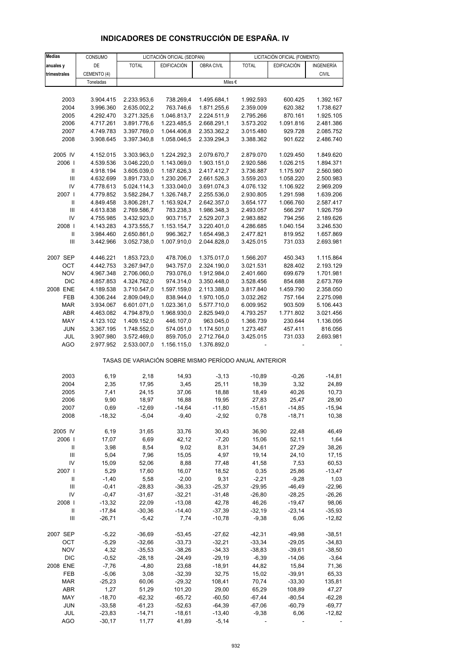| INDICADORES DE CONSTRUCCIÓN DE ESPAÑA. IV |
|-------------------------------------------|

| <b>Medias</b>                      | CONSUMO     |              | LICITACIÓN OFICIAL (SEOPAN) |             |                                                       | LICITACIÓN OFICIAL (FOMENTO) |              |
|------------------------------------|-------------|--------------|-----------------------------|-------------|-------------------------------------------------------|------------------------------|--------------|
| anuales y                          | DE          | <b>TOTAL</b> | EDIFICACIÓN                 | OBRA CIVIL  | <b>TOTAL</b>                                          | EDIFICACIÓN                  | INGENIERÍA   |
| trimestrales                       | CEMENTO (4) |              |                             |             |                                                       |                              | <b>CIVIL</b> |
|                                    | Toneladas   |              |                             |             | Miles €                                               |                              |              |
|                                    |             |              |                             |             |                                                       |                              |              |
| 2003                               | 3.904.415   | 2.233.953,6  | 738.269,4                   | 1.495.684,1 | 1.992.593                                             | 600.425                      | 1.392.167    |
|                                    |             |              |                             |             |                                                       |                              |              |
| 2004                               | 3.996.360   | 2.635.002,2  | 763.746,6                   | 1.871.255,6 | 2.359.009                                             | 620.382                      | 1.738.627    |
| 2005                               | 4.292.470   | 3.271.325,6  | 1.046.813,7                 | 2.224.511,9 | 2.795.266                                             | 870.161                      | 1.925.105    |
| 2006                               | 4.717.261   | 3.891.776,6  | 1.223.485,5                 | 2.668.291,1 | 3.573.202                                             | 1.091.816                    | 2.481.386    |
| 2007                               | 4.749.783   | 3.397.769,0  | 1.044.406,8                 | 2.353.362,2 | 3.015.480                                             | 929.728                      | 2.085.752    |
| 2008                               | 3.908.645   | 3.397.340,8  | 1.058.046,5                 | 2.339.294,3 | 3.388.362                                             | 901.622                      | 2.486.740    |
| 2005 IV                            | 4.152.015   | 3.303.963,0  | 1.224.292,3                 | 2.079.670,7 | 2.879.070                                             | 1.029.450                    | 1.849.620    |
| 2006                               | 4.539.536   | 3.046.220,0  | 1.143.069,0                 | 1.903.151,0 | 2.920.586                                             | 1.026.215                    | 1.894.371    |
| Ш                                  | 4.918.194   | 3.605.039,0  | 1.187.626,3                 | 2.417.412,7 | 3.736.887                                             | 1.175.907                    | 2.560.980    |
|                                    |             |              |                             |             |                                                       |                              |              |
| $\mathbf{III}$                     | 4.632.699   | 3.891.733,0  | 1.230.206,7                 | 2.661.526,3 | 3.559.203                                             | 1.058.220                    | 2.500.983    |
| IV                                 | 4.778.613   | 5.024.114,3  | 1.333.040,0                 | 3.691.074,3 | 4.076.132                                             | 1.106.922                    | 2.969.209    |
| 2007 l                             | 4.779.852   | 3.582.284,7  | 1.326.748,7                 | 2.255.536,0 | 2.930.805                                             | 1.291.598                    | 1.639.206    |
| Ш                                  | 4.849.458   | 3.806.281,7  | 1.163.924,7                 | 2.642.357,0 | 3.654.177                                             | 1.066.760                    | 2.587.417    |
| $\mathbf{III}$                     | 4.613.838   | 2.769.586,7  | 783.238,3                   | 1.986.348,3 | 2.493.057                                             | 566.297                      | 1.926.759    |
| IV                                 | 4.755.985   | 3.432.923,0  | 903.715,7                   | 2.529.207,3 | 2.983.882                                             | 794.256                      | 2.189.626    |
| 2008                               | 4.143.283   | 4.373.555,7  | 1.153.154,7                 | 3.220.401,0 | 4.286.685                                             | 1.040.154                    | 3.246.530    |
| $\ensuremath{\mathsf{II}}$         | 3.984.460   | 2.650.861,0  | 996.362,7                   | 1.654.498,3 | 2.477.821                                             | 819.952                      | 1.657.869    |
| Ш                                  |             |              |                             |             |                                                       | 731.033                      |              |
|                                    | 3.442.966   | 3.052.738,0  | 1.007.910,0                 | 2.044.828,0 | 3.425.015                                             |                              | 2.693.981    |
| 2007 SEP                           | 4.446.221   | 1.853.723,0  | 478.706,0                   | 1.375.017,0 | 1.566.207                                             | 450.343                      | 1.115.864    |
| OCT                                | 4.442.753   | 3.267.947,0  | 943.757,0                   | 2.324.190,0 | 3.021.531                                             | 828.402                      | 2.193.129    |
| <b>NOV</b>                         |             |              |                             |             | 2.401.660                                             | 699.679                      |              |
|                                    | 4.967.348   | 2.706.060,0  | 793.076,0                   | 1.912.984,0 |                                                       |                              | 1.701.981    |
| <b>DIC</b>                         | 4.857.853   | 4.324.762,0  | 974.314,0                   | 3.350.448,0 | 3.528.456                                             | 854.688                      | 2.673.769    |
| 2008 ENE                           | 4.189.538   | 3.710.547,0  | 1.597.159,0                 | 2.113.388,0 | 3.817.840                                             | 1.459.790                    | 2.358.050    |
| FEB                                | 4.306.244   | 2.809.049,0  | 838.944,0                   | 1.970.105,0 | 3.032.262                                             | 757.164                      | 2.275.098    |
| <b>MAR</b>                         | 3.934.067   | 6.601.071,0  | 1.023.361,0                 | 5.577.710,0 | 6.009.952                                             | 903.509                      | 5.106.443    |
| ABR                                | 4.463.082   | 4.794.879,0  | 1.968.930,0                 | 2.825.949,0 | 4.793.257                                             | 1.771.802                    | 3.021.456    |
| MAY                                | 4.123.102   | 1.409.152,0  | 446.107,0                   | 963.045,0   | 1.366.739                                             | 230.644                      | 1.136.095    |
| <b>JUN</b>                         | 3.367.195   | 1.748.552,0  | 574.051,0                   | 1.174.501,0 | 1.273.467                                             | 457.411                      | 816.056      |
|                                    | 3.907.980   | 3.572.469,0  | 859.705,0                   | 2.712.764,0 |                                                       |                              | 2.693.981    |
| JUL<br>AGO                         | 2.977.952   | 2.533.007,0  | 1.156.115,0                 | 1.376.892,0 | 3.425.015                                             | 731.033                      |              |
|                                    |             |              |                             |             | TASAS DE VARIACIÓN SOBRE MISMO PERÍODO ANUAL ANTERIOR |                              |              |
|                                    |             |              |                             |             |                                                       |                              |              |
| 2003                               | 6,19        | 2,18         | 14,93                       | $-3, 13$    | $-10,89$                                              | $-0,26$                      | $-14,81$     |
| 2004                               | 2,35        | 17,95        | 3,45                        | 25,11       | 18,39                                                 | 3,32                         | 24,89        |
| 2005                               | 7,41        | 24,15        | 37,06                       | 18,88       | 18,49                                                 | 40,26                        | 10,73        |
| 2006                               | 9,90        | 18,97        | 16,88                       | 19,95       | 27,83                                                 | 25,47                        | 28,90        |
| 2007                               | 0,69        | -12,69       | -14,64                      | -11,80      | $-15,61$                                              | $-14,85$                     | -15,94       |
| 2008                               | $-18,32$    | $-5,04$      | $-9,40$                     | $-2,92$     | 0,78                                                  | $-18,71$                     | 10,38        |
|                                    |             |              |                             |             |                                                       |                              |              |
| 2005 IV                            | 6,19        | 31,65        | 33,76                       | 30,43       | 36,90                                                 | 22,48                        | 46,49        |
| 2006                               | 17,07       | 6,69         | 42,12                       | $-7,20$     | 15,06                                                 | 52,11                        | 1,64         |
| Ш                                  | 3,98        | 8,54         | 9,02                        | 8,31        | 34,61                                                 | 27,29                        | 38,26        |
| $\mathbf{III}$                     | 5,04        | 7,96         | 15,05                       | 4,97        | 19,14                                                 | 24,10                        | 17,15        |
| IV                                 | 15,09       | 52,06        | 8,88                        | 77,48       | 41,58                                                 | 7,53                         | 60,53        |
| 2007 l                             | 5,29        | 17,60        | 16,07                       | 18,52       | 0,35                                                  | 25,86                        | $-13,47$     |
| Ш                                  | $-1,40$     | 5,58         | $-2,00$                     | 9,31        | $-2,21$                                               | $-9,28$                      | 1,03         |
|                                    |             |              |                             |             |                                                       |                              |              |
| Ш                                  | $-0,41$     | $-28,83$     | $-36,33$                    | $-25,37$    | $-29,95$                                              | $-46,49$                     | $-22,96$     |
| IV                                 | $-0,47$     | $-31,67$     | $-32,21$                    | $-31,48$    | $-26,80$                                              | $-28,25$                     | $-26,26$     |
| 2008                               | $-13,32$    | 22,09        | $-13,08$                    | 42,78       | 46,26                                                 | $-19,47$                     | 98,06        |
| Ш                                  | $-17,84$    | $-30,36$     | $-14,40$                    | $-37,39$    | $-32,19$                                              | $-23,14$                     | $-35,93$     |
| $\ensuremath{\mathsf{III}}\xspace$ | $-26,71$    | $-5,42$      | 7,74                        | $-10,78$    | $-9,38$                                               | 6,06                         | $-12,82$     |
|                                    |             |              |                             |             |                                                       |                              |              |
| 2007 SEP                           | $-5,22$     | $-36,69$     | $-53,45$                    | $-27,62$    | $-42,31$                                              | $-49,98$                     | $-38,51$     |
| OCT                                | $-5,29$     | $-32,66$     | $-33,73$                    | $-32,21$    | $-33,34$                                              | $-29,05$                     | $-34,83$     |
| <b>NOV</b>                         | 4,32        | $-35,53$     | $-38,26$                    | $-34,33$    | $-38,83$                                              | $-39,61$                     | $-38,50$     |
| <b>DIC</b>                         | $-0,52$     | $-28,18$     | $-24,49$                    | $-29,19$    | $-6,39$                                               | $-14,06$                     | $-3,64$      |
| 2008 ENE                           | $-7,76$     | $-4,80$      | 23,68                       | $-18,91$    | 44,82                                                 | 15,84                        | 71,36        |
| FEB                                | $-5,06$     | 3,08         | $-32,39$                    | 32,75       | 15,02                                                 | $-39,91$                     | 65,33        |
|                                    |             |              |                             |             |                                                       |                              |              |
| <b>MAR</b>                         | $-25,23$    | 60,06        | $-29,32$                    | 108,41      | 70,74                                                 | $-33,30$                     | 135,81       |
| ABR                                | 1,27        | 51,29        | 101,20                      | 29,00       | 65,29                                                 | 108,89                       | 47,27        |
| MAY                                | $-18,70$    | $-62,32$     | $-65,72$                    | $-60,50$    | $-67,44$                                              | $-80,54$                     | $-62,28$     |
| <b>JUN</b>                         | $-33,58$    | -61,23       | $-52,63$                    | $-64,39$    | $-67,06$                                              | $-60,79$                     | $-69,77$     |
| JUL                                | $-23,83$    | $-14,71$     | $-18,61$                    | $-13,40$    | $-9,38$                                               | 6,06                         | $-12,82$     |
| <b>AGO</b>                         | $-30,17$    | 11,77        | 41,89                       | $-5,14$     |                                                       |                              |              |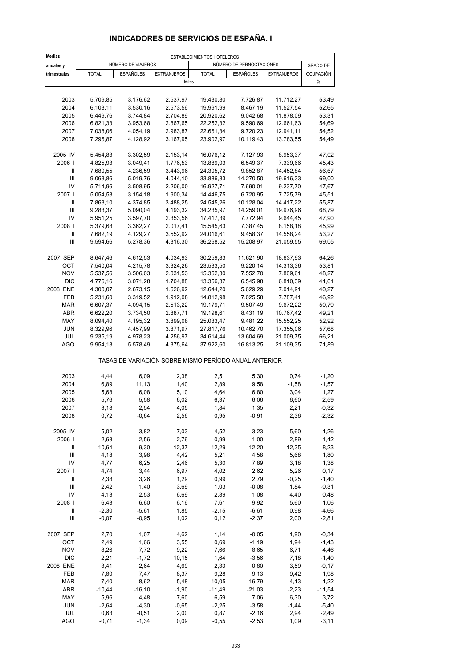| <b>Medias</b>                      | ESTABLECIMIENTOS HOTELEROS |                    |                                                       |              |                          |                    |                  |  |
|------------------------------------|----------------------------|--------------------|-------------------------------------------------------|--------------|--------------------------|--------------------|------------------|--|
| anuales y                          |                            | NÚMERO DE VIAJEROS |                                                       |              | NÚMERO DE PERNOCTACIONES |                    | <b>GRADO DE</b>  |  |
| trimestrales                       | <b>TOTAL</b>               | <b>ESPAÑOLES</b>   | <b>EXTRANJEROS</b>                                    | <b>TOTAL</b> | <b>ESPAÑOLES</b>         | <b>EXTRANJEROS</b> | <b>OCUPACIÓN</b> |  |
|                                    |                            |                    | Miles                                                 |              |                          |                    | $\%$             |  |
|                                    |                            |                    |                                                       |              |                          |                    |                  |  |
| 2003                               | 5.709,85                   | 3.176,62           | 2.537,97                                              | 19.430,80    | 7.726,87                 | 11.712,27          | 53,49            |  |
| 2004                               | 6.103,11                   | 3.530,16           | 2.573,56                                              | 19.991,99    | 8.467,19                 | 11.527,54          | 52,65            |  |
| 2005                               | 6.449,76                   | 3.744,84           | 2.704,89                                              | 20.920,62    | 9.042,68                 | 11.878,09          | 53,31            |  |
| 2006                               | 6.821,33                   | 3.953,68           | 2.867,65                                              | 22.252,32    | 9.590,69                 | 12.661,63          | 54,69            |  |
| 2007                               | 7.038,06                   | 4.054,19           | 2.983,87                                              | 22.661,34    | 9.720,23                 | 12.941,11          | 54,52            |  |
| 2008                               | 7.296,87                   | 4.128,92           | 3.167,95                                              | 23.902,97    | 10.119,43                | 13.783,55          | 54,49            |  |
| 2005 IV                            | 5.454,83                   | 3.302,59           | 2.153,14                                              | 16.076,12    | 7.127,93                 | 8.953,37           | 47,02            |  |
| 2006                               | 4.825,93                   | 3.049,41           | 1.776,53                                              | 13.889,03    | 6.549,37                 | 7.339,66           | 45,43            |  |
| Ш                                  | 7.680,55                   | 4.236,59           | 3.443,96                                              | 24.305,72    | 9.852,87                 | 14.452,84          | 56,67            |  |
| Ш                                  | 9.063,86                   | 5.019,76           | 4.044,10                                              | 33.886,83    | 14.270,50                | 19.616,33          | 69,00            |  |
| IV                                 | 5.714,96                   | 3.508,95           | 2.206,00                                              | 16.927,71    | 7.690,01                 | 9.237,70           | 47,67            |  |
| 2007 l                             | 5.054,53                   | 3.154,18           | 1.900,34                                              | 14.446,75    | 6.720,95                 | 7.725,79           | 45,51            |  |
| Ш                                  | 7.863,10                   | 4.374,85           | 3.488,25                                              | 24.545,26    | 10.128,04                | 14.417,22          | 55,87            |  |
| Ш                                  | 9.283,37                   | 5.090,04           | 4.193,32                                              | 34.235,97    | 14.259,01                | 19.976,96          | 68,79            |  |
| IV                                 | 5.951,25                   | 3.597,70           | 2.353,56                                              | 17.417,39    | 7.772,94                 | 9.644,45           | 47,90            |  |
| 2008                               | 5.379,68                   | 3.362,27           | 2.017,41                                              | 15.545,63    | 7.387,45                 | 8.158,18           | 45,99            |  |
| Ш                                  | 7.682,19                   | 4.129,27           | 3.552,92                                              | 24.016,61    | 9.458,37                 | 14.558,24          | 53,27            |  |
| Ш                                  | 9.594,66                   | 5.278,36           | 4.316,30                                              | 36.268,52    | 15.208,97                | 21.059,55          | 69,05            |  |
| 2007 SEP                           | 8.647,46                   | 4.612,53           | 4.034,93                                              | 30.259,83    | 11.621,90                | 18.637,93          | 64,26            |  |
| OCT                                | 7.540,04                   | 4.215,78           | 3.324,26                                              | 23.533,50    | 9.220,14                 | 14.313,36          | 53,81            |  |
| <b>NOV</b>                         | 5.537,56                   | 3.506,03           | 2.031,53                                              | 15.362,30    | 7.552,70                 | 7.809,61           | 48,27            |  |
| <b>DIC</b>                         | 4.776,16                   | 3.071,28           | 1.704,88                                              | 13.356,37    | 6.545,98                 | 6.810,39           | 41,61            |  |
| 2008 ENE                           | 4.300,07                   | 2.673,15           | 1.626,92                                              | 12.644,20    | 5.629,29                 | 7.014,91           | 40,27            |  |
| FEB                                | 5.231,60                   | 3.319,52           | 1.912,08                                              | 14.812,98    | 7.025,58                 | 7.787,41           | 46,92            |  |
| <b>MAR</b>                         | 6.607,37                   | 4.094,15           | 2.513,22                                              | 19.179,71    | 9.507,49                 | 9.672,22           | 50,79            |  |
| <b>ABR</b>                         | 6.622,20                   | 3.734,50           | 2.887,71                                              | 19.198,61    | 8.431,19                 | 10.767,42          | 49,21            |  |
| MAY                                | 8.094,40                   | 4.195,32           | 3.899,08                                              | 25.033,47    | 9.481,22                 | 15.552,25          | 52,92            |  |
| <b>JUN</b>                         | 8.329,96                   | 4.457,99           | 3.871,97                                              | 27.817,76    | 10.462,70                | 17.355,06          | 57,68            |  |
| JUL                                | 9.235,19                   | 4.978,23           | 4.256,97                                              | 34.614,44    | 13.604,69                | 21.009,75          | 66,21            |  |
| AGO                                | 9.954,13                   | 5.578,49           | 4.375,64                                              | 37.922,60    | 16.813,25                | 21.109,35          | 71,89            |  |
|                                    |                            |                    | TASAS DE VARIACIÓN SOBRE MISMO PERÍODO ANUAL ANTERIOR |              |                          |                    |                  |  |
| 2003                               | 4,44                       | 6,09               | 2,38                                                  | 2,51         | 5,30                     | 0,74               | $-1,20$          |  |
| 2004                               | 6,89                       | 11,13              | 1,40                                                  | 2,89         | 9,58                     | $-1,58$            | $-1,57$          |  |
| 2005                               | 5,68                       | 6,08               | 5,10                                                  | 4,64         | 6,80                     | 3,04               | 1,27             |  |
| 2006                               | 5,76                       | 5,58               | 6,02                                                  | 6,37         | 6,06                     | 6,60               | 2,59             |  |
| 2007                               | 3,18                       | 2,54               | 4,05                                                  | 1,84         | 1,35                     | 2,21               | -0,32            |  |
| 2008                               | 0,72                       | $-0,64$            | 2,56                                                  | 0,95         | $-0,91$                  | 2,36               | $-2,32$          |  |
| 2005 IV                            | 5,02                       | 3,82               | 7,03                                                  | 4,52         | 3,23                     | 5,60               | 1,26             |  |
| 2006                               | 2,63                       | 2,56               | 2,76                                                  | 0,99         | $-1,00$                  | 2,89               | $-1,42$          |  |
| $\, \parallel$                     | 10,64                      | 9,30               | 12,37                                                 | 12,29        | 12,20                    | 12,35              | 8,23             |  |
| $\mathbf{III}$                     | 4,18                       | 3,98               | 4,42                                                  | 5,21         | 4,58                     | 5,68               | 1,80             |  |
| IV                                 | 4,77                       | 6,25               | 2,46                                                  | 5,30         | 7,89                     | 3,18               | 1,38             |  |
| 2007 l                             | 4,74                       | 3,44               | 6,97                                                  | 4,02         | 2,62                     | 5,26               | 0,17             |  |
| Ш                                  | 2,38                       | 3,26               | 1,29                                                  | 0,99         | 2,79                     | $-0,25$            | $-1,40$          |  |
| Ш                                  | 2,42                       | 1,40               | 3,69                                                  | 1,03         | $-0,08$                  | 1,84               | $-0,31$          |  |
| IV                                 | 4,13                       | 2,53               | 6,69                                                  | 2,89         | 1,08                     | 4,40               | 0,48             |  |
| 2008                               | 6,43                       | 6,60               | 6, 16                                                 | 7,61         | 9,92                     | 5,60               | 1,06             |  |
| Ш                                  | $-2,30$                    | $-5,61$            | 1,85                                                  | $-2,15$      | $-6,61$                  | 0,98               | $-4,66$          |  |
| $\ensuremath{\mathsf{III}}\xspace$ | $-0,07$                    | $-0,95$            | 1,02                                                  | 0,12         | $-2,37$                  | 2,00               | $-2,81$          |  |
| 2007 SEP                           | 2,70                       | 1,07               | 4,62                                                  | 1,14         | $-0,05$                  | 1,90               | $-0,34$          |  |
| OCT                                | 2,49                       | 1,66               | 3,55                                                  | 0,69         | $-1,19$                  | 1,94               | $-1,43$          |  |
| <b>NOV</b>                         | 8,26                       | 7,72               | 9,22                                                  | 7,66         | 8,65                     | 6,71               | 4,46             |  |
| <b>DIC</b>                         | 2,21                       | $-1,72$            | 10,15                                                 | 1,64         | $-3,56$                  | 7,18               | $-1,40$          |  |
| 2008 ENE                           | 3,41                       | 2,64               | 4,69                                                  | 2,33         | 0,80                     | 3,59               | $-0,17$          |  |
| FEB                                | 7,80                       | 7,47               | 8,37                                                  | 9,28         | 9,13                     | 9,42               | 1,98             |  |
| <b>MAR</b>                         | 7,40                       | 8,62               | 5,48                                                  | 10,05        | 16,79                    | 4,13               | 1,22             |  |
| <b>ABR</b>                         | $-10,44$                   | $-16, 10$          | $-1,90$                                               | $-11,49$     | $-21,03$                 | $-2,23$            | $-11,54$         |  |
| MAY                                | 5,96                       | 4,48               | 7,60                                                  | 6,59         | 7,06                     | 6,30               | 3,72             |  |
| JUN                                | $-2,64$                    | $-4,30$            | $-0,65$                                               | $-2,25$      | $-3,58$                  | $-1,44$            | $-5,40$          |  |
| JUL                                | 0,63                       | $-0,51$            | 2,00                                                  | 0,87         | $-2,16$                  | 2,94               | $-2,49$          |  |
| <b>AGO</b>                         | $-0,71$                    | $-1,34$            | 0,09                                                  | $-0,55$      | $-2,53$                  | 1,09               | $-3,11$          |  |

## **INDICADORES DE SERVICIOS DE ESPAÑA. I**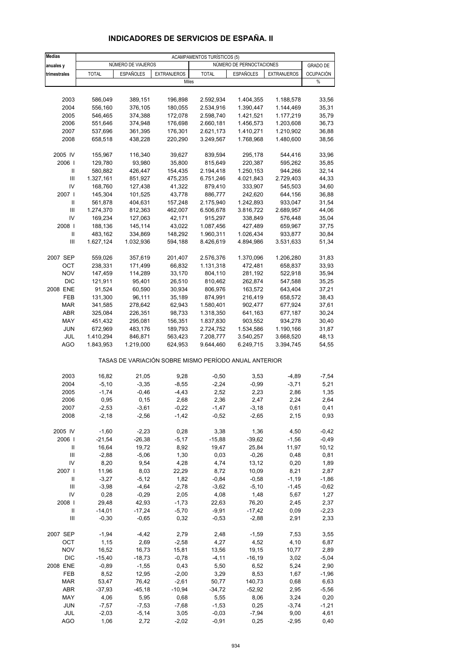| <b>Medias</b>                      | <b>ACAMPAMENTOS TURÍSTICOS (5)</b> |                    |                                                       |                        |                          |                      |                  |  |
|------------------------------------|------------------------------------|--------------------|-------------------------------------------------------|------------------------|--------------------------|----------------------|------------------|--|
| anuales y                          |                                    | NÚMERO DE VIAJEROS |                                                       |                        | NÚMERO DE PERNOCTACIONES |                      | <b>GRADO DE</b>  |  |
| trimestrales                       | <b>TOTAL</b>                       | <b>ESPAÑOLES</b>   | <b>EXTRANJEROS</b>                                    | <b>TOTAL</b>           | <b>ESPAÑOLES</b>         | <b>EXTRANJEROS</b>   | <b>OCUPACIÓN</b> |  |
|                                    |                                    |                    | Miles                                                 |                        |                          |                      | $\%$             |  |
|                                    |                                    |                    |                                                       |                        |                          |                      |                  |  |
| 2003                               | 586,049                            | 389,151            | 196,898                                               | 2.592,934              | 1.404,355                | 1.188,578            | 33,56            |  |
| 2004                               | 556,160                            | 376,105            | 180,055                                               | 2.534,916              | 1.390,447                | 1.144,469            | 35,31            |  |
| 2005                               | 546,465                            | 374,388            | 172,078                                               | 2.598,740              | 1.421,521                | 1.177,219            | 35,79            |  |
| 2006                               | 551,646                            | 374,948            | 176,698                                               | 2.660,181              | 1.456,573                | 1.203,608            | 36,73            |  |
| 2007                               | 537,696                            | 361,395            | 176,301                                               | 2.621,173              | 1.410,271                | 1.210,902            | 36,88            |  |
| 2008                               | 658,518                            | 438,228            | 220,290                                               | 3.249,567              | 1.768,968                | 1.480,600            | 38,56            |  |
| 2005 IV                            | 155,967                            | 116,340            | 39,627                                                | 839,594                | 295,178                  | 544,416              | 33,96            |  |
| 2006                               | 129,780                            | 93,980             | 35,800                                                | 815,649                | 220,387                  | 595,262              | 35,85            |  |
| Ш                                  | 580,882                            | 426,447            | 154,435                                               | 2.194,418              | 1.250,153                | 944,266              | 32,14            |  |
| Ш                                  | 1.327,161                          | 851,927            | 475,235                                               | 6.751,246              | 4.021,843                | 2.729,403            | 44,33            |  |
| IV                                 | 168,760                            | 127,438            | 41,322                                                | 879,410                | 333,907                  | 545,503              | 34,60            |  |
| 2007 l                             | 145,304                            | 101,525            | 43,778                                                | 886,777                | 242,620                  | 644,156              | 36,88            |  |
| Ш<br>Ш                             | 561,878                            | 404,631            | 157,248                                               | 2.175,940<br>6.506,678 | 1.242,893<br>3.816,722   | 933,047              | 31,54<br>44,06   |  |
| IV                                 | 1.274,370<br>169,234               | 812,363<br>127,063 | 462,007<br>42,171                                     | 915,297                | 338,849                  | 2.689,957<br>576,448 | 35,04            |  |
| 2008                               | 188,136                            | 145,114            | 43,022                                                | 1.087,456              | 427,489                  | 659,967              | 37,75            |  |
| Ш                                  | 483,162                            | 334,869            | 148,292                                               | 1.960,311              | 1.026,434                | 933,877              | 30,84            |  |
| Ш                                  | 1.627,124                          | 1.032,936          | 594,188                                               | 8.426,619              | 4.894,986                | 3.531,633            | 51,34            |  |
|                                    |                                    |                    |                                                       |                        |                          |                      |                  |  |
| 2007 SEP<br>OCT                    | 559,026<br>238,331                 | 357,619<br>171,499 | 201,407<br>66,832                                     | 2.576,376<br>1.131,318 | 1.370,096<br>472,481     | 1.206,280<br>658,837 | 31,83<br>33,93   |  |
| <b>NOV</b>                         | 147,459                            | 114,289            | 33,170                                                | 804,110                | 281,192                  | 522,918              | 35,94            |  |
| <b>DIC</b>                         | 121,911                            | 95,401             | 26,510                                                | 810,462                | 262,874                  | 547,588              | 35,25            |  |
| 2008 ENE                           | 91,524                             | 60,590             | 30,934                                                | 806,976                | 163,572                  | 643,404              | 37,21            |  |
| FEB                                | 131,300                            | 96,111             | 35,189                                                | 874,991                | 216,419                  | 658,572              | 38,43            |  |
| <b>MAR</b>                         | 341,585                            | 278,642            | 62,943                                                | 1.580,401              | 902,477                  | 677,924              | 37,61            |  |
| ABR                                | 325,084                            | 226,351            | 98,733                                                | 1.318,350              | 641,163                  | 677,187              | 30,24            |  |
| MAY                                | 451,432                            | 295,081            | 156,351                                               | 1.837,830              | 903,552                  | 934,278              | 30,40            |  |
| <b>JUN</b>                         | 672,969                            | 483,176            | 189,793                                               | 2.724,752              | 1.534,586                | 1.190,166            | 31,87            |  |
| JUL                                | 1.410,294                          | 846,871            | 563,423                                               | 7.208,777              | 3.540,257                | 3.668,520            | 48,13            |  |
| <b>AGO</b>                         | 1.843,953                          | 1.219,000          | 624,953                                               | 9.644,460              | 6.249,715                | 3.394,745            | 54,55            |  |
|                                    |                                    |                    | TASAS DE VARIACIÓN SOBRE MISMO PERÍODO ANUAL ANTERIOR |                        |                          |                      |                  |  |
| 2003                               | 16,82                              | 21,05              | 9,28                                                  | $-0,50$                | 3,53                     | $-4,89$              | $-7,54$          |  |
| 2004                               | $-5,10$                            | $-3,35$            | $-8,55$                                               | $-2,24$                | $-0,99$                  | $-3,71$              | 5,21             |  |
| 2005                               | $-1,74$                            | $-0,46$            | $-4,43$                                               | 2,52                   | 2,23                     | 2,86                 | 1,35             |  |
| 2006                               | 0,95                               | 0, 15              | 2,68                                                  | 2,36                   | 2,47                     | 2,24                 | 2,64             |  |
| 2007                               | $-2,53$                            | -3,61              | -0,22                                                 | -1,47                  | -3,18                    | 0,61                 | 0,41             |  |
| 2008                               | $-2,18$                            | $-2,56$            | $-1,42$                                               | $-0,52$                | $-2,65$                  | 2,15                 | 0,93             |  |
| 2005 IV                            | $-1,60$                            | $-2,23$            | 0,28                                                  | 3,38                   | 1,36                     | 4,50                 | $-0,42$          |  |
| 2006                               | $-21,54$                           | $-26,38$           | $-5,17$                                               | $-15,88$               | $-39,62$                 | $-1,56$              | $-0,49$          |  |
| Ш                                  | 16,64                              | 19,72              | 8,92                                                  | 19,47                  | 25,84                    | 11,97                | 10, 12           |  |
| $\mathbf{III}$                     | $-2,88$                            | $-5,06$            | 1,30                                                  | 0,03                   | $-0,26$                  | 0,48                 | 0,81             |  |
| IV                                 | 8,20                               | 9,54               | 4,28                                                  | 4,74                   | 13,12                    | 0,20                 | 1,89             |  |
| 2007 l<br>Ш                        | 11,96<br>$-3,27$                   | 8,03<br>$-5,12$    | 22,29<br>1,82                                         | 8,72<br>$-0,84$        | 10,09<br>$-0,58$         | 8,21<br>$-1,19$      | 2,87<br>$-1,86$  |  |
| $\mathbf{III}$                     | $-3,98$                            | $-4,64$            | $-2,78$                                               | $-3,62$                | $-5,10$                  | $-1,45$              | $-0,62$          |  |
| IV                                 | 0,28                               | $-0,29$            | 2,05                                                  | 4,08                   | 1,48                     | 5,67                 | 1,27             |  |
| 2008                               | 29,48                              | 42,93              | $-1,73$                                               | 22,63                  | 76,20                    | 2,45                 | 2,37             |  |
| Ш                                  | $-14,01$                           | $-17,24$           | $-5,70$                                               | $-9,91$                | $-17,42$                 | 0,09                 | $-2,23$          |  |
| $\ensuremath{\mathsf{III}}\xspace$ | $-0,30$                            | $-0,65$            | 0,32                                                  | $-0,53$                | $-2,88$                  | 2,91                 | 2,33             |  |
| 2007 SEP                           | $-1,94$                            | $-4,42$            | 2,79                                                  | 2,48                   | $-1,59$                  | 7,53                 | 3,55             |  |
| OCT                                | 1,15                               | 2,69               | $-2,58$                                               | 4,27                   | 4,52                     | 4,10                 | 6,87             |  |
| <b>NOV</b>                         | 16,52                              | 16,73              | 15,81                                                 | 13,56                  | 19,15                    | 10,77                | 2,89             |  |
| <b>DIC</b>                         | $-15,40$                           | $-18,73$           | $-0,78$                                               | $-4, 11$               | $-16,19$                 | 3,02                 | $-5,04$          |  |
| 2008 ENE                           | $-0,89$                            | $-1,55$            | 0,43                                                  | 5,50                   | 6,52                     | 5,24                 | 2,90             |  |
| FEB                                | 8,52                               | 12,95              | $-2,00$                                               | 3,29                   | 8,53                     | 1,67                 | $-1,96$          |  |
| <b>MAR</b>                         | 53,47                              | 76,42              | $-2,61$                                               | 50,77                  | 140,73                   | 0,68                 | 6,63             |  |
| ABR                                | $-37,93$                           | $-45,18$           | $-10,94$                                              | $-34,72$               | $-52,92$                 | 2,95                 | $-5,56$          |  |
| MAY                                | 4,06                               | 5,95               | 0,68                                                  | 5,55                   | 8,06                     | 3,24                 | 0,20             |  |
| <b>JUN</b><br>JUL                  | $-7,57$<br>$-2,03$                 | $-7,53$<br>$-5,14$ | $-7,68$<br>3,05                                       | $-1,53$<br>$-0,03$     | 0,25<br>$-7,94$          | $-3,74$<br>9,00      | $-1,21$<br>4,61  |  |
| AGO                                | 1,06                               | 2,72               | $-2,02$                                               | $-0,91$                | 0,25                     | $-2,95$              | 0,40             |  |
|                                    |                                    |                    |                                                       |                        |                          |                      |                  |  |

## **INDICADORES DE SERVICIOS DE ESPAÑA. II**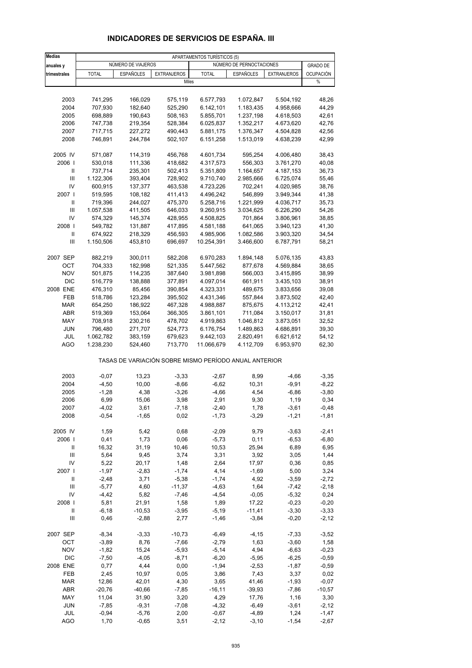| <b>Medias</b>                      | APARTAMENTOS TURÍSTICOS (5) |                    |                                                       |              |                          |                    |                  |  |
|------------------------------------|-----------------------------|--------------------|-------------------------------------------------------|--------------|--------------------------|--------------------|------------------|--|
| anuales y                          |                             | NÚMERO DE VIAJEROS |                                                       |              | NÚMERO DE PERNOCTACIONES |                    | <b>GRADO DE</b>  |  |
| trimestrales                       | <b>TOTAL</b>                | <b>ESPAÑOLES</b>   | <b>EXTRANJEROS</b>                                    | <b>TOTAL</b> | <b>ESPAÑOLES</b>         | <b>EXTRANJEROS</b> | <b>OCUPACIÓN</b> |  |
|                                    |                             |                    | Miles                                                 |              |                          |                    | $\%$             |  |
|                                    |                             |                    |                                                       |              |                          |                    |                  |  |
|                                    |                             |                    |                                                       |              |                          |                    |                  |  |
| 2003                               | 741,295                     | 166,029            | 575,119                                               | 6.577,793    | 1.072,847                | 5.504,192          | 48,26            |  |
| 2004                               | 707,930                     | 182,640            | 525,290                                               | 6.142,101    | 1.183,435                | 4.958,666          | 44,29            |  |
| 2005                               | 698,889                     | 190,643            | 508,163                                               | 5.855,701    | 1.237,198                | 4.618,503          | 42,61            |  |
| 2006                               | 747,738                     | 219,354            | 528,384                                               | 6.025,837    | 1.352,217                | 4.673,620          | 42,76            |  |
| 2007                               | 717,715                     | 227,272            | 490,443                                               | 5.881,175    | 1.376,347                | 4.504,828          | 42,56            |  |
| 2008                               | 746,891                     | 244,784            | 502,107                                               | 6.151,258    | 1.513,019                | 4.638,239          | 42,99            |  |
| 2005 IV                            | 571,087                     | 114,319            | 456,768                                               | 4.601,734    | 595,254                  | 4.006,480          | 38,43            |  |
| 2006                               | 530,018                     | 111,336            | 418,682                                               | 4.317,573    | 556,303                  | 3.761,270          | 40,08            |  |
| Ш                                  | 737,714                     | 235,301            | 502,413                                               | 5.351,809    | 1.164,657                | 4.187,153          | 36,73            |  |
| $\ensuremath{\mathsf{III}}\xspace$ | 1.122,306                   | 393,404            | 728,902                                               | 9.710,740    | 2.985,666                | 6.725,074          | 55,46            |  |
| IV                                 | 600,915                     | 137,377            | 463,538                                               | 4.723,226    | 702,241                  | 4.020,985          | 38,76            |  |
| 2007 l                             | 519,595                     | 108,182            | 411,413                                               | 4.496,242    | 546,899                  | 3.949,344          | 41,38            |  |
| Ш                                  | 719,396                     | 244,027            | 475,370                                               | 5.258,716    | 1.221,999                | 4.036,717          | 35,73            |  |
| Ш                                  | 1.057,538                   | 411,505            | 646,033                                               | 9.260,915    | 3.034,625                | 6.226,290          | 54,26            |  |
| IV                                 | 574,329                     | 145,374            | 428,955                                               | 4.508,825    | 701,864                  | 3.806,961          | 38,85            |  |
| 2008                               | 549,782                     | 131,887            | 417,895                                               | 4.581,188    | 641,065                  | 3.940,123          | 41,30            |  |
| Ш                                  | 674,922                     | 218,329            | 456,593                                               | 4.985,906    | 1.082,586                | 3.903,320          | 34,54            |  |
| Ш                                  | 1.150,506                   | 453,810            |                                                       |              | 3.466,600                | 6.787,791          | 58,21            |  |
|                                    |                             |                    | 696,697                                               | 10.254,391   |                          |                    |                  |  |
| 2007 SEP                           | 882,219                     | 300,011            | 582,208                                               | 6.970,283    | 1.894,148                | 5.076,135          | 43,83            |  |
| OCT                                | 704,333                     | 182,998            | 521,335                                               | 5.447,562    | 877,678                  | 4.569,884          | 38,65            |  |
| <b>NOV</b>                         | 501,875                     | 114,235            | 387,640                                               | 3.981,898    | 566,003                  | 3.415,895          | 38,99            |  |
| <b>DIC</b>                         | 516,779                     | 138,888            | 377,891                                               | 4.097,014    | 661,911                  | 3.435,103          | 38,91            |  |
| 2008 ENE                           | 476,310                     | 85,456             | 390,854                                               | 4.323,331    | 489,675                  | 3.833,656          | 39,08            |  |
| FEB                                | 518,786                     | 123,284            | 395,502                                               | 4.431,346    | 557,844                  | 3.873,502          | 42,40            |  |
| <b>MAR</b>                         | 654,250                     | 186,922            | 467,328                                               | 4.988,887    | 875,675                  | 4.113,212          | 42,41            |  |
| ABR                                | 519,369                     | 153,064            | 366,305                                               | 3.861,101    | 711,084                  | 3.150,017          | 31,81            |  |
| MAY                                | 708,918                     | 230,216            | 478,702                                               | 4.919,863    | 1.046,812                | 3.873,051          | 32,52            |  |
| JUN                                | 796,480                     | 271,707            | 524,773                                               | 6.176,754    | 1.489,863                | 4.686,891          | 39,30            |  |
| JUL                                | 1.062,782                   | 383,159            | 679,623                                               | 9.442,103    | 2.820,491                | 6.621,612          | 54,12            |  |
| <b>AGO</b>                         | 1.238,230                   | 524,460            | 713,770                                               | 11.066,679   | 4.112,709                | 6.953,970          | 62,30            |  |
|                                    |                             |                    | TASAS DE VARIACIÓN SOBRE MISMO PERÍODO ANUAL ANTERIOR |              |                          |                    |                  |  |
| 2003                               | $-0,07$                     | 13,23              | $-3,33$                                               | $-2,67$      | 8,99                     | $-4,66$            | $-3,35$          |  |
| 2004                               | $-4,50$                     | 10,00              | $-8,66$                                               | $-6,62$      | 10,31                    | $-9,91$            | $-8,22$          |  |
| 2005                               | $-1,28$                     | 4,38               | $-3,26$                                               | $-4,66$      | 4,54                     | $-6,86$            | $-3,80$          |  |
| 2006                               | 6,99                        | 15,06              | 3,98                                                  | 2,91         | 9,30                     | 1,19               | 0,34             |  |
| 2007                               | -4,02                       | 3,61               |                                                       | $-2,40$      |                          | $-3,61$            | -0,48            |  |
| 2008                               | $-0,54$                     | $-1,65$            | -7,18<br>0,02                                         | $-1,73$      | 1,78<br>$-3,29$          | $-1,21$            | $-1,81$          |  |
|                                    |                             |                    |                                                       |              |                          |                    |                  |  |
| 2005 IV                            | 1,59                        | 5,42               | 0,68                                                  | $-2,09$      | 9,79                     | $-3,63$            | $-2,41$          |  |
| 2006                               | 0,41                        | 1,73               | 0,06                                                  | $-5,73$      | 0,11                     | $-6,53$            | $-6,80$          |  |
| Ш                                  | 16,32                       | 31,19              | 10,46                                                 | 10,53        | 25,94                    | 6,89               | 6,95             |  |
| $\ensuremath{\mathsf{III}}\xspace$ | 5,64                        | 9,45               | 3,74                                                  | 3,31         | 3,92                     | 3,05               | 1,44             |  |
| IV                                 | 5,22                        | 20,17              | 1,48                                                  | 2,64         | 17,97                    | 0,36               | 0,85             |  |
| 2007 l                             | $-1,97$                     | $-2,83$            | $-1,74$                                               | 4,14         | $-1,69$                  | 5,00               | 3,24             |  |
| Ш                                  | $-2,48$                     | 3,71               | $-5,38$                                               | $-1,74$      | 4,92                     | $-3,59$            | $-2,72$          |  |
| $\ensuremath{\mathsf{III}}\xspace$ | $-5,77$                     | 4,60               | $-11,37$                                              | $-4,63$      | 1,64                     | $-7,42$            | $-2,18$          |  |
| IV                                 | $-4,42$                     | 5,82               | $-7,46$                                               | $-4,54$      | $-0,05$                  | $-5,32$            | 0,24             |  |
| 2008                               | 5,81                        | 21,91              | 1,58                                                  | 1,89         | 17,22                    | $-0,23$            | $-0,20$          |  |
| Ш                                  | $-6,18$                     | $-10,53$           | $-3,95$                                               | $-5,19$      | $-11,41$                 | $-3,30$            | $-3,33$          |  |
| $\ensuremath{\mathsf{III}}\xspace$ | 0,46                        | $-2,88$            | 2,77                                                  | $-1,46$      | $-3,84$                  | $-0,20$            | $-2,12$          |  |
| 2007 SEP                           | $-8,34$                     | $-3,33$            | $-10,73$                                              | $-6,49$      | $-4, 15$                 | $-7,33$            | $-3,52$          |  |
| OCT                                | $-3,89$                     | 8,76               | $-7,66$                                               | $-2,79$      | 1,63                     | $-3,60$            | 1,58             |  |
| <b>NOV</b>                         | $-1,82$                     | 15,24              | $-5,93$                                               | $-5,14$      | 4,94                     | $-6,63$            | $-0,23$          |  |
| <b>DIC</b>                         | $-7,50$                     | $-4,05$            | $-8,71$                                               | $-6,20$      | $-5,95$                  | $-6,25$            | $-0,59$          |  |
| 2008 ENE                           | 0,77                        | 4,44               | 0,00                                                  | $-1,94$      | $-2,53$                  | $-1,87$            | $-0,59$          |  |
| FEB                                | 2,45                        | 10,97              | 0,05                                                  | 3,86         | 7,43                     | 3,37               | 0,02             |  |
| <b>MAR</b>                         | 12,86                       | 42,01              | 4,30                                                  | 3,65         | 41,46                    | $-1,93$            | $-0,07$          |  |
|                                    |                             |                    |                                                       |              |                          |                    |                  |  |
| ABR                                | $-20,76$                    | $-40,66$           | $-7,85$                                               | $-16, 11$    | $-39,93$                 | $-7,86$            | $-10,57$         |  |
| MAY                                | 11,04                       | 31,90              | 3,20                                                  | 4,29         | 17,76                    | 1,16               | 3,30             |  |
| JUN                                | $-7,85$                     | $-9,31$            | $-7,08$                                               | $-4,32$      | $-6,49$                  | $-3,61$            | $-2,12$          |  |
| JUL                                | $-0,94$                     | $-5,76$            | 2,00                                                  | $-0,67$      | $-4,89$                  | 1,24               | $-1,47$          |  |
| <b>AGO</b>                         | 1,70                        | $-0,65$            | 3,51                                                  | $-2,12$      | $-3,10$                  | $-1,54$            | $-2,67$          |  |

## **INDICADORES DE SERVICIOS DE ESPAÑA. III**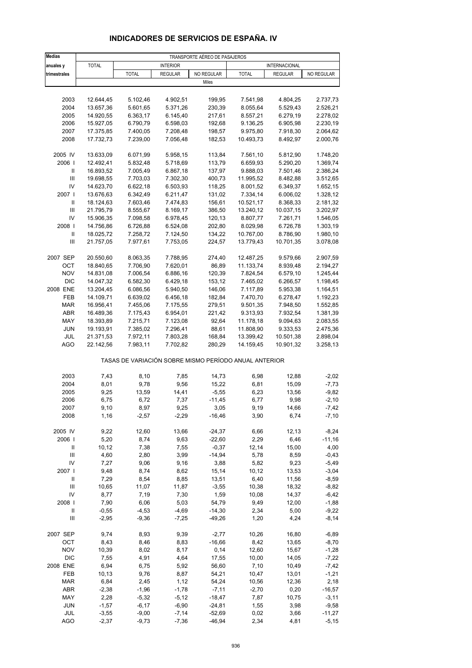| <b>Medias</b>                      | TRANSPORTE AÉREO DE PASAJEROS |                    |                    |                      |                                                       |                      |                    |  |
|------------------------------------|-------------------------------|--------------------|--------------------|----------------------|-------------------------------------------------------|----------------------|--------------------|--|
| anuales y                          | <b>TOTAL</b>                  |                    | <b>INTERIOR</b>    |                      |                                                       | <b>INTERNACIONAL</b> |                    |  |
| trimestrales                       |                               | <b>TOTAL</b>       | <b>REGULAR</b>     | NO REGULAR           | <b>TOTAL</b>                                          | <b>REGULAR</b>       | NO REGULAR         |  |
|                                    |                               |                    |                    | Miles                |                                                       |                      |                    |  |
|                                    |                               |                    |                    |                      |                                                       |                      |                    |  |
| 2003                               | 12.644,45                     | 5.102,46           | 4.902,51           | 199,95               | 7.541,98                                              | 4.804,25             | 2.737,73           |  |
| 2004                               | 13.657,36                     | 5.601,65           | 5.371,26           | 230,39               | 8.055,64                                              | 5.529,43             | 2.526,21           |  |
| 2005                               | 14.920,55                     | 6.363,17           | 6.145,40           | 217,61               | 8.557,21                                              | 6.279,19             | 2.278,02           |  |
| 2006                               | 15.927,05                     | 6.790,79           | 6.598,03           | 192,68               | 9.136,25                                              | 6.905,98             | 2.230,19           |  |
| 2007                               | 17.375,85                     | 7.400,05           | 7.208,48           | 198,57               | 9.975,80                                              | 7.918,30             | 2.064,62           |  |
| 2008                               | 17.732,73                     | 7.239,00           | 7.056,48           | 182,53               | 10.493,73                                             | 8.492,97             | 2.000,76           |  |
|                                    |                               |                    |                    |                      |                                                       |                      |                    |  |
| 2005 IV                            | 13.633,09                     | 6.071,99           | 5.958,15           | 113,84               | 7.561,10                                              | 5.812,90             | 1.748,20           |  |
| 2006                               | 12.492,41                     | 5.832,48           | 5.718,69           | 113,79               | 6.659,93                                              | 5.290,20             | 1.369,74           |  |
| Ш                                  | 16.893,52                     | 7.005,49           | 6.867,18           | 137,97               | 9.888,03                                              | 7.501,46             | 2.386,24           |  |
| $\ensuremath{\mathsf{III}}\xspace$ | 19.698,55                     | 7.703,03           | 7.302,30           | 400,73               | 11.995,52                                             | 8.482,88             | 3.512,65           |  |
| IV                                 | 14.623,70                     | 6.622,18           | 6.503,93           | 118,25               | 8.001,52                                              | 6.349,37             | 1.652,15           |  |
| 2007 l                             | 13.676,63                     | 6.342,49           | 6.211,47           | 131,02               | 7.334,14                                              | 6.006,02             | 1.328,12           |  |
| Ш                                  | 18.124,63                     | 7.603,46           | 7.474,83           | 156,61               | 10.521,17                                             | 8.368,33             | 2.181,32           |  |
| Ш                                  | 21.795,79                     | 8.555,67           | 8.169,17           | 386,50               | 13.240,12                                             | 10.037,15            | 3.202,97           |  |
| IV                                 | 15.906,35                     | 7.098,58           | 6.978,45           | 120,13               | 8.807,77                                              | 7.261,71             | 1.546,05           |  |
| 2008                               | 14.756,86                     | 6.726,88           | 6.524,08           | 202,80               | 8.029,98                                              | 6.726,78             | 1.303,19           |  |
| $\, \parallel$                     | 18.025,72                     | 7.258,72           | 7.124,50           | 134,22               | 10.767,00                                             | 8.786,90             | 1.980,10           |  |
| Ш                                  | 21.757,05                     | 7.977,61           | 7.753,05           | 224,57               | 13.779,43                                             | 10.701,35            | 3.078,08           |  |
| 2007 SEP                           | 20.550,60                     | 8.063,35           | 7.788,95           | 274,40               | 12.487,25                                             | 9.579,66             | 2.907,59           |  |
| OCT                                | 18.840,65                     | 7.706,90           | 7.620,01           | 86,89                | 11.133,74                                             | 8.939,48             | 2.194,27           |  |
| <b>NOV</b>                         | 14.831,08                     | 7.006,54           | 6.886,16           | 120,39               | 7.824,54                                              | 6.579,10             | 1.245,44           |  |
| <b>DIC</b>                         | 14.047,32                     | 6.582,30           | 6.429,18           | 153,12               | 7.465,02                                              | 6.266,57             | 1.198,45           |  |
| 2008 ENE                           | 13.204,45                     | 6.086,56           | 5.940,50           | 146,06               | 7.117,89                                              | 5.953,38             | 1.164,51           |  |
| FEB                                | 14.109,71                     | 6.639,02           | 6.456,18           | 182,84               | 7.470,70                                              | 6.278,47             | 1.192,23           |  |
| <b>MAR</b>                         | 16.956,41                     | 7.455,06           | 7.175,55           | 279,51               | 9.501,35                                              | 7.948,50             | 1.552,85           |  |
| <b>ABR</b>                         | 16.489,36                     | 7.175,43           | 6.954,01           | 221,42               | 9.313,93                                              | 7.932,54             | 1.381,39           |  |
| MAY                                | 18.393,89                     | 7.215,71           | 7.123,08           | 92,64                | 11.178,18                                             | 9.094,63             | 2.083,55           |  |
| <b>JUN</b>                         | 19.193,91                     | 7.385,02           | 7.296,41           | 88,61                | 11.808,90                                             | 9.333,53             | 2.475,36           |  |
| <b>JUL</b>                         | 21.371,53                     | 7.972,11           | 7.803,28           | 168,84               | 13.399,42                                             | 10.501,38            | 2.898,04           |  |
| <b>AGO</b>                         | 22.142,56                     | 7.983,11           | 7.702,82           | 280,29               | 14.159,45                                             | 10.901,32            | 3.258,13           |  |
|                                    |                               |                    |                    |                      | TASAS DE VARIACIÓN SOBRE MISMO PERÍODO ANUAL ANTERIOR |                      |                    |  |
| 2003                               | 7,43                          | 8,10               | 7,85               | 14,73                | 6,98                                                  | 12,88                | $-2,02$            |  |
| 2004                               | 8,01                          | 9,78               | 9,56               | 15,22                | 6,81                                                  | 15,09                | $-7,73$            |  |
| 2005                               | 9,25                          | 13,59              | 14,41              | $-5,55$              | 6,23                                                  | 13,56                | $-9,82$            |  |
| 2006                               | 6,75                          | 6,72               | 7,37               | $-11,45$             | 6,77                                                  | 9,98                 | $-2,10$            |  |
| 2007                               | 9,10                          | 8,97               | 9,25               | 3,05                 | 9,19                                                  | 14,66                | -7,42              |  |
| 2008                               | 1,16                          | $-2,57$            | $-2,29$            | $-16,46$             | 3,90                                                  | 6,74                 | $-7,10$            |  |
|                                    |                               |                    |                    |                      |                                                       |                      |                    |  |
| 2005 IV                            | 9,22                          | 12,60              | 13,66              | $-24,37$             | 6,66                                                  | 12,13                | $-8,24$            |  |
| 2006                               | 5,20                          | 8,74               | 9,63               | $-22,60$             | 2,29                                                  | 6,46                 | $-11,16$           |  |
| Ш                                  | 10, 12                        | 7,38               | 7,55               | $-0,37$              | 12,14                                                 | 15,00                | 4,00               |  |
| $\ensuremath{\mathsf{III}}\xspace$ | 4,60                          | 2,80               | 3,99               | $-14,94$             | 5,78                                                  | 8,59                 | $-0,43$            |  |
| IV<br>2007 l                       | 7,27                          | 9,06               | 9,16<br>8,62       | 3,88                 | 5,82                                                  | 9,23                 | $-5,49$            |  |
| Ш                                  | 9,48<br>7,29                  | 8,74<br>8,54       |                    | 15,14                | 10, 12<br>6,40                                        | 13,53<br>11,56       | $-3,04$            |  |
| Ш                                  | 10,65                         | 11,07              | 8,85<br>11,87      | 13,51<br>$-3,55$     | 10,38                                                 | 18,32                | $-8,59$<br>$-8,82$ |  |
| IV                                 | 8,77                          | 7,19               | 7,30               | 1,59                 | 10,08                                                 | 14,37                | $-6,42$            |  |
| 2008                               | 7,90                          | 6,06               | 5,03               | 54,79                | 9,49                                                  | 12,00                | $-1,88$            |  |
| Ш                                  | $-0,55$                       | $-4,53$            | $-4,69$            | $-14,30$             | 2,34                                                  | 5,00                 | $-9,22$            |  |
| $\ensuremath{\mathsf{III}}\xspace$ | $-2,95$                       | $-9,36$            | $-7,25$            | $-49,26$             | 1,20                                                  | 4,24                 | $-8,14$            |  |
|                                    |                               |                    |                    |                      |                                                       |                      |                    |  |
| 2007 SEP                           | 9,74                          | 8,93               | 9,39               | $-2,77$              | 10,26                                                 | 16,80                | $-6,89$            |  |
| OCT                                | 8,43                          | 8,46               | 8,83               | $-16,66$             | 8,42                                                  | 13,65                | $-8,70$            |  |
| <b>NOV</b>                         | 10,39                         | 8,02               | 8,17               | 0,14                 | 12,60                                                 | 15,67                | $-1,28$            |  |
| <b>DIC</b>                         | 7,55                          | 4,91               | 4,64               | 17,55                | 10,00                                                 | 14,05                | $-7,22$            |  |
| 2008 ENE                           | 6,94                          | 6,75               | 5,92               | 56,60                | 7,10                                                  | 10,49                | $-7,42$            |  |
| FEB                                | 10,13                         | 9,76               | 8,87               | 54,21                | 10,47                                                 | 13,01                | $-1,21$            |  |
| <b>MAR</b>                         | 6,84                          | 2,45               | 1,12               | 54,24                | 10,56                                                 | 12,36                | 2,18               |  |
| ABR                                | $-2,38$                       | $-1,96$            | $-1,78$            | $-7,11$              | $-2,70$                                               | 0,20                 | $-16,57$           |  |
| MAY<br>JUN                         | 2,28<br>$-1,57$               | $-5,32$<br>$-6,17$ | $-5,12$<br>$-6,90$ | $-18,47$<br>$-24,81$ | 7,87<br>1,55                                          | 10,75<br>3,98        | $-3,11$<br>$-9,58$ |  |
| JUL                                | $-3,55$                       | $-9,00$            | $-7,14$            | $-52,69$             | 0,02                                                  | 3,66                 | $-11,27$           |  |
| <b>AGO</b>                         | $-2,37$                       | $-9,73$            | $-7,36$            | $-46,94$             | 2,34                                                  | 4,81                 | $-5,15$            |  |
|                                    |                               |                    |                    |                      |                                                       |                      |                    |  |

## **INDICADORES DE SERVICIOS DE ESPAÑA. IV**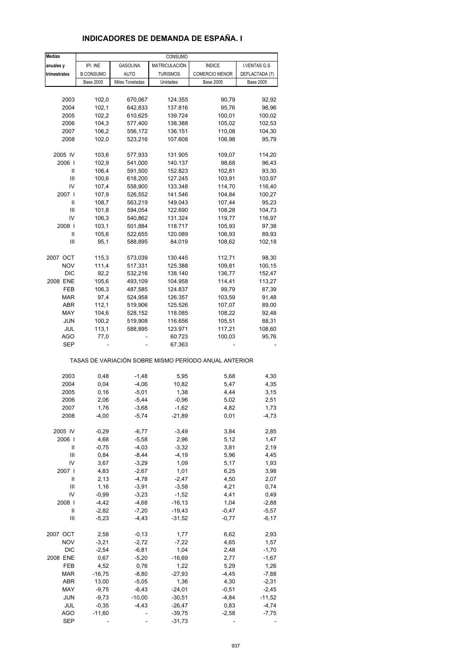#### **anuales y IPI. INE GASOLINA MATRICULACIÓN ÍNDICE I. VENTAS G.S. trimestrales** | B.CONSUMO | AUTO | TURISMOS | COMERCIO MENOR | DEFLACTADA (7) Base 2000 Miles Toneladas Unidades Base 2005 Base 2005 2003 102,0 670,067 124.355 90,79 92,92 2004 102,1 642,833 137.816 95,76 96,96 2005 102,2 610,625 139.724 100,01 100,02 2006 104,3 577,400 138.388 105,02 102,53 2007 106,2 556,172 136.151 110,08 104,30 2008 102,0 523,216 107.608 106,98 95,79 2005 IV 103,6 577,933 131.905 109,07 114,20 2006 I 102,9 541,000 140.137 98,68 96,43 II 106,4 591,500 152.823 102,81 93,30 III 100,6 618,200 127.245 103,91 103,97 IV 107,4 558,900 133.348 114,70 116,40 2007 I 107,9 526,552 141.546 104,84 100,27 II 108,7 563,219 149.043 107,44 95,23 III 101,8 594,054 122.690 108,28 104,73 IV 106,3 540,862 131.324 119,77 116,97 2008 I 103,1 501,884 118.717 105,93 97,38 II 105,6 522,655 120.089 106,93 89,93 III 95,1 588,895 84.019 108,62 102,18 2007 OCT 115,3 573,039 130.445 112,71 98,30 NOV 111,4 517,331 125.388 109,81 100,15 DIC 92,2 532,216 138.140 136,77 152,47 2008 ENE 105,6 493,109 104.958 114,41 113,27 FEB 106,3 487,585 124.837 99,79 87,39 MAR 97,4 524,958 126.357 103,59 91,48 ABR 112,1 519,906 125.526 107,07 89,00 MAY 104,6 528,152 118.085 108,22 92,48 JUN 100,2 519,908 116.656 105,51 88,31 JUL 113,1 588,895 123.971 117,21 108,60 AGO 77,0 - 60.723 100,03 95,76 SEP - - 67.363 - - - - -TASAS DE VARIACIÓN SOBRE MISMO PERÍODO ANUAL ANTERIOR 2003 0,48 -1,48 5,95 5,68 4,30 2004 0,04 -4,06 10,82 5,47 4,35 2005 0,16 -5,01 1,38 4,44 3,15 2006 2,06 -5,44 -0,96 5,02 2,51 2007 1,76 -3,68 -1,62 4,82 1,73 2008 -4,00 -5,74 -21,89 0,01 -4,73 2005 IV -0,29 -6,77 -3,49 3,84 2,85 2006 I 4,68 -5,58 2,96 5,12 1,47 II -0,75 -4,03 -3,32 3,81 2,19 III 0,84 -8,44 -4,19 5,96 4,45 IV 3,67 -3,29 1,09 5,17 1,93 2007 I 4,83 -2,67 1,01 6,25 3,98  $11$  2,13 -4,78 -2,47 4,50 2,07 III 1,16 -3,91 -3,58 4,21 0,74 IV -0,99 -3,23 -1,52 4,41 0,49 2008 I -4,42 -4,68 -16,13 1,04 -2,88 II -2,82 -7,20 -19,43 -0,47 -5,57 III -5,23 -4,43 -31,52 -0,77 -6,17 2007 OCT 2,58 -0,13 1,77 6,62 2,93 NOV -3,21 -2,72 -7,22 4,65 1,57 DIC -2,54 -6,81 1,04 2,48 -1,70 2008 ENE 0,67 -5,20 -16,69 2,77 -1,67 FEB 4,52 0,76 1,22 5,29 1,26 MAR -16,75 -8,80 -27,93 -4,45 -7,88 ABR 13,00 -5,05 1,36 4,30 -2,31

MAY -9,75 -6,43 -24,01 -0,51 -2,45 JUN -9,73 -10,00 -30,51 -4,84 -11,52 JUL -0,35 -4,43 -26,47 0,83 -4,74 AGO -11,60 - -39,75 -2,58 -7,75 SEP - - - - - -31,73 - - - - -

#### **INDICADORES DE DEMANDA DE ESPAÑA. I**

CONSUMO

**Medias**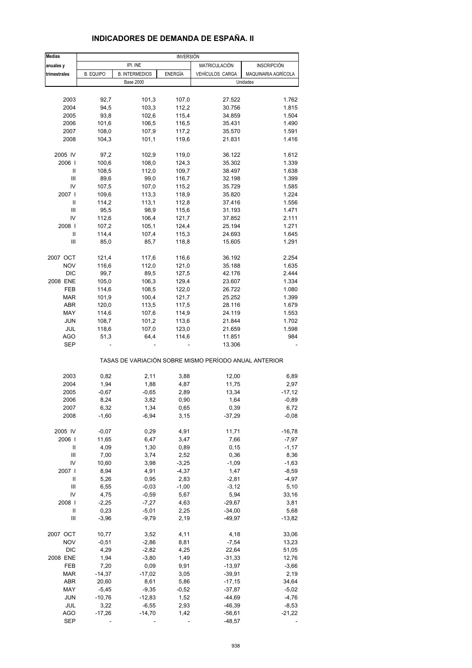| <b>Medias</b> | <b>INVERSIÓN</b> |                       |         |                                                       |                     |  |  |
|---------------|------------------|-----------------------|---------|-------------------------------------------------------|---------------------|--|--|
| anuales y     |                  | IPI. INE              |         | MATRICULACIÓN<br><b>INSCRIPCIÓN</b>                   |                     |  |  |
| trimestrales  | <b>B. EQUIPO</b> | <b>B. INTERMEDIOS</b> | ENERGÍA | VEHÍCULOS CARGA                                       | MAQUINARIA AGRÍCOLA |  |  |
|               |                  | <b>Base 2000</b>      |         |                                                       | Unidades            |  |  |
|               |                  |                       |         |                                                       |                     |  |  |
| 2003          | 92,7             | 101,3                 | 107,0   | 27.522                                                | 1.762               |  |  |
| 2004          | 94,5             | 103,3                 | 112,2   | 30.756                                                | 1.815               |  |  |
|               |                  |                       |         |                                                       |                     |  |  |
| 2005          | 93,8             | 102,6                 | 115,4   | 34.859                                                | 1.504               |  |  |
| 2006          | 101,6            | 106,5                 | 116,5   | 35.431                                                | 1.490               |  |  |
| 2007          | 108,0            | 107,9                 | 117,2   | 35.570                                                | 1.591               |  |  |
| 2008          | 104,3            | 101,1                 | 119,6   | 21.831                                                | 1.416               |  |  |
| 2005 IV       | 97,2             | 102,9                 | 119,0   | 36.122                                                | 1.612               |  |  |
| 2006          | 100,6            | 108,0                 | 124,3   | 35.302                                                | 1.339               |  |  |
| Ш             |                  |                       |         |                                                       |                     |  |  |
|               | 108,5            | 112,0                 | 109,7   | 38.497                                                | 1.638               |  |  |
| Ш             | 89,6             | 99,0                  | 116,7   | 32.198                                                | 1.399               |  |  |
| IV            | 107,5            | 107,0                 | 115,2   | 35.729                                                | 1.585               |  |  |
| 2007 l        | 109,6            | 113,3                 | 118,9   | 35.820                                                | 1.224               |  |  |
| Ш             | 114,2            | 113,1                 | 112,8   | 37.416                                                | 1.556               |  |  |
| Ш             | 95,5             | 98,9                  | 115,6   | 31.193                                                | 1.471               |  |  |
|               |                  |                       |         |                                                       |                     |  |  |
| IV            | 112,6            | 106,4                 | 121,7   | 37.852                                                | 2.111               |  |  |
| 2008          | 107,2            | 105,1                 | 124,4   | 25.194                                                | 1.271               |  |  |
| Ш             | 114,4            | 107,4                 | 115,3   | 24.693                                                | 1.645               |  |  |
| Ш             | 85,0             | 85,7                  | 118,8   | 15.605                                                | 1.291               |  |  |
|               |                  |                       |         |                                                       |                     |  |  |
| 2007 OCT      | 121,4<br>116,6   | 117,6                 | 116,6   | 36.192                                                | 2.254               |  |  |
| <b>NOV</b>    |                  | 112,0                 | 121,0   | 35.188                                                | 1.635               |  |  |
| <b>DIC</b>    | 99,7             | 89,5                  | 127,5   | 42.176                                                | 2.444               |  |  |
| 2008 ENE      | 105,0            | 106,3                 | 129,4   | 23.607                                                | 1.334               |  |  |
| <b>FEB</b>    | 114,6            | 108,5                 | 122,0   | 26.722                                                | 1.080               |  |  |
| <b>MAR</b>    | 101,9            | 100,4                 | 121,7   | 25.252                                                | 1.399               |  |  |
| <b>ABR</b>    | 120,0            | 113,5                 |         | 28.116                                                | 1.679               |  |  |
|               |                  |                       | 117,5   |                                                       |                     |  |  |
| MAY           | 114,6            | 107,6                 | 114,9   | 24.119                                                | 1.553               |  |  |
| <b>JUN</b>    | 108,7            | 101,2                 | 113,6   | 21.844                                                | 1.702               |  |  |
| JUL           | 118,6            | 107,0                 | 123,0   | 21.659                                                | 1.598               |  |  |
| <b>AGO</b>    | 51,3             | 64,4                  | 114,6   | 11.851                                                | 984                 |  |  |
| SEP           |                  |                       |         | 13.306                                                |                     |  |  |
|               |                  |                       |         | TASAS DE VARIACIÓN SOBRE MISMO PERÍODO ANUAL ANTERIOR |                     |  |  |
|               |                  |                       |         |                                                       |                     |  |  |
| 2003          | 0,82             | 2,11                  | 3,88    | 12,00                                                 | 6,89                |  |  |
| 2004          | 1,94             | 1,88                  | 4,87    | 11,75                                                 | 2,97                |  |  |
| 2005          | $-0,67$          | $-0,65$               | 2,89    | 13,34                                                 | $-17,12$            |  |  |
| 2006          | 8,24             | 3,82                  | 0,90    | 1,64                                                  | $-0,89$             |  |  |
| 2007          | 6,32             | 1,34                  | 0,65    | 0,39                                                  | 6,72                |  |  |
| 2008          | $-1,60$          | $-6,94$               | 3,15    | $-37,29$                                              | $-0,08$             |  |  |
|               |                  |                       |         |                                                       |                     |  |  |
| 2005 IV       | $-0,07$          | 0,29                  | 4,91    | 11,71                                                 | $-16,78$            |  |  |
| 2006          | 11,65            | 6,47                  | 3,47    | 7,66                                                  | $-7,97$             |  |  |
| Ш             | 4,09             | 1,30                  | 0,89    | 0, 15                                                 | $-1,17$             |  |  |
| Ш             | 7,00             | 3,74                  | 2,52    | 0,36                                                  | 8,36                |  |  |
|               |                  |                       |         |                                                       |                     |  |  |
| IV            | 10,60            | 3,98                  | $-3,25$ | $-1,09$                                               | $-1,63$             |  |  |
| 2007          | 8,94             | 4,91                  | $-4,37$ | 1,47                                                  | $-8,59$             |  |  |
| Ш             | 5,26             | 0,95                  | 2,83    | $-2,81$                                               | $-4,97$             |  |  |
| Ш             | 6,55             | $-0,03$               | $-1,00$ | $-3,12$                                               | 5,10                |  |  |
| IV            | 4,75             | $-0,59$               | 5,67    | 5,94                                                  | 33,16               |  |  |
| 2008          | $-2,25$          | $-7,27$               |         | $-29,67$                                              | 3,81                |  |  |
|               |                  |                       | 4,63    |                                                       |                     |  |  |
| Ш             | 0,23             | $-5,01$               | 2,25    | $-34,00$                                              | 5,68                |  |  |
| Ш             | $-3,96$          | $-9,79$               | 2,19    | $-49,97$                                              | $-13,82$            |  |  |
| 2007 OCT      | 10,77            | 3,52                  | 4,11    | 4,18                                                  | 33,06               |  |  |
| <b>NOV</b>    | $-0,51$          | $-2,86$               | 8,81    | $-7,54$                                               | 13,23               |  |  |
| <b>DIC</b>    | 4,29             | $-2,82$               | 4,25    | 22,64                                                 | 51,05               |  |  |
| 2008 ENE      | 1,94             | $-3,80$               |         |                                                       |                     |  |  |
|               |                  |                       | 1,49    | $-31,33$                                              | 12,76               |  |  |
| FEB           | 7,20             | 0,09                  | 9,91    | $-13,97$                                              | $-3,66$             |  |  |
| <b>MAR</b>    | $-14,37$         | $-17,02$              | 3,05    | $-39,91$                                              | 2,19                |  |  |
| <b>ABR</b>    | 20,60            | 8,61                  | 5,86    | $-17,15$                                              | 34,64               |  |  |
| MAY           | $-5,45$          | $-9,35$               | $-0,52$ | $-37,87$                                              | $-5,02$             |  |  |
| <b>JUN</b>    | $-10,76$         | $-12,83$              | 1,52    | $-44,69$                                              | $-4,76$             |  |  |
|               |                  |                       |         |                                                       |                     |  |  |
| JUL           | 3,22             | $-6,55$               | 2,93    | $-46,39$                                              | $-8,53$             |  |  |
| <b>AGO</b>    | $-17,26$         | $-14,70$              | 1,42    | $-56,61$                                              | $-21,22$            |  |  |

#### **INDICADORES DE DEMANDA DE ESPAÑA. II**

SEP - - - -48,57 -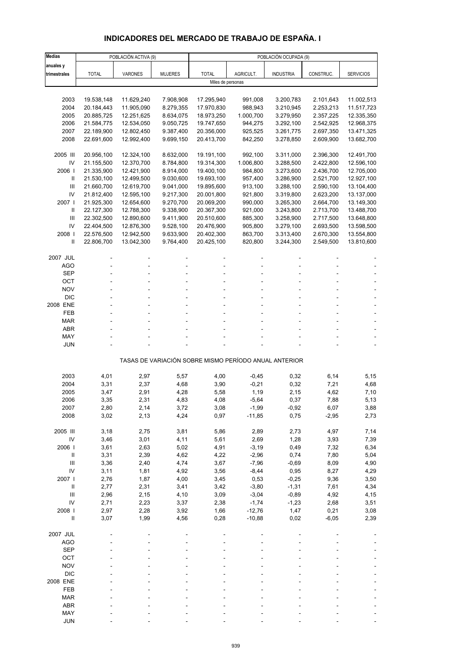## **INDICADORES DEL MERCADO DE TRABAJO DE ESPAÑA. I**

| <b>Medias</b>            |                          | POBLACIÓN ACTIVA (9)     |                        | POBLACIÓN OCUPADA (9)    |                    |                                                       |                        |                          |
|--------------------------|--------------------------|--------------------------|------------------------|--------------------------|--------------------|-------------------------------------------------------|------------------------|--------------------------|
| anuales y                |                          |                          |                        |                          |                    |                                                       |                        |                          |
| trimestrales             | <b>TOTAL</b>             | VARONES                  | <b>MUJERES</b>         | <b>TOTAL</b>             | AGRICULT.          | <b>INDUSTRIA</b>                                      | CONSTRUC.              | <b>SERVICIOS</b>         |
|                          |                          |                          |                        | Miles de personas        |                    |                                                       |                        |                          |
|                          |                          | 11.629,240               |                        |                          | 991,008            |                                                       |                        |                          |
| 2003<br>2004             | 19.538,148<br>20.184,443 | 11.905,090               | 7.908,908<br>8.279,355 | 17.295,940<br>17.970,830 | 988,943            | 3.200,783<br>3.210,945                                | 2.101,643<br>2.253,213 | 11.002,513<br>11.517,723 |
| 2005                     | 20.885,725               | 12.251,625               | 8.634,075              | 18.973,250               | 1.000,700          | 3.279,950                                             | 2.357,225              | 12.335,350               |
| 2006                     | 21.584,775               | 12.534,050               | 9.050,725              | 19.747,650               | 944,275            | 3.292,100                                             | 2.542,925              | 12.968,375               |
| 2007                     | 22.189,900               | 12.802,450               | 9.387,400              | 20.356,000               | 925,525            | 3.261,775                                             | 2.697,350              | 13.471,325               |
| 2008                     | 22.691,600               | 12.992,400               | 9.699,150              | 20.413,700               | 842,250            | 3.278,850                                             | 2.609,900              | 13.682,700               |
|                          |                          |                          |                        |                          |                    |                                                       |                        |                          |
| 2005 III                 | 20.956,100               | 12.324,100               | 8.632,000              | 19.191,100               | 992,100            | 3.311,000                                             | 2.396,300              | 12.491,700               |
| IV                       | 21.155,500               | 12.370,700               | 8.784,800              | 19.314,300               | 1.006,800          | 3.288,500                                             | 2.422,800              | 12.596,100               |
| 2006                     | 21.335,900               | 12.421,900               | 8.914,000              | 19.400,100               | 984,800            | 3.273,600                                             | 2.436,700              | 12.705,000               |
| Ш                        | 21.530,100               | 12.499,500               | 9.030,600              | 19.693,100               | 957,400            | 3.286,900                                             | 2.521,700              | 12.927,100               |
| Ш<br>IV                  | 21.660,700               | 12.619,700               | 9.041,000              | 19.895,600               | 913,100            | 3.288,100                                             | 2.590,100              | 13.104,400               |
| 2007 l                   | 21.812,400<br>21.925,300 | 12.595,100<br>12.654,600 | 9.217,300<br>9.270,700 | 20.001,800<br>20.069,200 | 921,800<br>990,000 | 3.319,800<br>3.265,300                                | 2.623,200<br>2.664,700 | 13.137,000<br>13.149,300 |
| Ш                        | 22.127,300               | 12.788,300               | 9.338,900              | 20.367,300               | 921,000            | 3.243,800                                             | 2.713,700              | 13.488,700               |
| Ш                        | 22.302,500               | 12.890,600               | 9.411,900              | 20.510,600               | 885,300            | 3.258,900                                             | 2.717,500              | 13.648,800               |
| IV                       | 22.404,500               | 12.876,300               | 9.528,100              | 20.476,900               | 905,800            | 3.279,100                                             | 2.693,500              | 13.598,500               |
| 2008                     | 22.576,500               | 12.942,500               | 9.633,900              | 20.402,300               | 863,700            | 3.313,400                                             | 2.670,300              | 13.554,800               |
| Ш                        | 22.806,700               | 13.042,300               | 9.764,400              | 20.425,100               | 820,800            | 3.244,300                                             | 2.549,500              | 13.810,600               |
|                          |                          |                          |                        |                          |                    |                                                       |                        |                          |
| 2007 JUL                 |                          |                          |                        |                          |                    |                                                       |                        |                          |
| <b>AGO</b>               |                          |                          |                        |                          |                    |                                                       |                        |                          |
| <b>SEP</b>               |                          |                          |                        |                          |                    |                                                       |                        |                          |
| OCT<br><b>NOV</b>        |                          |                          |                        |                          |                    |                                                       |                        |                          |
| <b>DIC</b>               |                          |                          |                        |                          |                    |                                                       |                        |                          |
| 2008 ENE                 |                          |                          |                        |                          |                    |                                                       |                        |                          |
| FEB                      |                          |                          |                        |                          |                    |                                                       |                        |                          |
| <b>MAR</b>               |                          |                          |                        |                          |                    |                                                       |                        |                          |
| <b>ABR</b>               |                          |                          |                        |                          |                    |                                                       |                        |                          |
| MAY                      |                          |                          |                        |                          |                    |                                                       |                        |                          |
| <b>JUN</b>               |                          |                          |                        |                          |                    |                                                       |                        |                          |
|                          |                          |                          |                        |                          |                    | TASAS DE VARIACIÓN SOBRE MISMO PERÍODO ANUAL ANTERIOR |                        |                          |
|                          |                          |                          |                        |                          |                    |                                                       |                        |                          |
| 2003                     | 4,01                     | 2,97                     | 5,57                   | 4,00                     | $-0,45$            | 0,32                                                  | 6,14                   | 5,15                     |
| 2004                     | 3,31                     | 2,37                     | 4,68                   | 3,90                     | $-0,21$            | 0,32                                                  | 7,21                   | 4,68                     |
| 2005<br>2006             | 3,47<br>3,35             | 2,91<br>2,31             | 4,28<br>4,83           | 5,58<br>4,08             | 1,19<br>$-5,64$    | 2,15<br>0,37                                          | 4,62<br>7,88           | 7,10<br>5,13             |
| 2007                     | 2,80                     | 2,14                     | 3,72                   | 3,08                     | $-1,99$            | -0,92                                                 | 6,07                   | 3,88                     |
| 2008                     | 3,02                     | 2,13                     | 4,24                   | 0,97                     | $-11,85$           | 0,75                                                  | $-2,95$                | 2,73                     |
|                          |                          |                          |                        |                          |                    |                                                       |                        |                          |
| 2005 III                 | 3,18                     | 2,75                     | 3,81                   | 5,86                     | 2,89               | 2,73                                                  | 4,97                   | 7,14                     |
| IV                       | 3,46                     | 3,01                     | 4,11                   | 5,61                     | 2,69               | 1,28                                                  | 3,93                   | 7,39                     |
| 2006                     | 3,61                     | 2,63                     | 5,02                   | 4,91                     | $-3,19$            | 0,49                                                  | 7,32                   | 6,34                     |
| $\, \parallel$           | 3,31                     | 2,39                     | 4,62                   | 4,22                     | $-2,96$            | 0,74                                                  | 7,80                   | 5,04                     |
| Ш                        | 3,36                     | 2,40                     | 4,74                   | 3,67                     | $-7,96$            | $-0,69$                                               | 8,09                   | 4,90                     |
| IV<br>2007 l             | 3,11<br>2,76             | 1,81<br>1,87             | 4,92                   | 3,56<br>3,45             | $-8,44$<br>0,53    | 0,95<br>$-0,25$                                       | 8,27<br>9,36           | 4,29<br>3,50             |
| $\, \parallel$           | 2,77                     | 2,31                     | 4,00<br>3,41           | 3,42                     | $-3,80$            | $-1,31$                                               | 7,61                   | 4,34                     |
| Ш                        | 2,96                     | 2,15                     | 4,10                   | 3,09                     | $-3,04$            | $-0,89$                                               | 4,92                   | 4,15                     |
| IV                       | 2,71                     | 2,23                     | 3,37                   | 2,38                     | $-1,74$            | $-1,23$                                               | 2,68                   | 3,51                     |
| 2008                     | 2,97                     | 2,28                     | 3,92                   | 1,66                     | $-12,76$           | 1,47                                                  | 0,21                   | 3,08                     |
| $\sf II$                 | 3,07                     | 1,99                     | 4,56                   | 0,28                     | $-10,88$           | 0,02                                                  | $-6,05$                | 2,39                     |
|                          |                          |                          |                        |                          |                    |                                                       |                        |                          |
| 2007 JUL                 |                          |                          |                        |                          |                    |                                                       |                        |                          |
| <b>AGO</b><br><b>SEP</b> |                          |                          |                        |                          |                    |                                                       |                        |                          |
| OCT                      |                          |                          |                        |                          |                    |                                                       |                        |                          |
| <b>NOV</b>               |                          |                          |                        |                          |                    |                                                       |                        |                          |
| <b>DIC</b>               |                          |                          |                        |                          |                    |                                                       |                        |                          |
| 2008 ENE                 |                          |                          |                        |                          |                    |                                                       |                        |                          |
| FEB                      |                          |                          |                        |                          |                    |                                                       |                        |                          |
| <b>MAR</b>               |                          |                          |                        |                          |                    |                                                       |                        |                          |
| <b>ABR</b>               |                          |                          |                        |                          |                    |                                                       |                        |                          |
| MAY                      |                          |                          |                        |                          |                    |                                                       |                        |                          |
| <b>JUN</b>               |                          |                          |                        |                          |                    |                                                       |                        |                          |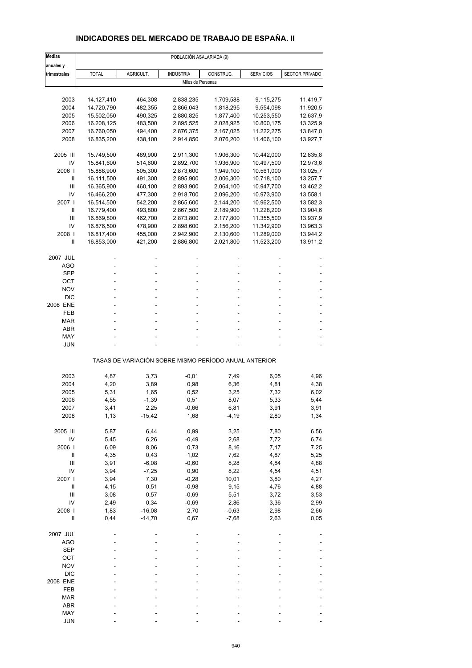## **INDICADORES DEL MERCADO DE TRABAJO DE ESPAÑA. II**

| <b>Medias</b>              |                          |                    |                        | POBLACIÓN ASALARIADA (9)                              |                          |                      |
|----------------------------|--------------------------|--------------------|------------------------|-------------------------------------------------------|--------------------------|----------------------|
| anuales y                  |                          |                    |                        |                                                       |                          |                      |
| trimestrales               | <b>TOTAL</b>             | AGRICULT.          | <b>INDUSTRIA</b>       | CONSTRUC.                                             | <b>SERVICIOS</b>         | SECTOR PRIVADO       |
|                            |                          |                    |                        | Miles de Personas                                     |                          |                      |
| 2003                       |                          |                    |                        |                                                       |                          |                      |
|                            | 14.127,410<br>14.720,790 | 464,308            | 2.838,235              | 1.709,588                                             | 9.115,275                | 11.419,7             |
| 2004                       |                          | 482,355            | 2.866,043              | 1.818,295                                             | 9.554,098                | 11.920,5             |
| 2005<br>2006               | 15.502,050               | 490,325            | 2.880,825              | 1.877,400                                             | 10.253,550               | 12.637,9             |
| 2007                       | 16.208,125<br>16.760,050 | 483,500            | 2.895,525              | 2.028,925<br>2.167,025                                | 10.800,175               | 13.325,9             |
| 2008                       | 16.835,200               | 494,400<br>438,100 | 2.876,375<br>2.914,850 | 2.076,200                                             | 11.222,275<br>11.406,100 | 13.847,0<br>13.927,7 |
|                            |                          |                    |                        |                                                       |                          |                      |
| 2005 III                   | 15.749,500               | 489,900            | 2.911,300              | 1.906,300                                             | 10.442,000               | 12.835,8             |
| IV                         | 15.841,600               | 514,600            | 2.892,700              | 1.936,900                                             | 10.497,500               | 12.973,6             |
| 2006                       | 15.888,900               | 505,300            | 2.873,600              | 1.949,100                                             | 10.561,000               | 13.025,7             |
| Ш                          | 16.111,500               | 491,300            | 2.895,900              | 2.006,300                                             | 10.718,100               | 13.257,7             |
| III                        | 16.365,900               | 460,100            | 2.893,900              | 2.064,100                                             | 10.947,700               | 13.462,2             |
| IV                         | 16.466,200               | 477,300            | 2.918,700              | 2.096,200                                             | 10.973,900               | 13.558,1             |
| 2007 l                     | 16.514,500               | 542,200            | 2.865,600              | 2.144,200                                             | 10.962,500               | 13.582,3             |
| Ш                          | 16.779,400               | 493,800            | 2.867,500              | 2.189,900                                             | 11.228,200               | 13.904,6             |
| Ш                          | 16.869,800               | 462,700            | 2.873,800              | 2.177,800                                             | 11.355,500               | 13.937,9             |
| IV                         | 16.876,500               | 478,900            | 2.898,600              | 2.156,200                                             | 11.342,900               | 13.963,3             |
| 2008                       | 16.817,400               | 455,000            | 2.942,900              | 2.130,600                                             | 11.289,000               | 13.944,2             |
| Ш                          | 16.853,000               | 421,200            | 2.886,800              | 2.021,800                                             | 11.523,200               | 13.911,2             |
| 2007 JUL                   |                          |                    |                        |                                                       |                          |                      |
| AGO                        |                          |                    |                        |                                                       |                          |                      |
| <b>SEP</b>                 |                          |                    |                        |                                                       |                          |                      |
| ОСТ                        |                          |                    |                        |                                                       |                          |                      |
| <b>NOV</b>                 |                          |                    |                        |                                                       |                          |                      |
| <b>DIC</b>                 |                          |                    |                        |                                                       |                          |                      |
| 2008 ENE                   |                          |                    |                        |                                                       |                          |                      |
| FEB                        |                          |                    |                        |                                                       |                          |                      |
| <b>MAR</b>                 |                          |                    |                        |                                                       |                          |                      |
| <b>ABR</b>                 |                          |                    |                        |                                                       |                          |                      |
| MAY                        |                          |                    |                        |                                                       |                          |                      |
| JUN                        |                          |                    |                        |                                                       |                          |                      |
|                            |                          |                    |                        | TASAS DE VARIACIÓN SOBRE MISMO PERÍODO ANUAL ANTERIOR |                          |                      |
| 2003                       | 4,87                     | 3,73               | $-0,01$                | 7,49                                                  | 6,05                     | 4,96                 |
| 2004                       | 4,20                     | 3,89               | 0,98                   | 6,36                                                  | 4,81                     | 4,38                 |
| 2005                       | 5,31                     | 1,65               | 0,52                   | 3,25                                                  | 7,32                     | 6,02                 |
| 2006                       | 4,55                     | $-1,39$            | 0,51                   | 8,07                                                  | 5,33                     | 5,44                 |
| 2007                       | 3,41                     | 2,25               | $-0,66$                | 6,81                                                  | 3,91                     | 3,91                 |
| 2008                       | 1,13                     | $-15,42$           | 1,68                   | $-4,19$                                               | 2,80                     | 1,34                 |
| 2005 III                   | 5,87                     | 6,44               | 0,99                   | 3,25                                                  | 7,80                     | 6,56                 |
| IV                         | 5,45                     | 6,26               | $-0,49$                | 2,68                                                  | 7,72                     | 6,74                 |
| 2006                       | 6,09                     | 8,06               | 0,73                   | 8,16                                                  | 7,17                     | 7,25                 |
| Ш                          | 4,35                     | 0,43               | 1,02                   | 7,62                                                  | 4,87                     | 5,25                 |
| III                        | 3,91                     | $-6,08$            | $-0,60$                | 8,28                                                  | 4,84                     | 4,88                 |
| IV                         | 3,94                     | $-7,25$            | 0,90                   | 8,22                                                  | 4,54                     | 4,51                 |
| 2007 l                     | 3,94                     | 7,30               | $-0,28$                | 10,01                                                 | 3,80                     | 4,27                 |
| $\ensuremath{\mathsf{II}}$ | 4,15                     | 0,51               | $-0,98$                | 9,15                                                  | 4,76                     | 4,88                 |
| $\mathbf{III}$             | 3,08                     | 0,57               | $-0,69$                | 5,51                                                  | 3,72                     | 3,53                 |
| IV                         | 2,49                     | 0,34               | $-0,69$                | 2,86                                                  | 3,36                     | 2,99                 |
| 2008                       | 1,83                     | $-16,08$           | 2,70                   | $-0,63$                                               | 2,98                     | 2,66                 |
| $\sf II$                   | 0,44                     | $-14,70$           | 0,67                   | $-7,68$                                               | 2,63                     | 0,05                 |
| 2007 JUL                   |                          |                    |                        |                                                       |                          |                      |
| <b>AGO</b>                 |                          |                    |                        |                                                       |                          |                      |
| <b>SEP</b>                 |                          |                    |                        |                                                       |                          |                      |
| OCT                        |                          |                    |                        |                                                       |                          |                      |
| <b>NOV</b>                 |                          |                    |                        |                                                       |                          |                      |
| <b>DIC</b>                 |                          |                    |                        |                                                       |                          |                      |
| 2008 ENE                   |                          |                    |                        |                                                       |                          |                      |
| FEB                        |                          |                    |                        |                                                       |                          |                      |
| <b>MAR</b>                 |                          |                    |                        |                                                       |                          |                      |
| ABR                        |                          |                    |                        |                                                       |                          |                      |
| MAY                        |                          |                    |                        |                                                       |                          |                      |
| <b>JUN</b>                 |                          |                    |                        |                                                       |                          |                      |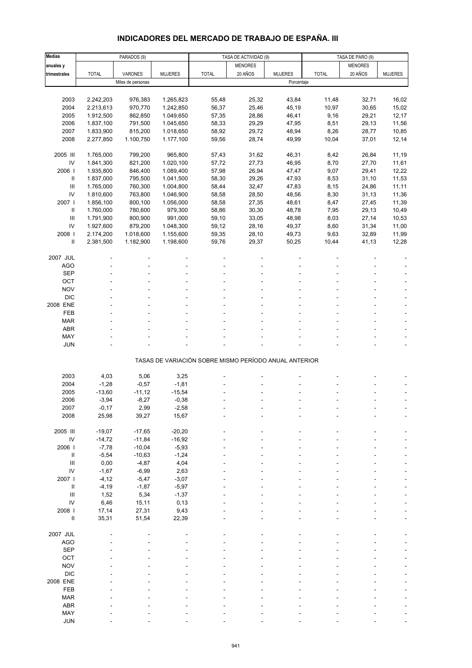# **INDICADORES DEL MERCADO DE TRABAJO DE ESPAÑA. III**

| <b>Medias</b>              |              | PARADOS (9)       |                |                                                       | TASA DE ACTIVIDAD (9) |                | TASA DE PARO (9) |                |                |
|----------------------------|--------------|-------------------|----------------|-------------------------------------------------------|-----------------------|----------------|------------------|----------------|----------------|
| anuales y                  |              |                   |                |                                                       | <b>MENORES</b>        |                |                  | <b>MENORES</b> |                |
| trimestrales               | <b>TOTAL</b> | <b>VARONES</b>    | <b>MUJERES</b> | <b>TOTAL</b>                                          | 20 AÑOS               | <b>MUJERES</b> | <b>TOTAL</b>     | 20 AÑOS        | <b>MUJERES</b> |
|                            |              | Miles de personas |                |                                                       |                       | Porcentaje     |                  |                |                |
|                            |              |                   |                |                                                       |                       |                |                  |                |                |
|                            |              |                   |                |                                                       |                       |                |                  |                |                |
| 2003                       | 2.242,203    | 976,383           | 1.265,823      | 55,48                                                 | 25,32                 | 43,84          | 11,48            | 32,71          | 16,02          |
| 2004                       | 2.213,613    | 970,770           | 1.242,850      | 56,37                                                 | 25,46                 | 45,19          | 10,97            | 30,65          | 15,02          |
| 2005                       | 1.912,500    | 862,850           | 1.049,650      | 57,35                                                 | 28,86                 | 46,41          | 9,16             | 29,21          | 12,17          |
| 2006                       | 1.837,100    | 791,500           | 1.045,650      | 58,33                                                 | 29,29                 | 47,95          | 8,51             | 29,13          | 11,56          |
| 2007                       | 1.833,900    | 815,200           | 1.018,650      | 58,92                                                 | 29,72                 | 48,94          | 8,26             | 28,77          | 10,85          |
| 2008                       | 2.277,850    | 1.100,750         | 1.177,100      | 59,56                                                 | 28,74                 | 49,99          | 10,04            | 37,01          | 12,14          |
|                            |              |                   |                |                                                       |                       |                |                  |                |                |
| 2005 III                   | 1.765,000    | 799,200           | 965,800        | 57,43                                                 | 31,62                 | 46,31          | 8,42             | 26,84          | 11,19          |
| $\mathsf{IV}$              | 1.841,300    | 821,200           | 1.020,100      | 57,72                                                 | 27,73                 | 46,95          | 8,70             | 27,70          | 11,61          |
| 2006                       | 1.935,800    | 846,400           | 1.089,400      | 57,98                                                 | 26,94                 | 47,47          | 9,07             | 29,41          | 12,22          |
| $\ensuremath{\mathsf{II}}$ | 1.837,000    | 795,500           | 1.041,500      | 58,30                                                 | 29,26                 | 47,93          | 8,53             | 31,10          | 11,53          |
| $\mathbf{III}$             | 1.765,000    | 760,300           | 1.004,800      | 58,44                                                 | 32,47                 | 47,83          | 8,15             | 24,86          | 11,11          |
| IV                         | 1.810,600    | 763,800           | 1.046,900      | 58,58                                                 | 28,50                 | 48,56          | 8,30             | 31,13          | 11,36          |
| 2007                       | 1.856,100    | 800,100           | 1.056,000      | 58,58                                                 | 27,35                 | 48,61          | 8,47             | 27,45          | 11,39          |
| Ш                          | 1.760,000    | 780,600           | 979,300        | 58,86                                                 | 30,30                 | 48,78          | 7,95             | 29,13          | 10,49          |
| Ш                          | 1.791,900    | 800,900           | 991,000        | 59,10                                                 | 33,05                 | 48,98          | 8,03             | 27,14          | 10,53          |
| IV                         | 1.927,600    | 879,200           | 1.048,300      | 59,12                                                 | 28,16                 | 49,37          | 8,60             | 31,34          | 11,00          |
| 2008                       | 2.174,200    | 1.018,600         | 1.155,600      | 59,35                                                 | 28,10                 | 49,73          | 9,63             | 32,89          | 11,99          |
| $\mathbf{I}$               | 2.381,500    | 1.182,900         | 1.198,600      | 59,76                                                 | 29,37                 | 50,25          | 10,44            | 41,13          | 12,28          |
|                            |              |                   |                |                                                       |                       |                |                  |                |                |
| 2007 JUL                   |              |                   |                |                                                       |                       |                |                  |                |                |
| <b>AGO</b>                 |              |                   |                |                                                       |                       |                |                  |                |                |
| <b>SEP</b>                 |              |                   |                |                                                       |                       |                |                  |                |                |
|                            |              |                   |                |                                                       |                       |                |                  |                |                |
| OCT                        |              |                   |                |                                                       |                       |                |                  |                |                |
| <b>NOV</b>                 |              |                   |                |                                                       |                       |                |                  |                |                |
| <b>DIC</b>                 |              |                   |                |                                                       |                       |                |                  |                |                |
| 2008 ENE                   |              |                   |                |                                                       |                       |                |                  |                |                |
| FEB                        |              |                   |                |                                                       |                       |                |                  |                |                |
| <b>MAR</b>                 |              |                   |                |                                                       |                       |                |                  |                |                |
| <b>ABR</b>                 |              |                   |                |                                                       |                       |                |                  |                |                |
| MAY                        |              |                   |                |                                                       |                       |                |                  |                |                |
| <b>JUN</b>                 |              |                   |                |                                                       |                       |                |                  |                |                |
|                            |              |                   |                | TASAS DE VARIACIÓN SOBRE MISMO PERÍODO ANUAL ANTERIOR |                       |                |                  |                |                |
|                            |              |                   |                |                                                       |                       |                |                  |                |                |
| 2003                       | 4,03         | 5,06              | 3,25           |                                                       |                       |                |                  |                |                |
| 2004                       | $-1,28$      | $-0,57$           | $-1,81$        |                                                       |                       |                |                  |                |                |
| 2005                       | $-13,60$     | $-11,12$          | $-15,54$       |                                                       |                       |                |                  |                |                |
| 2006                       | $-3,94$      | $-8,27$           | $-0,38$        |                                                       |                       |                |                  |                |                |
| 2007                       | $-0,17$      | 2,99              | $-2,58$        |                                                       |                       |                |                  |                |                |
| 2008                       | 25,98        | 39,27             | 15,67          |                                                       |                       |                |                  |                |                |
|                            |              |                   |                |                                                       |                       |                |                  |                |                |
| 2005 III                   | $-19,07$     | $-17,65$          | $-20,20$       |                                                       |                       |                |                  |                |                |
|                            |              |                   |                |                                                       |                       |                |                  |                |                |
| ${\sf IV}$                 | $-14,72$     | $-11,84$          | $-16,92$       |                                                       |                       |                |                  |                |                |
| 2006                       | $-7,78$      | $-10,04$          | $-5,93$        |                                                       |                       |                |                  |                |                |
| Ш                          | $-5,54$      | $-10,63$          | $-1,24$        |                                                       |                       |                |                  |                |                |
| $\mathbf{III}$             | 0,00         | $-4,87$           | 4,04           |                                                       |                       |                |                  |                |                |
| IV                         | $-1,67$      | $-6,99$           | 2,63           |                                                       |                       |                |                  |                |                |
| 2007 l                     | $-4, 12$     | $-5,47$           | $-3,07$        |                                                       |                       |                |                  |                |                |
| Ш                          | $-4,19$      | $-1,87$           | $-5,97$        |                                                       |                       |                |                  |                |                |
| $\mathbf{III}$             | 1,52         | 5,34              | $-1,37$        |                                                       |                       |                |                  |                |                |
| IV                         | 6,46         | 15,11             | 0, 13          |                                                       |                       |                |                  |                |                |
| 2008 l                     | 17,14        | 27,31             | 9,43           |                                                       |                       |                |                  |                |                |
| $\ensuremath{\mathsf{II}}$ | 35,31        | 51,54             | 22,39          |                                                       |                       |                |                  |                |                |
|                            |              |                   |                |                                                       |                       |                |                  |                |                |
| 2007 JUL                   |              |                   |                |                                                       |                       |                |                  |                |                |
| <b>AGO</b>                 |              |                   |                |                                                       |                       |                |                  |                |                |
| <b>SEP</b>                 |              |                   |                |                                                       |                       |                |                  |                |                |
| OCT                        |              |                   |                |                                                       |                       |                |                  |                |                |
| <b>NOV</b>                 |              |                   |                |                                                       |                       |                |                  |                |                |
| <b>DIC</b>                 |              |                   |                |                                                       |                       |                |                  |                |                |
| 2008 ENE                   |              |                   |                |                                                       |                       |                |                  |                |                |
| FEB                        |              |                   |                |                                                       |                       |                |                  |                |                |
| <b>MAR</b>                 |              |                   |                |                                                       |                       |                |                  |                |                |
| <b>ABR</b>                 |              |                   |                |                                                       |                       |                |                  |                |                |
| MAY                        |              |                   |                |                                                       |                       |                |                  |                |                |
| <b>JUN</b>                 |              |                   |                |                                                       |                       |                |                  |                |                |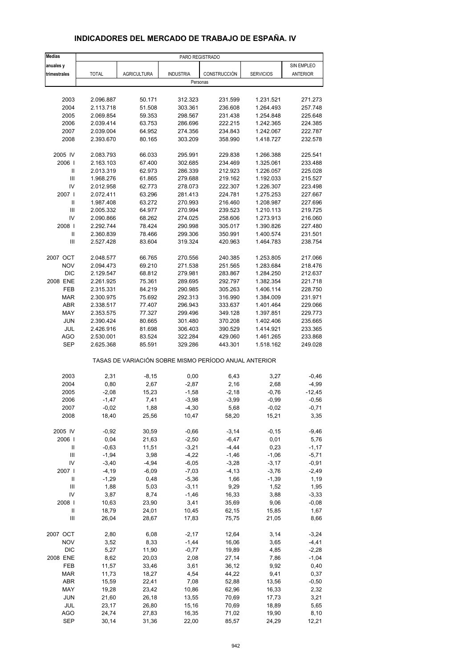## **INDICADORES DEL MERCADO DE TRABAJO DE ESPAÑA. IV**

| <b>Medias</b>                      |                    |                    | PARO REGISTRADO                                       |                    |                    |                    |
|------------------------------------|--------------------|--------------------|-------------------------------------------------------|--------------------|--------------------|--------------------|
| anuales y                          |                    |                    |                                                       |                    |                    | SIN EMPLEO         |
| trimestrales                       | <b>TOTAL</b>       | <b>AGRICULTURA</b> | <b>INDUSTRIA</b>                                      | CONSTRUCCIÓN       | <b>SERVICIOS</b>   | <b>ANTERIOR</b>    |
|                                    |                    |                    | Personas                                              |                    |                    |                    |
|                                    |                    |                    |                                                       |                    |                    |                    |
| 2003                               | 2.096.887          | 50.171             | 312.323                                               | 231.599            | 1.231.521          | 271.273            |
| 2004                               | 2.113.718          | 51.508             | 303.361                                               | 236.608            | 1.264.493          | 257.748            |
| 2005                               | 2.069.854          | 59.353             | 298.567                                               | 231.438            | 1.254.848          | 225.648            |
| 2006                               | 2.039.414          | 63.753             | 286.696                                               | 222.215            | 1.242.365          | 224.385            |
| 2007                               | 2.039.004          | 64.952             | 274.356                                               | 234.843            | 1.242.067          | 222.787            |
| 2008                               | 2.393.670          | 80.165             | 303.209                                               | 358.990            | 1.418.727          | 232.578            |
| 2005 IV                            | 2.083.793          | 66.033             | 295.991                                               | 229.838            | 1.266.388          | 225.541            |
| 2006                               | 2.163.103          | 67.400             | 302.685                                               | 234.469            | 1.325.061          | 233.488            |
| Ш                                  | 2.013.319          | 62.973             | 286.339                                               | 212.923            | 1.226.057          | 225.028            |
| $\mathsf{III}$                     | 1.968.276          | 61.865             | 279.688                                               | 219.162            | 1.192.033          | 215.527            |
| IV                                 | 2.012.958          | 62.773             | 278.073                                               | 222.307            | 1.226.307          | 223.498            |
| 2007                               | 2.072.411          | 63.296             | 281.413                                               | 224.781            | 1.275.253          | 227.667            |
| $\mathbf{I}$                       | 1.987.408          | 63.272             | 270.993                                               | 216.460            | 1.208.987          | 227.696            |
| $\mathsf{III}$                     | 2.005.332          | 64.977             | 270.994                                               | 239.523            | 1.210.113          | 219.725            |
| IV                                 | 2.090.866          | 68.262             | 274.025                                               | 258.606            | 1.273.913          | 216.060            |
| 2008                               | 2.292.744          | 78.424             | 290.998                                               | 305.017            | 1.390.826          | 227.480            |
| $\ensuremath{\mathsf{II}}$         | 2.360.839          | 78.466             | 299.306                                               | 350.991            | 1.400.574          | 231.501            |
| Ш                                  | 2.527.428          | 83.604             | 319.324                                               | 420.963            | 1.464.783          | 238.754            |
|                                    |                    |                    |                                                       |                    |                    |                    |
| 2007 OCT                           | 2.048.577          | 66.765             | 270.556                                               | 240.385            | 1.253.805          | 217.066            |
| <b>NOV</b>                         | 2.094.473          | 69.210             | 271.538                                               | 251.565            | 1.283.684          | 218.476            |
| <b>DIC</b>                         | 2.129.547          | 68.812             | 279.981                                               | 283.867            | 1.284.250          | 212.637            |
| 2008 ENE                           | 2.261.925          | 75.361             | 289.695                                               | 292.797            | 1.382.354          | 221.718            |
| FEB                                | 2.315.331          | 84.219             | 290.985                                               | 305.263            | 1.406.114          | 228.750            |
| <b>MAR</b>                         | 2.300.975          | 75.692             | 292.313                                               | 316.990            | 1.384.009          | 231.971            |
| ABR                                | 2.338.517          | 77.407             | 296.943                                               | 333.637            | 1.401.464          | 229.066            |
| MAY                                | 2.353.575          | 77.327             | 299.496                                               | 349.128            | 1.397.851          | 229.773            |
| <b>JUN</b>                         | 2.390.424          | 80.665             | 301.480                                               | 370.208            | 1.402.406          | 235.665            |
| JUL                                | 2.426.916          | 81.698             | 306.403                                               | 390.529            | 1.414.921          | 233.365            |
| <b>AGO</b>                         | 2.530.001          | 83.524             | 322.284                                               | 429.060            | 1.461.265          | 233.868            |
| <b>SEP</b>                         | 2.625.368          | 85.591             | 329.286                                               | 443.301            | 1.518.162          | 249.028            |
|                                    |                    |                    | TASAS DE VARIACIÓN SOBRE MISMO PERÍODO ANUAL ANTERIOR |                    |                    |                    |
| 2003                               | 2,31               | $-8,15$            | 0,00                                                  | 6,43               | 3,27               | $-0,46$            |
| 2004                               | 0,80               | 2,67               | $-2,87$                                               | 2,16               | 2,68               | $-4,99$            |
| 2005                               | $-2,08$            | 15,23              | $-1,58$                                               | $-2,18$            | $-0,76$            | $-12,45$           |
| 2006                               | $-1,47$            | 7,41               | $-3,98$                                               | $-3,99$            | $-0,99$            | $-0,56$            |
| 2007                               | $-0,02$            | 1,88               | $-4,30$                                               | 5,68               | $-0,02$            | $-0,71$            |
| 2008                               | 18,40              | 25,56              | 10,47                                                 | 58,20              | 15,21              | 3,35               |
|                                    |                    |                    |                                                       |                    |                    |                    |
| 2005 IV                            | $-0,92$            | 30,59              | $-0,66$                                               | $-3,14$            | $-0, 15$           | $-9,46$            |
| 2006  <br>Ш                        | 0,04<br>$-0,63$    | 21,63<br>11,51     | $-2,50$<br>$-3,21$                                    | $-6,47$<br>$-4,44$ | 0,01<br>0,23       | 5,76               |
| $\ensuremath{\mathsf{III}}\xspace$ |                    |                    |                                                       |                    |                    | $-1,17$            |
| IV                                 | $-1,94$<br>$-3,40$ | 3,98<br>$-4,94$    | $-4,22$<br>$-6,05$                                    | $-1,46$<br>$-3,28$ | $-1,06$<br>$-3,17$ | $-5,71$<br>$-0,91$ |
| 2007 l                             | $-4,19$            | $-6,09$            | $-7,03$                                               | $-4, 13$           | $-3,76$            | $-2,49$            |
| $\ensuremath{\mathsf{II}}$         | $-1,29$            | 0,48               | $-5,36$                                               | 1,66               | $-1,39$            | 1,19               |
| $\mathsf{III}$                     | 1,88               | 5,03               | $-3,11$                                               | 9,29               | 1,52               | 1,95               |
| IV                                 | 3,87               | 8,74               | $-1,46$                                               | 16,33              | 3,88               | $-3,33$            |
| 2008                               | 10,63              | 23,90              | 3,41                                                  | 35,69              | 9,06               | $-0,08$            |
| Ш                                  | 18,79              | 24,01              | 10,45                                                 | 62,15              | 15,85              | 1,67               |
| Ш                                  | 26,04              | 28,67              | 17,83                                                 | 75,75              | 21,05              | 8,66               |
|                                    |                    |                    |                                                       |                    |                    |                    |
| 2007 OCT                           | 2,80               | 6,08               | $-2,17$                                               | 12,64              | 3,14               | $-3,24$            |
| <b>NOV</b>                         | 3,52               | 8,33               | $-1,44$                                               | 16,06              | 3,65               | $-4,41$            |
| DIC                                | 5,27               | 11,90              | $-0,77$                                               | 19,89              | 4,85               | $-2,28$            |
| 2008 ENE                           | 8,62               | 20,03              | 2,08                                                  | 27,14              | 7,86               | $-1,04$            |
| FEB                                | 11,57              | 33,46              | 3,61                                                  | 36,12              | 9,92               | 0,40               |
| <b>MAR</b>                         | 11,73              | 18,27              | 4,54                                                  | 44,22              | 9,41               | 0,37               |
| ABR                                | 15,59              | 22,41              | 7,08                                                  | 52,88              | 13,56              | $-0,50$            |
| MAY                                | 19,28              | 23,42              | 10,86                                                 | 62,96              | 16,33              | 2,32               |
| <b>JUN</b>                         | 21,60              | 26,18              | 13,55                                                 | 70,69              | 17,73              | 3,21               |
| JUL                                | 23,17              | 26,80              | 15,16                                                 | 70,69              | 18,89              | 5,65               |
| <b>AGO</b>                         | 24,74              | 27,83              | 16,35                                                 | 71,02              | 19,90              | 8,10               |
| <b>SEP</b>                         | 30,14              | 31,36              | 22,00                                                 | 85,57              | 24,29              | 12,21              |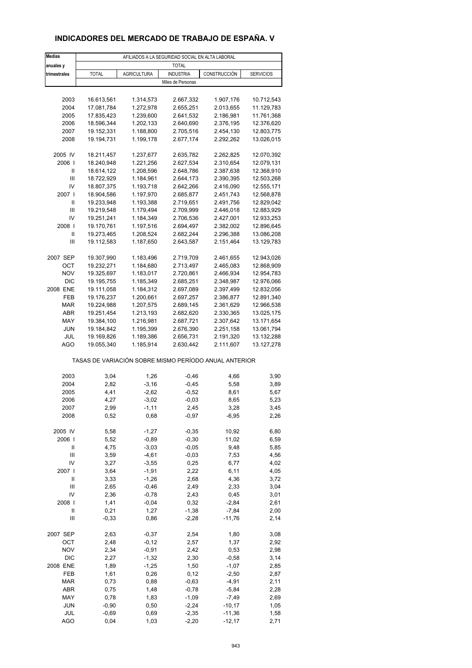## **INDICADORES DEL MERCADO DE TRABAJO DE ESPAÑA. V**

| <b>Medias</b>                                                                                                                                                                                                                                                                                                                                                                                                                                                                                                                                      | AFILIADOS A LA SEGURIDAD SOCIAL EN ALTA LABORAL       |                        |                        |                        |                          |  |  |
|----------------------------------------------------------------------------------------------------------------------------------------------------------------------------------------------------------------------------------------------------------------------------------------------------------------------------------------------------------------------------------------------------------------------------------------------------------------------------------------------------------------------------------------------------|-------------------------------------------------------|------------------------|------------------------|------------------------|--------------------------|--|--|
| anuales y                                                                                                                                                                                                                                                                                                                                                                                                                                                                                                                                          |                                                       |                        | <b>TOTAL</b>           |                        |                          |  |  |
| trimestrales                                                                                                                                                                                                                                                                                                                                                                                                                                                                                                                                       | <b>TOTAL</b>                                          | <b>AGRICULTURA</b>     | <b>INDUSTRIA</b>       | CONSTRUCCIÓN           | <b>SERVICIOS</b>         |  |  |
|                                                                                                                                                                                                                                                                                                                                                                                                                                                                                                                                                    |                                                       |                        | Miles de Personas      |                        |                          |  |  |
|                                                                                                                                                                                                                                                                                                                                                                                                                                                                                                                                                    |                                                       |                        |                        |                        |                          |  |  |
| 2003                                                                                                                                                                                                                                                                                                                                                                                                                                                                                                                                               | 16.613,561                                            | 1.314,573              | 2.667,332              | 1.907,176              | 10.712,543               |  |  |
| 2004                                                                                                                                                                                                                                                                                                                                                                                                                                                                                                                                               | 17.081,784                                            | 1.272,978              | 2.655.251              | 2.013,655              | 11.129,783               |  |  |
| 2005                                                                                                                                                                                                                                                                                                                                                                                                                                                                                                                                               | 17.835,423                                            | 1.239,600              | 2.641,532              | 2.186,981              | 11.761,368               |  |  |
| 2006                                                                                                                                                                                                                                                                                                                                                                                                                                                                                                                                               | 18.596,344                                            | 1.202,133              | 2.640,690              | 2.376,195              | 12.376,620               |  |  |
| 2007                                                                                                                                                                                                                                                                                                                                                                                                                                                                                                                                               | 19.152,331                                            | 1.188,800              | 2.705,516              | 2.454,130              | 12.803,775               |  |  |
| 2008                                                                                                                                                                                                                                                                                                                                                                                                                                                                                                                                               | 19.194,731                                            | 1.199,178              | 2.677,174              | 2.292,262              | 13.026,015               |  |  |
| 2005 IV                                                                                                                                                                                                                                                                                                                                                                                                                                                                                                                                            | 18.211,457                                            | 1.237,677              | 2.635,782              | 2.262,825              | 12.070,392               |  |  |
| 2006                                                                                                                                                                                                                                                                                                                                                                                                                                                                                                                                               | 18.240,948                                            | 1.221,256              | 2.627,534              | 2.310,654              | 12.079,131               |  |  |
| Ш                                                                                                                                                                                                                                                                                                                                                                                                                                                                                                                                                  | 18.614,122                                            | 1.208,596              | 2.648,786              | 2.387,638              | 12.368,910               |  |  |
| Ш                                                                                                                                                                                                                                                                                                                                                                                                                                                                                                                                                  | 18.722,929                                            | 1.184,961              | 2.644,173              | 2.390,395              | 12.503,268               |  |  |
| IV                                                                                                                                                                                                                                                                                                                                                                                                                                                                                                                                                 | 18.807,375                                            | 1.193,718              | 2.642,266              | 2.416,090              | 12.555,171               |  |  |
| 2007 l                                                                                                                                                                                                                                                                                                                                                                                                                                                                                                                                             | 18.904,586                                            | 1.197,970              | 2.685,877              | 2.451,743              | 12.568,878               |  |  |
| Ш                                                                                                                                                                                                                                                                                                                                                                                                                                                                                                                                                  | 19.233,948                                            | 1.193,388              | 2.719,651              | 2.491,756              | 12.829,042               |  |  |
| Ш                                                                                                                                                                                                                                                                                                                                                                                                                                                                                                                                                  | 19.219,548                                            | 1.179,494              | 2.709,999              | 2.446,018              | 12.883,929               |  |  |
| IV                                                                                                                                                                                                                                                                                                                                                                                                                                                                                                                                                 | 19.251,241                                            | 1.184,349              | 2.706,536              | 2.427,001              | 12.933,253               |  |  |
| 2008                                                                                                                                                                                                                                                                                                                                                                                                                                                                                                                                               | 19.170,761                                            | 1.197,516              | 2.694,497              | 2.382,002              | 12.896,645               |  |  |
| Ш                                                                                                                                                                                                                                                                                                                                                                                                                                                                                                                                                  | 19.273,465                                            | 1.208,524              | 2.682,244              | 2.296,388              | 13.086,208               |  |  |
| Ш                                                                                                                                                                                                                                                                                                                                                                                                                                                                                                                                                  | 19.112,583                                            | 1.187,650              | 2.643,587              | 2.151,464              | 13.129,783               |  |  |
|                                                                                                                                                                                                                                                                                                                                                                                                                                                                                                                                                    |                                                       |                        |                        |                        |                          |  |  |
| 2007 SEP                                                                                                                                                                                                                                                                                                                                                                                                                                                                                                                                           | 19.307,990<br>19.232,271                              | 1.183,496              | 2.719,709<br>2.713,497 | 2.461,655              | 12.943,026               |  |  |
| ОСТ<br><b>NOV</b>                                                                                                                                                                                                                                                                                                                                                                                                                                                                                                                                  | 19.325,697                                            | 1.184,680<br>1.183,017 | 2.720,861              | 2.465,083<br>2.466,934 | 12.868,909<br>12.954,783 |  |  |
| <b>DIC</b>                                                                                                                                                                                                                                                                                                                                                                                                                                                                                                                                         | 19.195,755                                            | 1.185,349              | 2.685,251              | 2.348,987              | 12.976,066               |  |  |
| 2008 ENE                                                                                                                                                                                                                                                                                                                                                                                                                                                                                                                                           | 19.111,058                                            | 1.184,312              | 2.697,089              | 2.397,499              | 12.832,056               |  |  |
| FEB                                                                                                                                                                                                                                                                                                                                                                                                                                                                                                                                                | 19.176,237                                            | 1.200,661              | 2.697,257              | 2.386,877              | 12.891,340               |  |  |
| <b>MAR</b>                                                                                                                                                                                                                                                                                                                                                                                                                                                                                                                                         | 19.224,988                                            | 1.207,575              | 2.689,145              | 2.361,629              | 12.966,538               |  |  |
| ABR                                                                                                                                                                                                                                                                                                                                                                                                                                                                                                                                                | 19.251,454                                            | 1.213,193              | 2.682,620              | 2.330,365              | 13.025,175               |  |  |
| MAY                                                                                                                                                                                                                                                                                                                                                                                                                                                                                                                                                | 19.384,100                                            | 1.216,981              | 2.687,721              | 2.307,642              | 13.171,654               |  |  |
| <b>JUN</b>                                                                                                                                                                                                                                                                                                                                                                                                                                                                                                                                         | 19.184,842                                            | 1.195,399              | 2.676,390              | 2.251,158              | 13.061,794               |  |  |
| JUL                                                                                                                                                                                                                                                                                                                                                                                                                                                                                                                                                | 19.169,826                                            | 1.189,386              | 2.656,731              | 2.191,320              | 13.132,288               |  |  |
| <b>AGO</b>                                                                                                                                                                                                                                                                                                                                                                                                                                                                                                                                         | 19.055,340                                            | 1.185,914              | 2.630,442              | 2.111,607              | 13.127,278               |  |  |
|                                                                                                                                                                                                                                                                                                                                                                                                                                                                                                                                                    | TASAS DE VARIACIÓN SOBRE MISMO PERÍODO ANUAL ANTERIOR |                        |                        |                        |                          |  |  |
| 2003                                                                                                                                                                                                                                                                                                                                                                                                                                                                                                                                               | 3,04                                                  | 1,26                   | $-0,46$                | 4,66                   | 3,90                     |  |  |
| 2004                                                                                                                                                                                                                                                                                                                                                                                                                                                                                                                                               | 2,82                                                  | $-3,16$                | $-0,45$                | 5,58                   | 3,89                     |  |  |
| 2005                                                                                                                                                                                                                                                                                                                                                                                                                                                                                                                                               | 4,41                                                  | $-2,62$                | $-0,52$                | 8,61                   | 5,67                     |  |  |
| 2006                                                                                                                                                                                                                                                                                                                                                                                                                                                                                                                                               | 4,27                                                  | $-3,02$                | $-0,03$                | 8,65                   | 5,23                     |  |  |
| 2007                                                                                                                                                                                                                                                                                                                                                                                                                                                                                                                                               | 2,99                                                  | -1,11                  | 2,45                   | 3,28                   | 3,45                     |  |  |
| 2008                                                                                                                                                                                                                                                                                                                                                                                                                                                                                                                                               | 0,52                                                  | 0,68                   | $-0,97$                | $-6,95$                | 2,26                     |  |  |
|                                                                                                                                                                                                                                                                                                                                                                                                                                                                                                                                                    |                                                       |                        |                        |                        |                          |  |  |
| 2005 IV                                                                                                                                                                                                                                                                                                                                                                                                                                                                                                                                            | 5,58                                                  | $-1,27$                | $-0,35$                | 10,92                  | 6,80                     |  |  |
| 2006                                                                                                                                                                                                                                                                                                                                                                                                                                                                                                                                               | 5,52                                                  | $-0,89$                | $-0,30$                | 11,02                  | 6,59                     |  |  |
| Ш                                                                                                                                                                                                                                                                                                                                                                                                                                                                                                                                                  | 4,75                                                  | $-3,03$                | $-0,05$                | 9,48                   | 5,85                     |  |  |
| Ш                                                                                                                                                                                                                                                                                                                                                                                                                                                                                                                                                  | 3,59                                                  | $-4,61$                | $-0,03$                | 7,53                   | 4,56                     |  |  |
| IV                                                                                                                                                                                                                                                                                                                                                                                                                                                                                                                                                 | 3,27                                                  | $-3,55$                | 0,25                   | 6,77                   | 4,02                     |  |  |
| 2007 l<br>$\mathop{\mathrm{II}}% \nolimits_{\mathop{\mathrm{II}}% \nolimits} \mathop{\mathrm{II}}% \nolimits_{\mathop{\mathrm{II}}% \nolimits} \mathop{\mathrm{II}}% \nolimits_{\mathop{\mathrm{II}}% \nolimits} \mathop{\mathrm{II}}% \nolimits_{\mathop{\mathrm{II}}% \nolimits} \mathop{\mathrm{II}}% \nolimits_{\mathop{\mathrm{II}}% \nolimits} \mathop{\mathrm{II}}% \nolimits_{\mathop{\mathrm{II}}% \nolimits} \mathop{\mathrm{II}}% \nolimits_{\mathop{\mathrm{II}}% \nolimits} \mathop{\mathrm{II}}% \nolimits_{\mathop{\mathrm{II}}% \$ | 3,64<br>3,33                                          | $-1,91$<br>$-1,26$     | 2,22<br>2,68           | 6, 11<br>4,36          | 4,05<br>3,72             |  |  |
| $\ensuremath{\mathsf{III}}\xspace$                                                                                                                                                                                                                                                                                                                                                                                                                                                                                                                 | 2,65                                                  | $-0,46$                | 2,49                   | 2,33                   | 3,04                     |  |  |
| IV                                                                                                                                                                                                                                                                                                                                                                                                                                                                                                                                                 | 2,36                                                  | $-0,78$                | 2,43                   | 0,45                   | 3,01                     |  |  |
| 2008                                                                                                                                                                                                                                                                                                                                                                                                                                                                                                                                               | 1,41                                                  | $-0,04$                | 0,32                   | $-2,84$                | 2,61                     |  |  |
| $\sf II$                                                                                                                                                                                                                                                                                                                                                                                                                                                                                                                                           | 0,21                                                  | 1,27                   | $-1,38$                | $-7,84$                | 2,00                     |  |  |
| Ш                                                                                                                                                                                                                                                                                                                                                                                                                                                                                                                                                  | $-0,33$                                               | 0,86                   | $-2,28$                | $-11,76$               | 2,14                     |  |  |
|                                                                                                                                                                                                                                                                                                                                                                                                                                                                                                                                                    |                                                       |                        |                        |                        |                          |  |  |
| 2007 SEP                                                                                                                                                                                                                                                                                                                                                                                                                                                                                                                                           | 2,63                                                  | $-0,37$                | 2,54                   | 1,80                   | 3,08                     |  |  |
| OCT                                                                                                                                                                                                                                                                                                                                                                                                                                                                                                                                                | 2,48                                                  | $-0,12$                | 2,57                   | 1,37                   | 2,92                     |  |  |
| <b>NOV</b>                                                                                                                                                                                                                                                                                                                                                                                                                                                                                                                                         | 2,34                                                  | $-0,91$                | 2,42                   | 0,53                   | 2,98                     |  |  |
| <b>DIC</b>                                                                                                                                                                                                                                                                                                                                                                                                                                                                                                                                         | 2,27                                                  | $-1,32$                | 2,30                   | $-0,58$                | 3,14                     |  |  |
| 2008 ENE                                                                                                                                                                                                                                                                                                                                                                                                                                                                                                                                           | 1,89                                                  | $-1,25$                | 1,50                   | $-1,07$                | 2,85                     |  |  |
| FEB                                                                                                                                                                                                                                                                                                                                                                                                                                                                                                                                                | 1,61                                                  | 0,26                   | 0,12                   | $-2,50$                | 2,87                     |  |  |
| <b>MAR</b>                                                                                                                                                                                                                                                                                                                                                                                                                                                                                                                                         | 0,73                                                  | 0,88                   | $-0,63$                | $-4,91$                | 2,11                     |  |  |
| ABR                                                                                                                                                                                                                                                                                                                                                                                                                                                                                                                                                | 0,75                                                  | 1,48                   | $-0,78$                | $-5,84$                | 2,28                     |  |  |
| MAY                                                                                                                                                                                                                                                                                                                                                                                                                                                                                                                                                | 0,78                                                  | 1,83                   | $-1,09$                | $-7,49$                | 2,69                     |  |  |
| <b>JUN</b><br>JUL                                                                                                                                                                                                                                                                                                                                                                                                                                                                                                                                  | $-0,90$                                               | 0,50                   | $-2,24$                | $-10,17$               | 1,05                     |  |  |
| AGO                                                                                                                                                                                                                                                                                                                                                                                                                                                                                                                                                | $-0,69$<br>0,04                                       | 0,69<br>1,03           | $-2,35$<br>$-2,20$     | $-11,36$<br>$-12,17$   | 1,58<br>2,71             |  |  |
|                                                                                                                                                                                                                                                                                                                                                                                                                                                                                                                                                    |                                                       |                        |                        |                        |                          |  |  |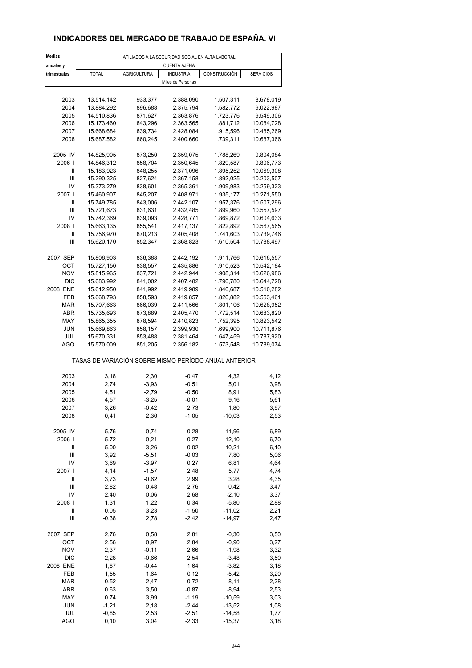## **INDICADORES DEL MERCADO DE TRABAJO DE ESPAÑA. VI**

| <b>Medias</b>                      | AFILIADOS A LA SEGURIDAD SOCIAL EN ALTA LABORAL       |                    |                     |                        |                  |  |  |
|------------------------------------|-------------------------------------------------------|--------------------|---------------------|------------------------|------------------|--|--|
| anuales y                          |                                                       |                    | <b>CUENTA AJENA</b> |                        |                  |  |  |
| trimestrales                       | <b>TOTAL</b>                                          | <b>AGRICULTURA</b> | <b>INDUSTRIA</b>    | CONSTRUCCIÓN           | <b>SERVICIOS</b> |  |  |
|                                    |                                                       |                    | Miles de Personas   |                        |                  |  |  |
|                                    |                                                       |                    |                     |                        |                  |  |  |
| 2003                               | 13.514,142                                            | 933,377            | 2.388,090           | 1.507,311              | 8.678,019        |  |  |
| 2004                               | 13.884,292                                            | 896,688            | 2.375,794           | 1.582,772              | 9.022,987        |  |  |
| 2005                               | 14.510,836                                            | 871,627            | 2.363,876           | 1.723,776              | 9.549,306        |  |  |
| 2006                               | 15.173,460                                            | 843,296            | 2.363,565           | 1.881,712              | 10.084,728       |  |  |
| 2007                               | 15.668,684                                            | 839,734            | 2.428,084           | 1.915,596              | 10.485,269       |  |  |
| 2008                               | 15.687,582                                            | 860,245            | 2.400,660           | 1.739,311              | 10.687,366       |  |  |
| 2005 IV                            | 14.825,905                                            | 873,250            | 2.359,075           | 1.788,269              | 9.804,084        |  |  |
| 2006                               | 14.846,312                                            | 858,704            | 2.350,645           | 1.829,587              | 9.806,773        |  |  |
| Ш                                  | 15.183,923                                            | 848,255            | 2.371,096           | 1.895,252              | 10.069,308       |  |  |
| Ш                                  | 15.290,325                                            | 827,624            | 2.367,158           | 1.892,025              | 10.203,507       |  |  |
| IV                                 | 15.373,279                                            | 838,601            | 2.365,361           | 1.909,983              | 10.259,323       |  |  |
| 2007 l                             | 15.460,907                                            | 845,207            | 2.408,971           | 1.935,177              | 10.271,550       |  |  |
| Ш                                  | 15.749,785                                            | 843,006            | 2.442,107           | 1.957,376              | 10.507,296       |  |  |
| Ш                                  | 15.721,673                                            | 831,631            | 2.432,485           | 1.899,960              | 10.557,597       |  |  |
| IV                                 | 15.742,369                                            | 839,093            | 2.428,771           | 1.869,872              | 10.604,633       |  |  |
| 2008                               | 15.663,135                                            | 855,541            | 2.417,137           | 1.822,892              | 10.567,565       |  |  |
| Ш                                  | 15.756,970                                            | 870,213            | 2.405,408           | 1.741,603              | 10.739,746       |  |  |
| Ш                                  | 15.620,170                                            | 852,347            | 2.368,823           | 1.610,504              | 10.788,497       |  |  |
|                                    |                                                       | 836,388            | 2.442,192           |                        | 10.616,557       |  |  |
| 2007 SEP<br>ОСТ                    | 15.806,903<br>15.727,150                              | 838,557            | 2.435,886           | 1.911,766<br>1.910,523 | 10.542,184       |  |  |
| <b>NOV</b>                         | 15.815,965                                            | 837,721            | 2.442,944           | 1.908,314              | 10.626,986       |  |  |
| <b>DIC</b>                         | 15.683,992                                            | 841,002            | 2.407,482           | 1.790,780              | 10.644,728       |  |  |
| 2008 ENE                           | 15.612,950                                            | 841,992            | 2.419,989           | 1.840,687              | 10.510,282       |  |  |
| FEB                                | 15.668,793                                            | 858,593            | 2.419,857           | 1.826,882              | 10.563,461       |  |  |
| MAR                                | 15.707,663                                            | 866,039            | 2.411,566           | 1.801,106              | 10.628,952       |  |  |
| ABR                                | 15.735,693                                            | 873,889            | 2.405,470           | 1.772,514              | 10.683,820       |  |  |
| MAY                                | 15.865,355                                            | 878,594            | 2.410,823           | 1.752,395              | 10.823,542       |  |  |
| <b>JUN</b>                         | 15.669,863                                            | 858,157            | 2.399,930           | 1.699,900              | 10.711,876       |  |  |
| JUL                                | 15.670,331                                            | 853,488            | 2.381,464           | 1.647,459              | 10.787,920       |  |  |
| <b>AGO</b>                         | 15.570,009                                            | 851,205            | 2.356,182           | 1.573,548              | 10.789,074       |  |  |
|                                    | TASAS DE VARIACIÓN SOBRE MISMO PERÍODO ANUAL ANTERIOR |                    |                     |                        |                  |  |  |
| 2003                               | 3,18                                                  | 2,30               | $-0,47$             | 4,32                   | 4,12             |  |  |
| 2004                               | 2,74                                                  | $-3,93$            | $-0,51$             | 5,01                   | 3,98             |  |  |
| 2005                               | 4,51                                                  | $-2,79$            | $-0,50$             | 8,91                   | 5,83             |  |  |
| 2006                               | 4,57                                                  | $-3,25$            | $-0,01$             | 9,16                   | 5,61             |  |  |
| 2007                               | 3,26                                                  | -0,42              | 2,73                | 1,80                   | 3,97             |  |  |
| 2008                               | 0,41                                                  | 2,36               | $-1,05$             | $-10,03$               | 2,53             |  |  |
|                                    |                                                       |                    |                     |                        |                  |  |  |
| 2005 IV                            | 5,76                                                  | $-0,74$            | $-0,28$             | 11,96                  | 6,89             |  |  |
| 2006                               | 5,72                                                  | $-0,21$            | $-0,27$             | 12,10                  | 6,70             |  |  |
| Ш                                  | 5,00                                                  | $-3,26$            | $-0,02$             | 10,21                  | 6, 10            |  |  |
| Ш                                  | 3,92                                                  | $-5,51$            | $-0,03$             | 7,80                   | 5,06             |  |  |
| IV<br>2007 l                       | 3,69                                                  | $-3,97$            | 0,27                | 6,81                   | 4,64             |  |  |
| $\ensuremath{\mathsf{II}}$         | 4,14<br>3,73                                          | $-1,57$<br>$-0,62$ | 2,48<br>2,99        | 5,77<br>3,28           | 4,74<br>4,35     |  |  |
| $\ensuremath{\mathsf{III}}\xspace$ | 2,82                                                  | 0,48               | 2,76                | 0,42                   | 3,47             |  |  |
| IV                                 | 2,40                                                  | 0,06               | 2,68                | $-2,10$                | 3,37             |  |  |
| 2008                               | 1,31                                                  | 1,22               | 0,34                | $-5,80$                | 2,88             |  |  |
| $\sf II$                           | 0,05                                                  | 3,23               | $-1,50$             | $-11,02$               | 2,21             |  |  |
| Ш                                  | $-0,38$                                               | 2,78               | $-2,42$             | $-14,97$               | 2,47             |  |  |
|                                    |                                                       |                    |                     |                        |                  |  |  |
| 2007 SEP                           | 2,76                                                  | 0,58               | 2,81                | $-0,30$                | 3,50             |  |  |
| OCT                                | 2,56                                                  | 0,97               | 2,84                | $-0,90$                | 3,27             |  |  |
| <b>NOV</b>                         | 2,37                                                  | $-0,11$            | 2,66                | $-1,98$                | 3,32             |  |  |
| <b>DIC</b>                         | 2,28                                                  | $-0,66$            | 2,54                | $-3,48$                | 3,50             |  |  |
| 2008 ENE                           | 1,87                                                  | $-0,44$            | 1,64                | $-3,82$                | 3,18             |  |  |
| FEB                                | 1,55                                                  | 1,64               | 0,12                | $-5,42$                | 3,20             |  |  |
| <b>MAR</b>                         | 0,52                                                  | 2,47               | $-0,72$             | $-8,11$                | 2,28             |  |  |
| ABR                                | 0,63                                                  | 3,50               | $-0,87$             | $-8,94$                | 2,53             |  |  |
| MAY<br><b>JUN</b>                  | 0,74<br>$-1,21$                                       | 3,99<br>2,18       | $-1,19$<br>$-2,44$  | $-10,59$<br>$-13,52$   | 3,03<br>1,08     |  |  |
| JUL                                | $-0,85$                                               | 2,53               | $-2,51$             | $-14,58$               | 1,77             |  |  |
| AGO                                | 0, 10                                                 | 3,04               | $-2,33$             | $-15,37$               | 3,18             |  |  |
|                                    |                                                       |                    |                     |                        |                  |  |  |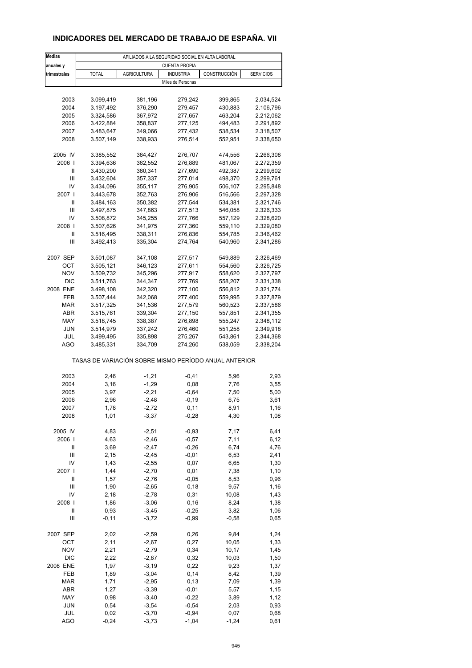## **INDICADORES DEL MERCADO DE TRABAJO DE ESPAÑA. VII**

| <b>Medias</b>  | AFILIADOS A LA SEGURIDAD SOCIAL EN ALTA LABORAL |                                                       |                      |              |                  |  |  |  |
|----------------|-------------------------------------------------|-------------------------------------------------------|----------------------|--------------|------------------|--|--|--|
| anuales y      |                                                 |                                                       | <b>CUENTA PROPIA</b> |              |                  |  |  |  |
| trimestrales   | <b>TOTAL</b>                                    | <b>AGRICULTURA</b>                                    | <b>INDUSTRIA</b>     | CONSTRUCCIÓN | <b>SERVICIOS</b> |  |  |  |
|                |                                                 |                                                       | Miles de Personas    |              |                  |  |  |  |
|                |                                                 |                                                       |                      |              |                  |  |  |  |
| 2003           | 3.099,419                                       | 381,196                                               | 279,242              | 399,865      | 2.034,524        |  |  |  |
| 2004           | 3.197,492                                       | 376,290                                               | 279,457              | 430,883      | 2.106,796        |  |  |  |
| 2005           | 3.324,586                                       | 367,972                                               | 277,657              | 463,204      | 2.212,062        |  |  |  |
| 2006           | 3.422,884                                       | 358,837                                               | 277,125              | 494,483      | 2.291,892        |  |  |  |
| 2007           | 3.483,647                                       | 349,066                                               | 277,432              | 538,534      | 2.318,507        |  |  |  |
| 2008           | 3.507,149                                       | 338,933                                               | 276,514              | 552,951      | 2.338,650        |  |  |  |
| 2005 IV        | 3.385,552                                       | 364,427                                               | 276,707              | 474,556      | 2.266,308        |  |  |  |
| 2006           | 3.394,636                                       | 362,552                                               | 276,889              | 481,067      | 2.272,359        |  |  |  |
| Ш              | 3.430,200                                       | 360,341                                               | 277,690              | 492,387      | 2.299,602        |  |  |  |
| Ш              | 3.432,604                                       | 357,337                                               | 277,014              | 498,370      | 2.299,761        |  |  |  |
| IV             | 3.434,096                                       | 355,117                                               | 276,905              | 506,107      | 2.295,848        |  |  |  |
| 2007 l         | 3.443,678                                       | 352,763                                               | 276,906              | 516,566      | 2.297,328        |  |  |  |
| Ш              |                                                 |                                                       |                      |              |                  |  |  |  |
|                | 3.484,163                                       | 350,382                                               | 277,544              | 534,381      | 2.321,746        |  |  |  |
| Ш              | 3.497,875                                       | 347,863                                               | 277,513              | 546,058      | 2.326,333        |  |  |  |
| IV             | 3.508,872                                       | 345,255                                               | 277,766              | 557,129      | 2.328,620        |  |  |  |
| 2008           | 3.507,626                                       | 341,975                                               | 277,360              | 559,110      | 2.329,080        |  |  |  |
| Ш              | 3.516,495                                       | 338,311                                               | 276,836              | 554,785      | 2.346,462        |  |  |  |
| Ш              | 3.492,413                                       | 335,304                                               | 274,764              | 540,960      | 2.341,286        |  |  |  |
| 2007 SEP       | 3.501,087                                       | 347,108                                               | 277,517              | 549,889      | 2.326,469        |  |  |  |
| OCT            | 3.505,121                                       | 346,123                                               | 277,611              | 554,560      | 2.326,725        |  |  |  |
| <b>NOV</b>     | 3.509,732                                       | 345,296                                               | 277,917              | 558,620      | 2.327,797        |  |  |  |
| <b>DIC</b>     | 3.511,763                                       | 344,347                                               | 277,769              | 558,207      | 2.331,338        |  |  |  |
| 2008 ENE       | 3.498,108                                       | 342,320                                               | 277,100              | 556,812      | 2.321,774        |  |  |  |
|                |                                                 |                                                       |                      |              |                  |  |  |  |
| FEB            | 3.507,444                                       | 342,068                                               | 277,400              | 559,995      | 2.327,879        |  |  |  |
| MAR            | 3.517,325                                       | 341,536                                               | 277,579              | 560,523      | 2.337,586        |  |  |  |
| ABR            | 3.515,761                                       | 339,304                                               | 277,150              | 557,851      | 2.341,355        |  |  |  |
| MAY            | 3.518,745                                       | 338,387                                               | 276,898              | 555,247      | 2.348,112        |  |  |  |
| <b>JUN</b>     | 3.514,979                                       | 337,242                                               | 276,460              | 551,258      | 2.349,918        |  |  |  |
| JUL            | 3.499,495                                       | 335,898                                               | 275,267              | 543,861      | 2.344,368        |  |  |  |
| AGO            | 3.485,331                                       | 334,709                                               | 274,260              | 538,059      | 2.338,204        |  |  |  |
|                |                                                 | TASAS DE VARIACIÓN SOBRE MISMO PERÍODO ANUAL ANTERIOR |                      |              |                  |  |  |  |
| 2003           | 2,46                                            | $-1,21$                                               | $-0,41$              | 5,96         | 2,93             |  |  |  |
| 2004           | 3,16                                            | $-1,29$                                               | 0,08                 | 7,76         | 3,55             |  |  |  |
| 2005           | 3,97                                            | $-2,21$                                               | $-0,64$              | 7,50         | 5,00             |  |  |  |
|                |                                                 |                                                       |                      |              |                  |  |  |  |
| 2006           | 2,96                                            | $-2,48$                                               | $-0,19$              | 6,75         | 3,61             |  |  |  |
| 2007           | 1,78                                            | $-2,72$                                               | 0,11                 | 8,91         | 1,16             |  |  |  |
| 2008           | 1,01                                            | $-3,37$                                               | $-0,28$              | 4,30         | 1,08             |  |  |  |
| 2005 IV        | 4,83                                            | $-2,51$                                               | $-0,93$              | 7,17         | 6,41             |  |  |  |
| 2006           | 4,63                                            | $-2,46$                                               | $-0,57$              | 7,11         | 6,12             |  |  |  |
| Ш              | 3,69                                            | $-2,47$                                               | $-0,26$              | 6,74         | 4,76             |  |  |  |
| Ш              | 2,15                                            | $-2,45$                                               | $-0,01$              | 6,53         | 2,41             |  |  |  |
| IV             | 1,43                                            | $-2,55$                                               | 0,07                 | 6,65         | 1,30             |  |  |  |
| 2007           | 1,44                                            | $-2,70$                                               | 0,01                 | 7,38         | 1,10             |  |  |  |
| Ш              | 1,57                                            | $-2,76$                                               | $-0,05$              | 8,53         | 0,96             |  |  |  |
| Ш              | 1,90                                            | $-2,65$                                               | 0,18                 | 9,57         | 1,16             |  |  |  |
| IV             | 2,18                                            | $-2,78$                                               | 0,31                 | 10,08        | 1,43             |  |  |  |
| 2008           | 1,86                                            | $-3,06$                                               | 0, 16                | 8,24         |                  |  |  |  |
|                |                                                 |                                                       |                      |              | 1,38             |  |  |  |
| Ш              | 0,93                                            | $-3,45$                                               | $-0,25$              | 3,82         | 1,06             |  |  |  |
| $\mathbf{III}$ | $-0, 11$                                        | $-3,72$                                               | $-0,99$              | $-0,58$      | 0,65             |  |  |  |
| 2007 SEP       | 2,02                                            | $-2,59$                                               | 0,26                 | 9,84         | 1,24             |  |  |  |
| OCT            | 2,11                                            | $-2,67$                                               | 0,27                 | 10,05        | 1,33             |  |  |  |
| <b>NOV</b>     | 2,21                                            | $-2,79$                                               | 0,34                 | 10,17        | 1,45             |  |  |  |
| DIC            | 2,22                                            | $-2,87$                                               | 0,32                 | 10,03        | 1,50             |  |  |  |
| 2008 ENE       | 1,97                                            | $-3,19$                                               | 0,22                 | 9,23         | 1,37             |  |  |  |
| FEB            | 1,89                                            | $-3,04$                                               | 0,14                 | 8,42         | 1,39             |  |  |  |
| <b>MAR</b>     | 1,71                                            | $-2,95$                                               | 0, 13                | 7,09         | 1,39             |  |  |  |
|                |                                                 |                                                       |                      |              |                  |  |  |  |
| ABR            | 1,27                                            | $-3,39$                                               | $-0,01$              | 5,57         | 1,15             |  |  |  |
| MAY            | 0,98                                            | $-3,40$                                               | $-0,22$              | 3,89         | 1,12             |  |  |  |
| <b>JUN</b>     | 0,54                                            | $-3,54$                                               | $-0,54$              | 2,03         | 0,93             |  |  |  |
| JUL            | 0,02                                            | $-3,70$                                               | $-0,94$              | 0,07         | 0,68             |  |  |  |
| <b>AGO</b>     | $-0,24$                                         | $-3,73$                                               | $-1,04$              | $-1,24$      | 0,61             |  |  |  |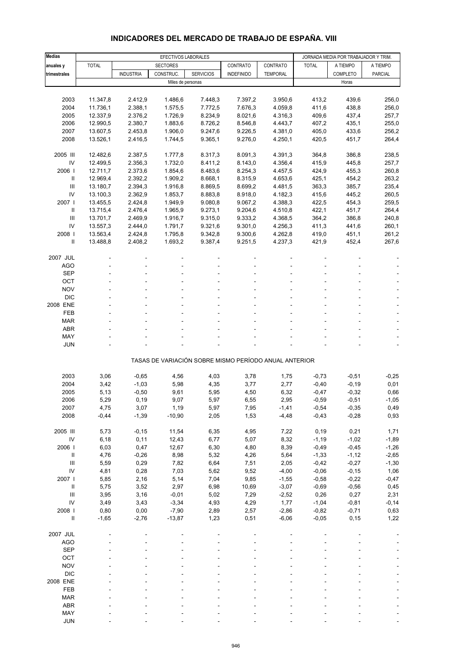#### **Medias EFECTIVOS LABORALES EFECTIVOS LABORALES** JORNADA MEDIA POR TRABAJADOR Y TRIM. **anuales y** TOTAL SECTORES CONTRATO CONTRATO TOTAL A TIEMPO A TIEMPO **trimestrales | |** INDUSTRIA | CONSTRUC. | SERVICIOS | INDEFINIDO | TEMPORAL | | COMPLETO | PARCIAL Miles de personas Horas Horas Horas Horas Horas Horas Horas Horas Horas Horas Horas Horas Horas Horas Horas Horas Horas Horas Horas Horas Horas Horas Horas Horas Horas Horas Horas Horas Horas Horas Horas Horas Horas Horas 2003 11.347,8 2.412,9 1.486,6 7.448,3 7.397,2 3.950,6 413,2 439,6 256,0 2004 11.736,1 2.388,1 1.575,5 7.772,5 7.676,3 4.059,8 411,6 438,8 256,0 2005 12.337,9 2.376,2 1.726,9 8.234,9 8.021,6 4.316,3 409,6 437,4 257,7 2006 12.990,5 2.380,7 1.883,6 8.726,2 8.546,8 4.443,7 407,2 435,1 255,0 2007 13.607,5 2.453,8 1.906,0 9.247,6 9.226,5 4.381,0 405,0 433,6 256,2 2008 13.526,1 2.416,5 1.744,5 9.365,1 9.276,0 4.250,1 420,5 451,7 264,4 2005 III 12.482,6 2.387,5 1.777,8 8.317,3 8.091,3 4.391,3 364,8 386,8 238,5 IV 12.499,5 2.356,3 1.732,0 8.411,2 8.143,0 4.356,4 415,9 445,8 257,7 2006 I 12.711,7 2.373,6 1.854,6 8.483,6 8.254,3 4.457,5 424,9 455,3 260,8 II 12.969,4 2.392,2 1.909,2 8.668,1 8.315,9 4.653,6 425,1 454,2 263,2 III 13.180,7 2.394,3 1.916,8 8.869,5 8.699,2 4.481,5 363,3 385,7 235,4 IV 13.100,3 2.362,9 1.853,7 8.883,8 8.918,0 4.182,3 415,6 445,2 260,5 2007 I 13.455,5 2.424,8 1.949,9 9.080,8 9.067,2 4.388,3 422,5 454,3 259,5 II 13.715,4 2.476,4 1.965,9 9.273,1 9.204,6 4.510,8 422,1 451,7 264,4 III 13.701,7 2.469,9 1.916,7 9.315,0 9.333,2 4.368,5 364,2 386,8 240,8 IV 13.557,3 2.444,0 1.791,7 9.321,6 9.301,0 4.256,3 411,3 441,6 260,1 2008 I 13.563,4 2.424,8 1.795,8 9.342,8 9.300,6 4.262,8 419,0 451,1 261,2 II 13.488,8 2.408,2 1.693,2 9.387,4 9.251,5 4.237,3 421,9 452,4 267,6 2007 JUL - - - - - --- -  $\overline{A}\overline{G}O$  , and the set of the set of the set of the set of the set of the set of the set of the set of the set of the set of the set of the set of the set of the set of the set of the set of the set of the set of th SEP - - - - - - - - - OCT the set of the set of the set of the set of the set of the set of the set of the set of the set of the set NOV the set of the set of the set of the set of the set of the set of the set of the set of the set of the set of the set of the set of the set of the set of the set of the set of the set of the set of the set of the set DIC - - - - - - - - - 2008 ENE - - - - - --- - FEB - - - - - - - - - MAR - - - - - - - - -  $ABR$  , and the set of the set of the set of the set of the set of the set of the set of the set of the set of the set of the set of the set of the set of the set of the set of the set of the set of the set of the set of t MAY - - - - - - - - - JUN - - - - - - - - - TASAS DE VARIACIÓN SOBRE MISMO PERÍODO ANUAL ANTERIOR 2003 3,06 -0,65 4,56 4,03 3,78 1,75 -0,73 -0,51 -0,25 2004 3,42 -1,03 5,98 4,35 3,77 2,77 -0,40 -0,19 0,01 2005 5,13 -0,50 9,61 5,95 4,50 6,32 -0,47 -0,32 0,66 2006 5,29 0,19 9,07 5,97 6,55 2,95 -0,59 -0,51 -1,05 2007 4,75 3,07 1,19 5,97 7,95 -1,41 -0,54 -0,35 0,49 2008 -0,44 -1,39 -10,90 2,05 1,53 -4,48 -0,43 -0,28 0,93 2005 III 5,73 -0,15 11,54 6,35 4,95 7,22 0,19 0,21 1,71 IV 6,18 0,11 12,43 6,77 5,07 8,32 -1,19 -1,02 -1,89 2006 I 6,03 0,47 12,67 6,30 4,80 8,39 -0,49 -0,45 -1,26 II 4,76 -0,26 8,98 5,32 4,26 5,64 -1,33 -1,12 -2,65 III 5,59 0,29 7,82 6,64 7,51 2,05 -0,42 -0,27 -1,30 IV 4,81 0,28 7,03 5,62 9,52 -4,00 -0,06 -0,15 1,06 2007 I 5,85 2,16 5,14 7,04 9,85 -1,55 -0,58 -0,22 -0,47 II 5,75 3,52 2,97 6,98 10,69 -3,07 -0,69 -0,56 0,45 III 3,95 3,16 -0,01 5,02 7,29 -2,52 0,26 0,27 2,31 IV 3,49 3,43 -3,34 4,93 4,29 1,77 -1,04 -0,81 -0,14 2008 I 0,80 0,00 -7,90 2,89 2,57 -2,86 -0,82 -0,71 0,63 II -1,65 -2,76 -13,87 1,23 0,51 -6,06 -0,05 0,15 1,22 2007 JUL - - - - - --- -  $\overline{A}\overline{G}O$  , and the set of the set of the set of the set of the set of the set of the set of the set of the set of the set of the set of the set of the set of the set of the set of the set of the set of the set of th  $\begin{array}{lllllllllll} \text{SEP} & \text{---} & \text{---} & \text{---} & \text{---} & \text{---} & \text{---} & \text{---} & \text{---} & \text{---} & \text{---} & \text{---} & \text{---} & \text{---} & \text{---} & \text{---} & \text{---} & \text{---} & \text{---} & \text{---} & \text{---} & \text{---} & \text{---} & \text{---} & \text{---} & \text{---} & \text{---} & \text{---} & \text{---} & \text{---} & \text{---} & \text{---} & \text{---} & \text{---} & \text{---$ OCT the set of the set of the set of the set of the set of the set of the set of the set of the set of the set NOV the set of the set of the set of the set of the set of the set of the set of the set of the set of the set of the set of the set of the set of the set of the set of the set of the set of the set of the set of the set DIC - - - - - - - - - 2008 ENE - - - - - --- - FEB - - - - - - - - - MAR - - - - - - - - - ABR - - - - - - - - -

### **INDICADORES DEL MERCADO DE TRABAJO DE ESPAÑA. VIII**

 MAY - - - - - - - - - JUN - - - - - - - - -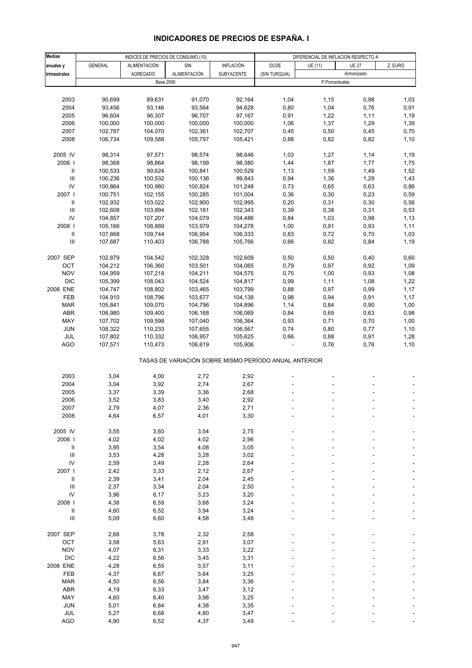#### **Medias** INDICES DE PRECIOS DE CONSUMO (10) **DIFERENCIAL DE INFLACION RESPECTO A anuales y | GENERAL | ALIMENTACIÓN | SIN | INFLACIÓN | OCDE | UE** $(11)$  **| UE** $27$  **| Z. EURO trimestrales AGREGADO** ALIMENTACIÓN SUBYACENTE (SIN TURQUIA) Base 2006 P.Porcentuales 2003 90,699 89,631 91,070 92,164 1,04 1,15 0,98 1,03 2004 93,456 93,146 93,564 94,628 0,80 1,04 0,76 0,91 2005 96,604 96,307 96,707 97,167 0,91 1,22 1,11 1,19 2006 100,000 100,000 100,000 100,000 1,06 1,37 1,29 1,39 2007 102,787 104,070 102,361 102,707 0,45 0,50 0,45 0,70 2008 106,734 109,588 105,797 105,421 0,88 0,82 0,82 1,10 2005 IV 98,314 97,571 98,574 98,646 1,03 1,27 1,14 1,19 2006 I 98,368 98,864 98,199 98,380 1,44 1,87 1,77 1,75 II 100,533 99,624 100,841 100,529 1,13 1,59 1,49 1,52 III 100,236 100,532 100,136 99,843 0,94 1,36 1,29 1,43 IV 100,864 100,980 100,824 101,248 0,73 0,65 0,63 0,86 2007 I 100,751 102,155 100,285 101,004 0,36 0,30 0,23 0,59 II 102,932 103,022 102,900 102,995 0,20 0,31 0,30 0,56 III 102,608 103,894 102,181 102,343 0,39 0,38 0,31 0,53 IV 104,857 107,207 104,079 104,486 0,84 1,03 0,98 1,13 2008 I 105,166 108,889 103,979 104,278 1,00 0,91 0,93 1,11 II 107,668 109,744 106,954 106,333 0,83 0,72 0,70 1,03 III 107,687 110,403 106,788 105,766 0,66 0,82 0,84 1,19 2007 SEP 102,879 104,542 102,328 102,609 0,50 0,50 0,40 0,60 OCT 104,212 106,360 103,501 104,065 0,79 0,97 0,92 1,09 NOV 104,959 107,218 104,211 104,575 0,75 1,00 0,93 1,08 DIC 105,399 108,043 104,524 104,817 0,99 1,11 1,08 1,22 2008 ENE 104,747 108,802 103,465 103,799 0,88 0,97 0,99 1,17 FEB 104,910 108,796 103,677 104,138 0,98 0,94 0,91 1,17 MAR 105,841 109,070 104,796 104,896 1,14 0,84 0,90 1,00 ABR 106,980 109,400 106,168 106,069 0,84 0,65 0,63 0,98 MAY 107,702 109,598 107,040 106,364 0,93 0,71 0,70 1,00 JUN 108,322 110,233 107,655 106,567 0,74 0,80 0,77 1,10 JUL 107,802 110,332 106,957 105,625 0,66 0,88 0,91 1,28 AGO 107,571 110,473 106,619 105,906 - 0,76 0,76 1,10 TASAS DE VARIACIÓN SOBRE MISMO PERÍODO ANUAL ANTERIOR 2003 3,04 4,00 2,72 2,92 ---- 2004 3,04 3,92 2,74 2,67 ---- 2005 3,37 3,39 3,36 2,68 ---- 2006 3,52 3,83 3,40 2,92 ---- 2007 2,79 4,07 2,36 2,71 ---- 2008 4,64 6,57 4,01 3,30 - - - - -2005 IV 3,55 3,60 3,54 2,75 ---- 2006 I 4,02 4,02 4,02 2,96 ---- II 3,95 3,54 4,08 3,05 ---- III 3,53 4,28 3,28 3,02 ---- IV 2,59 3,49 2,28 2,64 ---- 2007 I 2,42 3,33 2,12 2,67 - - - - - - - - II 2,39 3,41 2,04 2,45 ---- III 2,37 3,34 2,04 2,50 ---- IV 3,96 6,17 3,23 3,20 ---- 2008 I 4,38 6,59 3,68 3,24 ---- II 4,60 6,52 3,94 3,24 ---- III 5,09 6,60 4,58 3,48 ---- 2007 SEP 2,68 3,78 2,32 2,58 - - - - -OCT 3,58 5,63 2,91 3,07 - - - - - -NOV 4,07 6,31 3,33 3,22 - - - - - - -DIC 4,22 6,56 3,45 3,31 - - - - - -2008 ENE 4,28 6,55 3,57 3,11 - - - - - - - -FEB 4,37 6,67 3,64 3,25 - - - - - - MAR 4,50 6,56 3,84 3,36 ---- ABR 4,19 6,33 3,47 3,12 - - - - - -MAY 4,60 6,40 3,98 3,25 - - - - - - - JUN 5,01 6,84 4,38 3,35 ---- Armonizado

## **INDICADORES DE PRECIOS DE ESPAÑA. I**

JUL 5,27 6,68 4,80 3,47 - - - - - -AGO 4,90 6,52 4,37 3,49 - - - - - -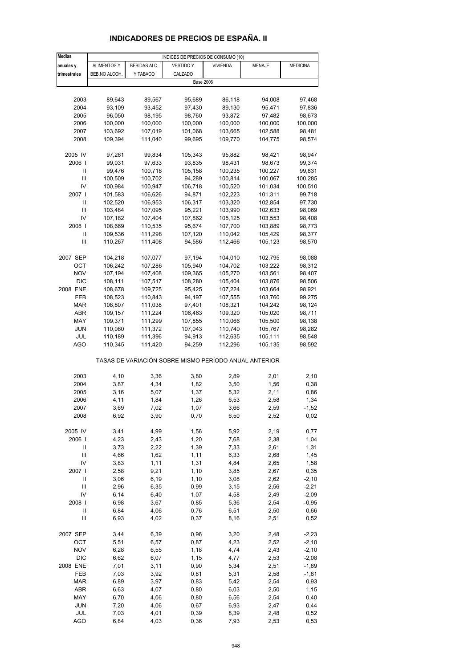| <b>Medias</b>              |                    |                    | INDICES DE PRECIOS DE CONSUMO (10)                    |                    |                    |                  |
|----------------------------|--------------------|--------------------|-------------------------------------------------------|--------------------|--------------------|------------------|
| anuales y                  | <b>ALIMENTOS Y</b> | BEBIDAS ALC.       | <b>VESTIDO Y</b>                                      | <b>VIVIENDA</b>    | MENAJE             | <b>MEDICINA</b>  |
| trimestrales               | BEB.NO ALCOH.      | Y TABACO           | CALZADO                                               |                    |                    |                  |
|                            |                    |                    | <b>Base 2006</b>                                      |                    |                    |                  |
|                            |                    |                    |                                                       |                    |                    |                  |
| 2003                       | 89,643             | 89,567             | 95,689                                                | 86,118             | 94,008             | 97,468           |
| 2004                       | 93,109             | 93,452             | 97,430                                                | 89,130             | 95,471             | 97,836           |
| 2005                       | 96,050             | 98,195             | 98,760                                                | 93,872             | 97,482             | 98,673           |
| 2006                       | 100,000            | 100,000            | 100,000                                               | 100,000            | 100,000            | 100,000          |
| 2007                       | 103,692            | 107,019            | 101,068                                               | 103,665            | 102,588            | 98,481           |
| 2008                       | 109,394            | 111,040            | 99,695                                                | 109,770            | 104,775            | 98,574           |
| 2005 IV                    | 97,261             | 99,834             | 105,343                                               | 95,882             | 98,421             | 98,947           |
| 2006                       | 99,031             | 97,633             | 93,835                                                | 98,431             | 98,673             | 99,374           |
| Ш                          | 99,476             | 100,718            | 105,158                                               | 100,235            | 100,227            | 99,831           |
| Ш                          | 100,509            | 100,702            | 94,289                                                | 100,814            | 100,067            | 100,285          |
| IV                         | 100,984            | 100,947            | 106,718                                               | 100,520            | 101,034            | 100,510          |
| 2007 I                     | 101,583            | 106,626            | 94,871                                                | 102,223            | 101,311            | 99,718           |
| Ш                          | 102,520            | 106,953            | 106,317                                               | 103,320            | 102,854            | 97,730           |
| Ш                          | 103,484            | 107,095            | 95,221                                                | 103,990            | 102,633            | 98,069           |
| IV                         | 107,182            | 107,404            | 107,862                                               | 105,125            | 103,553            | 98,408           |
| 2008  <br>$\mathbf{I}$     | 108,669<br>109,536 | 110,535<br>111,298 | 95,674<br>107,120                                     | 107,700<br>110,042 | 103,889<br>105,429 | 98,773<br>98,377 |
| Ш                          | 110,267            | 111,408            | 94,586                                                | 112,466            | 105,123            | 98,570           |
|                            |                    |                    |                                                       |                    |                    |                  |
| 2007 SEP                   | 104,218            | 107,077            | 97,194                                                | 104,010            | 102,795            | 98,088           |
| ОСТ                        | 106,242            | 107,286            | 105,940                                               | 104,702            | 103,222            | 98,312           |
| <b>NOV</b>                 | 107,194            | 107,408            | 109,365                                               | 105,270            | 103,561            | 98,407           |
| <b>DIC</b>                 | 108,111            | 107,517            | 108,280                                               | 105,404            | 103,876            | 98,506           |
| 2008 ENE                   | 108,678            | 109,725            | 95,425                                                | 107,224            | 103,664            | 98,921           |
| FEB                        | 108,523            | 110,843            | 94,197                                                | 107,555            | 103,760            | 99,275           |
| <b>MAR</b>                 | 108,807            | 111,038            | 97,401                                                | 108,321            | 104,242            | 98,124           |
| ABR                        | 109,157            | 111,224            | 106,463                                               | 109,320            | 105,020            | 98,711           |
| MAY                        | 109,371            | 111,299            | 107,855                                               | 110,066            | 105,500            | 98,138           |
| <b>JUN</b><br>JUL          | 110,080<br>110,189 | 111,372<br>111,396 | 107,043<br>94,913                                     | 110,740<br>112,635 | 105,767<br>105,111 | 98,282<br>98,548 |
| AGO                        | 110,345            | 111,420            | 94,259                                                | 112,296            | 105,135            | 98,592           |
|                            |                    |                    | TASAS DE VARIACIÓN SOBRE MISMO PERÍODO ANUAL ANTERIOR |                    |                    |                  |
|                            |                    |                    |                                                       |                    |                    |                  |
| 2003                       | 4,10               | 3,36               | 3,80                                                  | 2,89               | 2,01               | 2,10             |
| 2004                       | 3,87               | 4,34               | 1,82                                                  | 3,50               | 1,56               | 0,38             |
| 2005<br>2006               | 3,16<br>4,11       | 5,07<br>1,84       | 1,37<br>1,26                                          | 5,32<br>6,53       | 2,11<br>2,58       | 0,86<br>1,34     |
| 2007                       | 3,69               | 7,02               | 1,07                                                  | 3,66               | 2,59               | -1,52            |
| 2008                       | 6,92               | 3,90               | 0,70                                                  | 6,50               | 2,52               | 0,02             |
|                            |                    |                    |                                                       |                    |                    |                  |
| 2005 IV                    | 3,41               | 4,99               | 1,56                                                  | 5,92               | 2,19               | 0,77             |
| 2006                       | 4,23               | 2,43               | 1,20                                                  | 7,68               | 2,38               | 1,04             |
| $\label{eq:1} \mathsf{II}$ | 3,73               | 2,22               | 1,39                                                  | 7,33               | 2,61               | 1,31             |
| Ш                          | 4,66               | 1,62               | 1,11                                                  | 6,33               | 2,68               | 1,45             |
| IV<br>2007 l               | 3,83<br>2,58       | 1,11<br>9,21       | 1,31<br>1,10                                          | 4,84<br>3,85       | 2,65<br>2,67       | 1,58             |
| $\ensuremath{\mathsf{II}}$ | 3,06               | 6,19               | 1,10                                                  | 3,08               | 2,62               | 0,35<br>$-2,10$  |
| $\mathbf{III}$             | 2,96               | 6,35               | 0,99                                                  | 3,15               | 2,56               | $-2,21$          |
| IV                         | 6,14               | 6,40               | 1,07                                                  | 4,58               | 2,49               | $-2,09$          |
| 2008 l                     | 6,98               | 3,67               | 0,85                                                  | 5,36               | 2,54               | $-0,95$          |
| $\ensuremath{\mathsf{II}}$ | 6,84               | 4,06               | 0,76                                                  | 6,51               | 2,50               | 0,66             |
| $\mathbf{III}$             | 6,93               | 4,02               | 0,37                                                  | 8,16               | 2,51               | 0,52             |
| 2007 SEP                   | 3,44               | 6,39               | 0,96                                                  | 3,20               | 2,48               | $-2,23$          |
| OCT                        | 5,51               | 6,57               | 0,87                                                  | 4,23               | 2,52               | $-2,10$          |
| <b>NOV</b>                 | 6,28               | 6,55               | 1,18                                                  | 4,74               | 2,43               | $-2,10$          |
| DIC                        | 6,62               | 6,07               | 1,15                                                  | 4,77               | 2,53               | $-2,08$          |
| 2008 ENE                   | 7,01               | 3,11               | 0,90                                                  | 5,34               | 2,51               | $-1,89$          |
| FEB                        | 7,03               | 3,92               | 0,81                                                  | 5,31               | 2,58               | $-1,81$          |
| <b>MAR</b>                 | 6,89               | 3,97               | 0,83                                                  | 5,42               | 2,54               | 0,93             |
| ABR<br>MAY                 | 6,63               | 4,07               | 0,80                                                  | 6,03               | 2,50               | 1,15             |
| JUN                        | 6,70<br>7,20       | 4,06<br>4,06       | 0,80<br>0,67                                          | 6,56<br>6,93       | 2,54<br>2,47       | 0,40<br>0,44     |
| JUL                        | 7,03               | 4,01               | 0,39                                                  | 8,39               | 2,48               | 0,52             |
| <b>AGO</b>                 | 6,84               | 4,03               | 0,36                                                  | 7,93               | 2,53               | 0,53             |

## **INDICADORES DE PRECIOS DE ESPAÑA. II**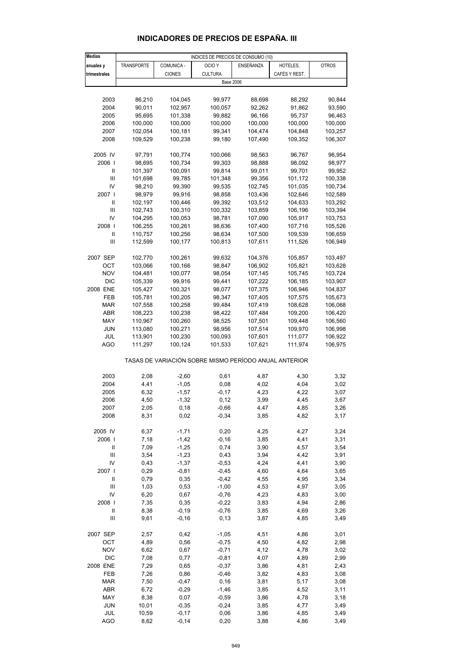| <b>Medias</b>  |            |               | INDICES DE PRECIOS DE CONSUMO (10)                    |           |               |              |
|----------------|------------|---------------|-------------------------------------------------------|-----------|---------------|--------------|
| anuales y      | TRANSPORTE | COMUNICA -    | OCIO <sub>Y</sub>                                     | ENSEÑANZA | HOTELES,      | <b>OTROS</b> |
|                |            |               |                                                       |           |               |              |
| trimestrales   |            | <b>CIONES</b> | <b>CULTURA</b>                                        |           | CAFÉS Y REST. |              |
|                |            |               | <b>Base 2006</b>                                      |           |               |              |
|                |            |               |                                                       |           |               |              |
| 2003           | 86,210     | 104,045       | 99,977                                                | 88,698    | 88,292        | 90,844       |
| 2004           | 90,011     | 102,957       | 100,057                                               | 92,262    | 91,862        | 93,590       |
|                |            |               |                                                       | 96,166    | 95,737        |              |
| 2005           | 95,695     | 101,338       | 99,882                                                |           |               | 96,463       |
| 2006           | 100,000    | 100,000       | 100,000                                               | 100,000   | 100,000       | 100,000      |
| 2007           | 102,054    | 100,181       | 99,341                                                | 104,474   | 104,848       | 103,257      |
| 2008           | 109,529    | 100,238       | 99,180                                                | 107,490   | 109,352       | 106,307      |
|                |            |               |                                                       |           |               |              |
| 2005 IV        | 97,791     | 100,774       | 100,066                                               | 98,563    | 96,767        | 96,954       |
| 2006           | 98,695     | 100,734       | 99,303                                                | 98,888    | 98,092        | 98,977       |
|                |            |               |                                                       |           |               |              |
| Ш              | 101,397    | 100,091       | 99,814                                                | 99,011    | 99,701        | 99,952       |
| $\mathbf{III}$ | 101,698    | 99,785        | 101,348                                               | 99,356    | 101,172       | 100,338      |
| IV             | 98,210     | 99,390        | 99,535                                                | 102,745   | 101,035       | 100,734      |
| 2007           | 98,979     | 99,916        | 98,858                                                | 103,436   | 102,646       | 102,589      |
| Ш              | 102,197    | 100,446       | 99,392                                                | 103,512   | 104,633       | 103,292      |
| Ш              | 102,743    | 100,310       | 100,332                                               | 103,859   | 106,196       | 103,394      |
|                |            |               |                                                       |           |               |              |
| IV             | 104,295    | 100,053       | 98,781                                                | 107,090   | 105,917       | 103,753      |
| 2008           | 106,255    | 100,261       | 98,636                                                | 107,400   | 107,716       | 105,526      |
| Ш              | 110,757    | 100,256       | 98,634                                                | 107,500   | 109,539       | 106,659      |
| Ш              | 112,599    | 100,177       | 100,813                                               | 107,611   | 111,526       | 106,949      |
|                |            |               |                                                       |           |               |              |
| 2007 SEP       | 102,770    | 100,261       | 99,632                                                | 104,376   | 105,857       | 103,497      |
| OCT            | 103,066    |               | 98,847                                                | 106,902   | 105,821       |              |
|                |            | 100,166       |                                                       |           |               | 103,628      |
| <b>NOV</b>     | 104,481    | 100,077       | 98,054                                                | 107,145   | 105,745       | 103,724      |
| DIC            | 105,339    | 99,916        | 99,441                                                | 107,222   | 106,185       | 103,907      |
| 2008 ENE       | 105,427    | 100,321       | 98,077                                                | 107,375   | 106,946       | 104,837      |
| FEB            | 105,781    | 100,205       | 98,347                                                | 107,405   | 107,575       | 105,673      |
| MAR            | 107,558    | 100,258       | 99,484                                                | 107,419   | 108,628       | 106,068      |
| ABR            | 108,223    | 100,238       | 98,422                                                | 107,484   | 109,200       | 106,420      |
|                |            |               |                                                       |           |               |              |
| MAY            | 110,967    | 100,260       | 98,525                                                | 107,501   | 109,448       | 106,560      |
| <b>JUN</b>     | 113,080    | 100,271       | 98,956                                                | 107,514   | 109,970       | 106,998      |
| JUL            | 113,901    | 100,230       | 100,093                                               | 107,601   | 111,077       | 106,922      |
| <b>AGO</b>     | 111,297    | 100,124       | 101,533                                               | 107,621   | 111,974       | 106,975      |
|                |            |               |                                                       |           |               |              |
|                |            |               | TASAS DE VARIACIÓN SOBRE MISMO PERÍODO ANUAL ANTERIOR |           |               |              |
|                |            |               |                                                       |           |               |              |
| 2003           | 2,08       | $-2,60$       | 0,61                                                  | 4,87      | 4,30          | 3,32         |
|                |            |               |                                                       |           |               |              |
| 2004           | 4,41       | $-1,05$       | 0,08                                                  | 4,02      | 4,04          | 3,02         |
| 2005           | 6,32       | $-1,57$       | $-0,17$                                               | 4,23      | 4,22          | 3,07         |
| 2006           | 4,50       | $-1,32$       | 0,12                                                  | 3,99      | 4,45          | 3,67         |
| 2007           | 2,05       | 0, 18         | $-0,66$                                               | 4,47      | 4,85          | 3,26         |
| 2008           | 8,31       | 0,02          | $-0,34$                                               | 3,85      | 4,82          | 3,17         |
|                |            |               |                                                       |           |               |              |
| 2005 IV        | 6,37       | $-1,71$       | 0,20                                                  | 4,25      | 4,27          | 3,24         |
|                |            |               |                                                       |           |               |              |
| 2006           | 7,18       | $-1,42$       | $-0,16$                                               | 3,85      | 4,41          | 3,31         |
| Ш              | 7,09       | $-1,25$       | 0,74                                                  | 3,90      | 4,57          | 3,54         |
| $\mathbf{III}$ | 3,54       | $-1,23$       | 0,43                                                  | 3,94      | 4,42          | 3,91         |
| IV             | 0,43       | $-1,37$       | $-0,53$                                               | 4,24      | 4,41          | 3,90         |
| 2007 l         | 0,29       | $-0,81$       | $-0,45$                                               | 4,60      | 4,64          | 3,65         |
| Ш              | 0,79       | 0,35          | $-0,42$                                               | 4,55      | 4,95          | 3,34         |
| Ш              | 1,03       | 0,53          | $-1,00$                                               | 4,53      | 4,97          | 3,05         |
|                |            |               |                                                       |           |               |              |
| IV             | 6,20       | 0,67          | $-0,76$                                               | 4,23      | 4,83          | 3,00         |
| 2008           | 7,35       | 0,35          | $-0,22$                                               | 3,83      | 4,94          | 2,86         |
| Ш              | 8,38       | $-0,19$       | $-0,76$                                               | 3,85      | 4,69          | 3,26         |
| Ш              | 9,61       | $-0,16$       | 0,13                                                  | 3,87      | 4,85          | 3,49         |
|                |            |               |                                                       |           |               |              |
| 2007 SEP       | 2,57       | 0,42          | $-1,05$                                               | 4,51      | 4,86          | 3,01         |
| OCT            | 4,89       | 0,56          | $-0,75$                                               | 4,50      | 4,82          | 2,98         |
| <b>NOV</b>     |            |               |                                                       |           |               |              |
|                | 6,62       | 0,67          | $-0,71$                                               | 4,12      | 4,78          | 3,02         |
| DIC            | 7,08       | 0,77          | $-0,81$                                               | 4,07      | 4,89          | 2,99         |
| 2008 ENE       | 7,29       | 0,65          | $-0,37$                                               | 3,86      | 4,81          | 2,43         |
| FEB            | 7,26       | 0,86          | $-0,46$                                               | 3,82      | 4,83          | 3,08         |
| <b>MAR</b>     | 7,50       | $-0,47$       | 0, 16                                                 | 3,81      | 5,17          | 3,08         |
| ABR            | 6,72       | $-0,29$       | $-1,46$                                               | 3,85      | 4,52          | 3,11         |
|                |            |               |                                                       |           |               |              |
| MAY            | 8,38       | 0,07          | $-0,59$                                               | 3,86      | 4,78          | 3,18         |
| <b>JUN</b>     | 10,01      | $-0,35$       | $-0,24$                                               | 3,85      | 4,77          | 3,49         |
| JUL            | 10,59      | $-0,17$       | 0,06                                                  | 3,86      | 4,85          | 3,49         |

# **INDICADORES DE PRECIOS DE ESPAÑA. III**

AGO 8,62 -0,14 0,20 3,88 4,86 3,49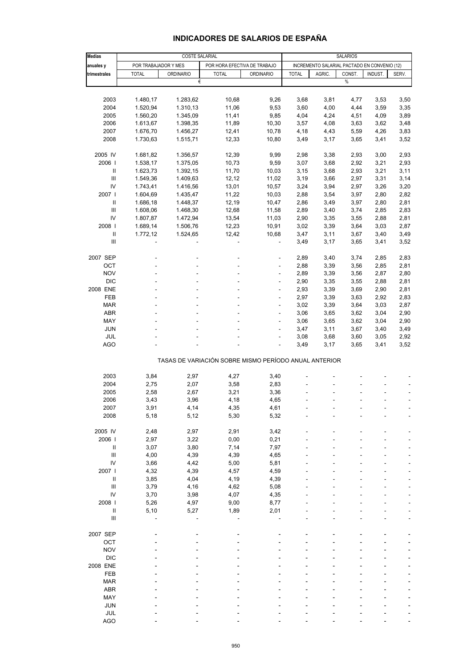| <b>INDICADORES DE SALARIOS DE ESPANA</b> |  |  |  |
|------------------------------------------|--|--|--|
|                                          |  |  |  |

| <b>Medias</b>                      | COSTE SALARIAL       |                  |                                                       |                          | <b>SALARIOS</b> |                                              |        |         |       |
|------------------------------------|----------------------|------------------|-------------------------------------------------------|--------------------------|-----------------|----------------------------------------------|--------|---------|-------|
| anuales y                          | POR TRABAJADOR Y MES |                  | POR HORA EFECTIVA DE TRABAJO                          |                          |                 | INCREMENTO SALARIAL PACTADO EN CONVENIO (12) |        |         |       |
| trimestrales                       | <b>TOTAL</b>         | <b>ORDINARIO</b> | <b>TOTAL</b>                                          | <b>ORDINARIO</b>         | <b>TOTAL</b>    | AGRIC.                                       | CONST. | INDUST. | SERV. |
|                                    |                      | €                |                                                       |                          |                 |                                              | $\%$   |         |       |
|                                    |                      |                  |                                                       |                          |                 |                                              |        |         |       |
| 2003                               | 1.480,17             | 1.283,62         | 10,68                                                 | 9,26                     | 3,68            | 3,81                                         | 4,77   | 3,53    | 3,50  |
| 2004                               | 1.520,94             | 1.310,13         | 11,06                                                 | 9,53                     | 3,60            | 4,00                                         | 4,44   | 3,59    | 3,35  |
| 2005                               | 1.560,20             | 1.345,09         | 11,41                                                 | 9,85                     | 4,04            | 4,24                                         | 4,51   | 4,09    | 3,89  |
| 2006                               | 1.613,67             | 1.398,35         | 11,89                                                 | 10,30                    | 3,57            | 4,08                                         | 3,63   | 3,62    | 3,48  |
| 2007                               | 1.676,70             | 1.456,27         | 12,41                                                 | 10,78                    | 4,18            | 4,43                                         | 5,59   | 4,26    | 3,83  |
| 2008                               | 1.730,63             | 1.515,71         | 12,33                                                 | 10,80                    | 3,49            | 3,17                                         | 3,65   | 3,41    | 3,52  |
|                                    |                      |                  |                                                       |                          |                 |                                              |        |         |       |
| 2005 IV                            | 1.681,82             | 1.356,57         | 12,39                                                 | 9,99                     | 2,98            | 3,38                                         | 2,93   | 3,00    | 2,93  |
| 2006                               | 1.538,17             | 1.375,05         | 10,73                                                 | 9,59                     | 3,07            | 3,68                                         | 2,92   | 3,21    | 2,93  |
| Ш                                  | 1.623,73             | 1.392,15         | 11,70                                                 | 10,03                    | 3,15            | 3,68                                         | 2,93   | 3,21    | 3,11  |
| Ш                                  | 1.549,36             | 1.409,63         | 12,12                                                 | 11,02                    | 3,19            | 3,66                                         | 2,97   | 3,31    | 3,14  |
| IV                                 | 1.743,41             | 1.416,56         | 13,01                                                 | 10,57                    | 3,24            | 3,94                                         | 2,97   | 3,26    | 3,20  |
| 2007 l                             | 1.604,69             | 1.435,47         | 11,22                                                 | 10,03                    | 2,88            | 3,54                                         | 3,97   | 2,80    | 2,82  |
| Ш                                  | 1.686,18             | 1.448,37         | 12,19                                                 | 10,47                    | 2,86            | 3,49                                         | 3,97   | 2,80    | 2,81  |
| Ш                                  | 1.608,06             | 1.468,30         | 12,68                                                 | 11,58                    | 2,89            | 3,40                                         | 3,74   | 2,85    | 2,83  |
| IV                                 | 1.807,87             | 1.472,94         | 13,54                                                 | 11,03                    | 2,90            | 3,35                                         | 3,55   | 2,88    | 2,81  |
| 2008                               | 1.689,14             | 1.506,76         | 12,23                                                 | 10,91                    | 3,02            | 3,39                                         | 3,64   | 3,03    | 2,87  |
| $\ensuremath{\mathsf{II}}$         | 1.772,12             | 1.524,65         | 12,42                                                 | 10,68                    | 3,47            | 3,11                                         | 3,67   | 3,40    | 3,49  |
| Ш                                  |                      |                  |                                                       | ä,                       | 3,49            | 3,17                                         | 3,65   | 3,41    | 3,52  |
|                                    |                      |                  |                                                       |                          |                 |                                              |        |         |       |
| 2007 SEP                           |                      |                  |                                                       |                          | 2,89            | 3,40                                         | 3,74   | 2,85    | 2,83  |
| OCT                                |                      |                  | ä,                                                    | ÷,                       | 2,88            | 3,39                                         | 3,56   | 2,85    | 2,81  |
| <b>NOV</b>                         |                      |                  |                                                       |                          | 2,89            | 3,39                                         | 3,56   | 2,87    | 2,80  |
| <b>DIC</b>                         |                      | ÷.               |                                                       | ÷.                       | 2,90            | 3,35                                         | 3,55   | 2,88    | 2,81  |
| 2008 ENE                           |                      |                  |                                                       | ä,                       | 2,93            | 3,39                                         | 3,69   | 2,90    | 2,81  |
| FEB                                |                      |                  |                                                       |                          | 2,97            | 3,39                                         | 3,63   | 2,92    | 2,83  |
| <b>MAR</b>                         |                      | ÷.               | ٠                                                     | $\overline{\phantom{a}}$ | 3,02            | 3,39                                         | 3,64   | 3,03    | 2,87  |
| ABR                                |                      |                  |                                                       | ä,                       | 3,06            | 3,65                                         | 3,62   | 3,04    | 2,90  |
| MAY                                |                      |                  |                                                       |                          | 3,06            | 3,65                                         | 3,62   | 3,04    | 2,90  |
| <b>JUN</b>                         |                      | ٠                |                                                       | ä,                       | 3,47            | 3,11                                         | 3,67   | 3,40    | 3,49  |
| JUL                                |                      |                  |                                                       |                          | 3,08            | 3,68                                         | 3,60   | 3,05    | 2,92  |
| <b>AGO</b>                         |                      |                  |                                                       | L,                       | 3,49            | 3,17                                         | 3,65   | 3,41    | 3,52  |
|                                    |                      |                  |                                                       |                          |                 |                                              |        |         |       |
|                                    |                      |                  | TASAS DE VARIACIÓN SOBRE MISMO PERÍODO ANUAL ANTERIOR |                          |                 |                                              |        |         |       |
|                                    |                      |                  |                                                       |                          |                 |                                              |        |         |       |
| 2003                               | 3,84                 | 2,97             | 4,27                                                  | 3,40                     |                 |                                              |        |         |       |
| 2004                               | 2,75                 | 2,07             | 3,58                                                  | 2,83                     |                 |                                              |        |         |       |
| 2005                               | 2,58                 | 2,67             | 3,21                                                  | 3,36                     |                 |                                              |        |         |       |
| 2006                               | 3,43                 | 3,96             | 4,18                                                  | 4,65                     |                 |                                              |        |         |       |
| 2007                               | 3,91                 | 4,14             | 4,35                                                  | 4,61                     |                 |                                              |        |         |       |
| 2008                               | 5,18                 | 5,12             | 5,30                                                  | 5,32                     |                 |                                              |        |         |       |
|                                    |                      |                  |                                                       |                          |                 |                                              |        |         |       |
| 2005 IV                            | 2,48                 | 2,97             | 2,91                                                  | 3,42                     |                 |                                              |        |         |       |
| 2006                               | 2,97                 | 3,22             | 0,00                                                  | 0,21                     |                 |                                              |        |         |       |
| Ш                                  | 3,07                 | 3,80             | 7,14                                                  | 7,97                     |                 |                                              |        |         |       |
| $\ensuremath{\mathsf{III}}\xspace$ | 4,00                 | 4,39             | 4,39                                                  | 4,65                     |                 |                                              |        |         |       |
| IV                                 | 3,66                 | 4,42             | 5,00                                                  | 5,81                     |                 |                                              |        |         |       |
| 2007 l                             | 4,32                 | 4,39             | 4,57                                                  | 4,59                     |                 |                                              |        |         |       |
| $\sf II$                           | 3,85                 | 4,04             | 4,19                                                  | 4,39                     |                 |                                              |        |         |       |
| $\ensuremath{\mathsf{III}}\xspace$ | 3,79                 | 4,16             | 4,62                                                  | 5,08                     |                 |                                              |        |         |       |
| IV                                 | 3,70                 | 3,98             | 4,07                                                  | 4,35                     |                 |                                              |        |         |       |
| 2008                               | 5,26                 | 4,97             | 9,00                                                  | 8,77                     |                 |                                              |        |         |       |
| $\sf II$                           | 5,10                 | 5,27             | 1,89                                                  | 2,01                     |                 |                                              |        |         |       |
| $\ensuremath{\mathsf{III}}\xspace$ |                      |                  |                                                       |                          |                 |                                              |        |         |       |
| 2007 SEP                           |                      |                  |                                                       |                          |                 |                                              |        |         |       |
| OCT                                |                      |                  |                                                       |                          |                 |                                              |        |         |       |
| <b>NOV</b>                         |                      |                  |                                                       |                          |                 |                                              |        |         |       |
| <b>DIC</b>                         |                      |                  |                                                       |                          |                 |                                              |        |         |       |
| 2008 ENE                           |                      |                  |                                                       |                          |                 |                                              |        |         |       |
| FEB                                |                      |                  |                                                       |                          |                 |                                              |        |         |       |
| <b>MAR</b>                         |                      |                  |                                                       |                          |                 |                                              |        |         |       |
| ABR                                |                      |                  |                                                       |                          |                 |                                              |        |         |       |
| MAY                                |                      |                  |                                                       |                          |                 |                                              |        |         |       |
| <b>JUN</b>                         |                      |                  |                                                       |                          |                 |                                              |        |         |       |
| JUL                                |                      |                  |                                                       |                          |                 |                                              |        |         |       |
| <b>AGO</b>                         |                      |                  |                                                       |                          |                 |                                              |        |         |       |
|                                    |                      |                  |                                                       |                          |                 |                                              |        |         |       |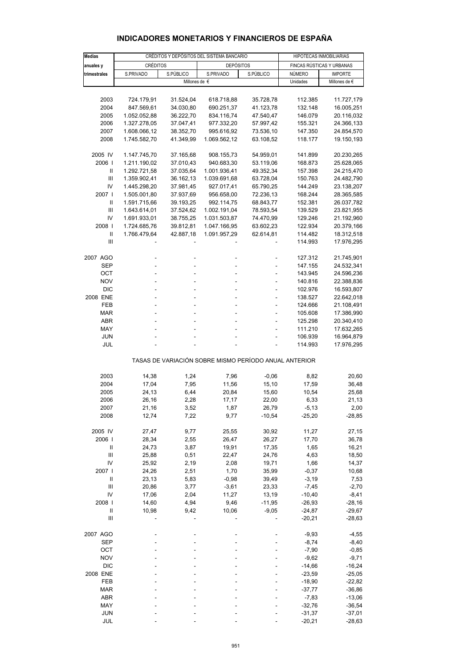| <b>Medias</b>                      |                              | CRÉDITOS Y DEPÓSITOS DEL SISTEMA BANCARIO | HIPOTECAS INMOBILIARIAS                               |                        |                           |                          |  |
|------------------------------------|------------------------------|-------------------------------------------|-------------------------------------------------------|------------------------|---------------------------|--------------------------|--|
| anuales y                          | <b>CRÉDITOS</b>              |                                           | <b>DEPÓSITOS</b>                                      |                        | FINCAS RÚSTICAS Y URBANAS |                          |  |
| trimestrales                       | S.PRIVADO                    | S.PÚBLICO                                 | S.PRIVADO                                             | S.PÚBLICO              | NÚMERO                    | <b>IMPORTE</b>           |  |
|                                    |                              | Millones de $\epsilon$                    |                                                       |                        | Unidades                  | Millones de €            |  |
|                                    |                              |                                           |                                                       |                        |                           |                          |  |
| 2003                               | 724.179,91                   | 31.524,04                                 | 618.718,88                                            | 35.728,78              | 112.385                   | 11.727,179               |  |
| 2004                               | 847.569,61                   | 34.030,80                                 | 690.251,37                                            | 41.123,78              | 132.148                   | 16.005,251               |  |
| 2005                               | 1.052.052,88                 | 36.222,70                                 | 834.116,74                                            | 47.540,47              | 146.079                   | 20.116,032               |  |
| 2006                               | 1.327.278,05                 | 37.047,41                                 | 977.332,20                                            | 57.997,42              | 155.321                   | 24.366,133               |  |
| 2007                               | 1.608.066,12                 | 38.352,70                                 | 995.616,92                                            | 73.536,10              | 147.350                   | 24.854,570               |  |
| 2008                               | 1.745.582,70                 | 41.349,99                                 | 1.069.562,12                                          | 63.108,52              | 118.177                   | 19.150,193               |  |
| 2005 IV                            | 1.147.745,70                 | 37.165,68                                 | 908.155,73                                            | 54.959,01              | 141.899                   | 20.230,265               |  |
| 2006                               | 1.211.190,02                 | 37.010,43                                 | 940.683,30                                            | 53.119,06              | 168.873                   | 25.628,065               |  |
| Ш                                  | 1.292.721,58                 | 37.035,64                                 | 1.001.936,41                                          | 49.352,34              | 157.398                   | 24.215,470               |  |
| $\ensuremath{\mathsf{III}}\xspace$ | 1.359.902,41                 | 36.162,13                                 | 1.039.691,68                                          | 63.728,04              | 150.763                   | 24.482,790               |  |
| IV                                 | 1.445.298,20                 | 37.981,45                                 | 927.017,41                                            | 65.790,25              | 144.249                   | 23.138,207               |  |
| 2007 l                             | 1.505.001,80                 | 37.937,69                                 | 956.658,00                                            | 72.236,13              | 168.244                   | 28.365,585               |  |
| Ш<br>Ш                             | 1.591.715,66                 | 39.193,25                                 | 992.114,75                                            | 68.843,77              | 152.381                   | 26.037,782               |  |
| IV                                 | 1.643.614,01<br>1.691.933,01 | 37.524,62<br>38.755,25                    | 1.002.191,04<br>1.031.503,87                          | 78.593,54<br>74.470,99 | 139.529<br>129.246        | 23.821,955               |  |
| 2008                               | 1.724.685,76                 | 39.812,81                                 | 1.047.166,95                                          | 63.602,23              | 122.934                   | 21.192,960<br>20.379,166 |  |
| $\ensuremath{\mathsf{II}}$         | 1.766.479,64                 | 42.887,18                                 | 1.091.957,29                                          | 62.614,81              | 114.482                   | 18.312,518               |  |
| Ш                                  |                              |                                           |                                                       |                        | 114.993                   | 17.976,295               |  |
|                                    |                              |                                           |                                                       |                        |                           |                          |  |
| 2007 AGO                           |                              |                                           |                                                       |                        | 127.312<br>147.155        | 21.745,901               |  |
| SEP<br>OCT                         |                              |                                           |                                                       |                        | 143.945                   | 24.532,341<br>24.596,236 |  |
| <b>NOV</b>                         |                              |                                           |                                                       |                        | 140.816                   | 22.388,836               |  |
| <b>DIC</b>                         |                              |                                           |                                                       | ä,                     | 102.976                   | 16.593,807               |  |
| 2008 ENE                           |                              |                                           |                                                       |                        | 138.527                   | 22.642,018               |  |
| FEB                                |                              |                                           |                                                       | ÷,                     | 124.666                   | 21.108,491               |  |
| <b>MAR</b>                         |                              |                                           |                                                       | ä,                     | 105.608                   | 17.386,990               |  |
| ABR                                |                              |                                           |                                                       |                        | 125.298                   | 20.340,410               |  |
| MAY                                |                              |                                           |                                                       |                        | 111.210                   | 17.632,265               |  |
| <b>JUN</b>                         |                              |                                           |                                                       |                        | 106.939                   | 16.964,879               |  |
| JUL                                |                              |                                           |                                                       |                        | 114.993                   | 17.976,295               |  |
|                                    |                              |                                           | TASAS DE VARIACIÓN SOBRE MISMO PERÍODO ANUAL ANTERIOR |                        |                           |                          |  |
| 2003                               | 14,38                        | 1,24                                      | 7,96                                                  | $-0,06$                | 8,82                      | 20,60                    |  |
| 2004                               | 17,04                        | 7,95                                      | 11,56                                                 | 15,10                  | 17,59                     | 36,48                    |  |
| 2005                               | 24,13                        | 6,44                                      | 20,84                                                 | 15,60                  | 10,54                     | 25,68                    |  |
| 2006                               | 26,16                        | 2,28                                      | 17,17                                                 | 22,00                  | 6,33                      | 21,13                    |  |
| 2007                               | 21,16                        | 3,52                                      | 1,87                                                  | 26,79                  | -5,13                     | 2,00                     |  |
| 2008                               | 12,74                        | 7,22                                      | 9,77                                                  | $-10,54$               | $-25,20$                  | $-28,85$                 |  |
| 2005 IV                            | 27,47                        | 9,77                                      | 25,55                                                 | 30,92                  | 11,27                     | 27,15                    |  |
| 2006                               | 28,34                        | 2,55                                      | 26,47                                                 | 26,27                  | 17,70                     | 36,78                    |  |
| $\ensuremath{\mathsf{II}}$         | 24,73                        | 3,87                                      | 19,91                                                 | 17,35                  | 1,65                      | 16,21                    |  |
| $\ensuremath{\mathsf{III}}\xspace$ | 25,88                        | 0,51                                      | 22,47                                                 | 24,76                  | 4,63                      | 18,50                    |  |
| IV                                 | 25,92                        | 2,19                                      | 2,08                                                  | 19,71                  | 1,66                      | 14,37                    |  |
| 2007 l                             | 24,26                        | 2,51                                      | 1,70                                                  | 35,99                  | $-0,37$                   | 10,68                    |  |
| $\ensuremath{\mathsf{II}}$         | 23,13                        | 5,83                                      | $-0,98$                                               | 39,49                  | $-3,19$                   | 7,53                     |  |
| $\ensuremath{\mathsf{III}}\xspace$ | 20,86                        | 3,77                                      | $-3,61$                                               | 23,33                  | $-7,45$                   | $-2,70$                  |  |
| IV<br>2008                         | 17,06<br>14,60               | 2,04<br>4,94                              | 11,27<br>9,46                                         | 13,19<br>-11,95        | $-10,40$<br>$-26,93$      | $-8,41$<br>$-28,16$      |  |
| Ш                                  | 10,98                        | 9,42                                      | 10,06                                                 | $-9,05$                | $-24,87$                  | $-29,67$                 |  |
| $\ensuremath{\mathsf{III}}\xspace$ |                              |                                           |                                                       |                        | $-20,21$                  | $-28,63$                 |  |
|                                    |                              |                                           |                                                       |                        |                           |                          |  |
| 2007 AGO<br>SEP                    |                              |                                           |                                                       |                        | $-9,93$<br>$-8,74$        | $-4,55$<br>$-8,40$       |  |
| OCT                                |                              |                                           |                                                       |                        | $-7,90$                   | $-0,85$                  |  |
| <b>NOV</b>                         |                              |                                           |                                                       |                        | $-9,62$                   | $-9,71$                  |  |
| DIC                                |                              |                                           |                                                       |                        | $-14,66$                  | $-16,24$                 |  |
| 2008 ENE                           |                              |                                           |                                                       |                        | $-23,59$                  | $-25,05$                 |  |
| FEB                                |                              |                                           |                                                       |                        | $-18,90$                  | $-22,82$                 |  |
| <b>MAR</b>                         |                              |                                           |                                                       |                        | $-37,77$                  | $-36,86$                 |  |
| ABR                                |                              |                                           |                                                       |                        | $-7,83$                   | -13,06                   |  |
| MAY                                |                              |                                           |                                                       |                        | $-32,76$                  | $-36,54$                 |  |
| <b>JUN</b>                         |                              |                                           |                                                       |                        | $-31,37$                  | $-37,01$                 |  |
| JUL                                |                              |                                           |                                                       |                        | $-20,21$                  | $-28,63$                 |  |